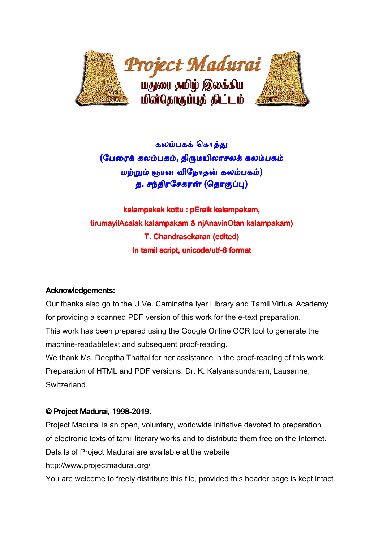

## கலம்பகக் கொத்து

(பேரைக் கலம்பகம், திருமயிலாசலக் கலம்பகம் <u>மற்றும் ஞான விநோதன் கலம்பகம்)</u> த. சந்திரசேகரன் (தொகுப்பு)

kalampakak kottu : pEraik kalampakam, tirumayilAcalak kalampakam & njAnavinOtan kalampakam) T. Chandrasekaran (edited) In tamil script, unicode/utf-8 format

## Acknowledgements:

Our thanks also go to the U.Ve. Caminatha Iyer Library and Tamil Virtual Academy for providing a scanned PDF version of this work for the e-text preparation. This work has been prepared using the Google Online OCR tool to generate the machine-readabletext and subsequent proof-reading.

We thank Ms. Deeptha Thattai for her assistance in the proof-reading of this work. Preparation of HTML and PDF versions: Dr. K. Kalyanasundaram, Lausanne, Switzerland.

## © Project Madurai, 1998-2019.

Project Madurai is an open, voluntary, worldwide initiative devoted to preparation of electronic texts of tamil literary works and to distribute them free on the Internet. Details of Project Madurai are available at the website

http://www.projectmadurai.org/

You are welcome to freely distribute this file, provided this header page is kept intact.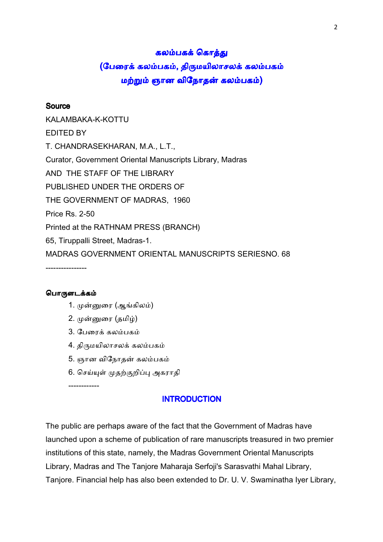## கலம்பகக் கொத்து

# (பேரைக் கலம்பகம், திருமயிலாசலக் கலம்பகம் மற்றும் ஞான விநோதன் கலம்பகம்)

## Source

KALAMBAKA-K-KOTTU EDITED BY T. CHANDRASEKHARAN, M.A., L.T., Curator, Government Oriental Manuscripts Library, Madras AND THE STAFF OF THE LIBRARY PUBLISHED UNDER THE ORDERS OF THE GOVERNMENT OF MADRAS, 1960 Price Rs. 2-50 Printed at the RATHNAM PRESS (BRANCH) 65, Tiruppalli Street, Madras-1. MADRAS GOVERNMENT ORIENTAL MANUSCRIPTS SERIESNO. 68 ----------------

## பொருளடக்கம்

- 1. முன்னுரை (ஆங்கிலம்)
- 2. முன்னுரை (தமிழ்)
- 3. பேரைக் கலம்பகம்
- 4. திருமயிலாசலக் கலம்பகம்
- 5. ஞான விநோதன் கலம்பகம்
- 6. செய்யுள் முதற்குறிப்பு அகராதி

------------

## **INTRODUCTION**

The public are perhaps aware of the fact that the Government of Madras have launched upon a scheme of publication of rare manuscripts treasured in two premier institutions of this state, namely, the Madras Government Oriental Manuscripts Library, Madras and The Tanjore Maharaja Serfoji's Sarasvathi Mahal Library, Tanjore. Financial help has also been extended to Dr. U. V. Swaminatha Iyer Library,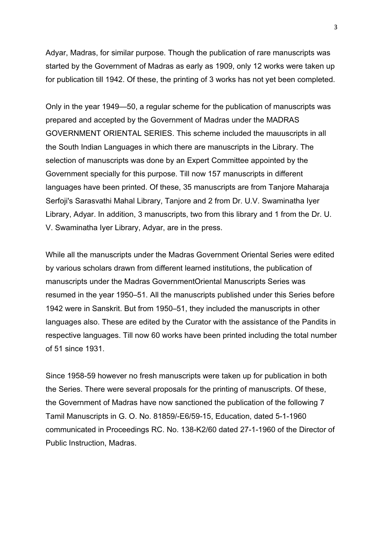Adyar, Madras, for similar purpose. Though the publication of rare manuscripts was started by the Government of Madras as early as 1909, only 12 works were taken up for publication till 1942. Of these, the printing of 3 works has not yet been completed.

Only in the year 1949—50, a regular scheme for the publication of manuscripts was prepared and accepted by the Government of Madras under the MADRAS GOVERNMENT ORIENTAL SERIES. This scheme included the mauuscripts in all the South Indian Languages in which there are manuscripts in the Library. The selection of manuscripts was done by an Expert Committee appointed by the Government specially for this purpose. Till now 157 manuscripts in different languages have been printed. Of these, 35 manuscripts are from Tanjore Maharaja Serfoji's Sarasvathi Mahal Library, Tanjore and 2 from Dr. U.V. Swaminatha Iyer Library, Adyar. In addition, 3 manuscripts, two from this library and 1 from the Dr. U. V. Swaminatha Iyer Library, Adyar, are in the press.

While all the manuscripts under the Madras Government Oriental Series were edited by various scholars drawn from different learned institutions, the publication of manuscripts under the Madras GovernmentOriental Manuscripts Series was resumed in the year 1950–51. All the manuscripts published under this Series before 1942 were in Sanskrit. But from 1950–51, they included the manuscripts in other languages also. These are edited by the Curator with the assistance of the Pandits in respective languages. Till now 60 works have been printed including the total number of 51 since 1931.

Since 1958-59 however no fresh manuscripts were taken up for publication in both the Series. There were several proposals for the printing of manuscripts. Of these, the Government of Madras have now sanctioned the publication of the following 7 Tamil Manuscripts in G. O. No. 81859/-E6/59-15, Education, dated 5-1-1960 communicated in Proceedings RC. No. 138-K2/60 dated 27-1-1960 of the Director of Public Instruction, Madras.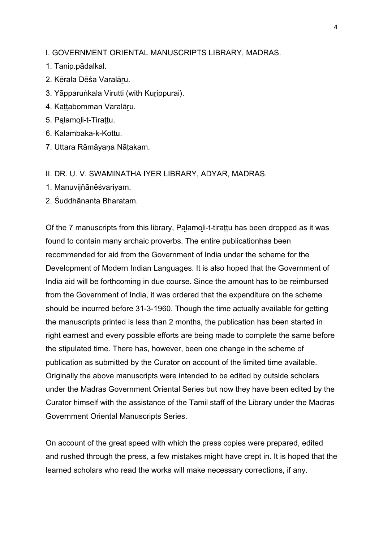I. GOVERNMENT ORIENTAL MANUSCRIPTS LIBRARY, MADRAS.

- 1. Tanip.pādalkal.
- 2. Kērala Dēśa Varalāru.
- 3. Yāpparuṅkala Virutti (with Kurippurai).
- 4. Kattabomman Varalāru.
- 5. Palamoli-t-Tirattu.
- 6. Kalambaka-k-Kottu.
- 7. Uttara Rāmāyaṇa Nāţakam.

## II. DR. U. V. SWAMINATHA IYER LIBRARY, ADYAR, MADRAS.

- 1. Manuvijñānēśvariyam.
- 2. Śuddhānanta Bharatam.

Of the 7 manuscripts from this library, Palamoli-t-tirattu has been dropped as it was found to contain many archaic proverbs. The entire publicationhas been recommended for aid from the Government of India under the scheme for the Development of Modern Indian Languages. It is also hoped that the Government of India aid will be forthcoming in due course. Since the amount has to be reimbursed from the Government of India, it was ordered that the expenditure on the scheme should be incurred before 31-3-1960. Though the time actually available for getting the manuscripts printed is less than 2 months, the publication has been started in right earnest and every possible efforts are being made to complete the same before the stipulated time. There has, however, been one change in the scheme of publication as submitted by the Curator on account of the limited time available. Originally the above manuscripts were intended to be edited by outside scholars under the Madras Government Oriental Series but now they have been edited by the Curator himself with the assistance of the Tamil staff of the Library under the Madras Government Oriental Manuscripts Series.

On account of the great speed with which the press copies were prepared, edited and rushed through the press, a few mistakes might have crept in. It is hoped that the learned scholars who read the works will make necessary corrections, if any.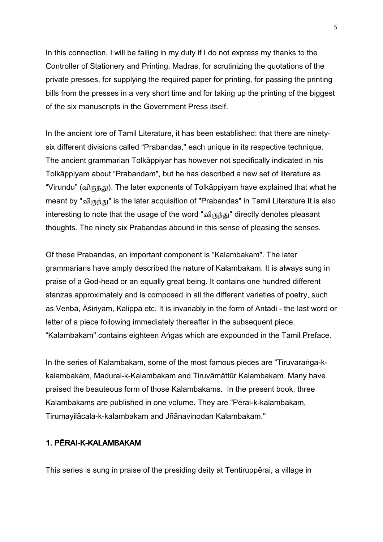In this connection, I will be failing in my duty if I do not express my thanks to the Controller of Stationery and Printing, Madras, for scrutinizing the quotations of the private presses, for supplying the required paper for printing, for passing the printing bills from the presses in a very short time and for taking up the printing of the biggest of the six manuscripts in the Government Press itself.

In the ancient lore of Tamil Literature, it has been established: that there are ninetysix different divisions called "Prabandas," each unique in its respective technique. The ancient grammarian Tolkāppiyar has however not specifically indicated in his Tolkāppiyam about "Prabandam", but he has described a new set of literature as "Virundu" (விருந்து). The later exponents of Tolkappiyam have explained that what he meant by "விருந்து" is the later acquisition of "Prabandas" in Tamil Literature It is also interesting to note that the usage of the word "விருந்து" directly denotes pleasant thoughts. The ninety six Prabandas abound in this sense of pleasing the senses.

Of these Prabandas, an important component is "Kalambakam". The later grammarians have amply described the nature of Kalambakam. It is always sung in praise of a God-head or an equally great being. It contains one hundred different stanzas approximately and is composed in all the different varieties of poetry, such as Venbā, Āśiriyam, Kalippā etc. It is invariably in the form of Antādi - the last word or letter of a piece following immediately thereafter in the subsequent piece. "Kalambakam" contains eighteen Aṅgas which are expounded in the Tamil Preface.

In the series of Kalambakam, some of the most famous pieces are "Tiruvaraṅga-kkalambakam, Madurai-k-Kalambakam and Tiruvāmāttūr Kalambakam. Many have praised the beauteous form of those Kalambakams. In the present book, three Kalambakams are published in one volume. They are "Pērai-k-kalambakam, Tirumayilāсala-k-kalambakam and Jñānavinodan Kalambakam."

## 1. PĒRAI-K-KALAMBAKAM

This series is sung in praise of the presiding deity at Tentiruppērai, a village in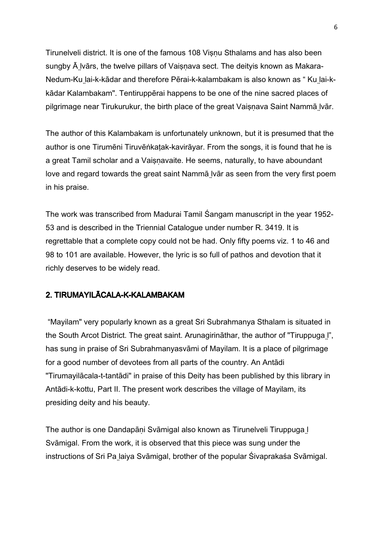Tirunelveli district. It is one of the famous 108 Visnu Sthalams and has also been sungby  $\bar{A}$  lvārs, the twelve pillars of Vaisnava sect. The deityis known as Makara-Nedum-Ku l̤ai-k-kādar and therefore Pērai-k-kalambakam is also known as " Ku l̤ai-kkādar Kalambakam". Tentiruppērai happens to be one of the nine sacred places of pilgrimage near Tirukurukur, the birth place of the great Vaişṇava Saint Nammā l̤vār.

The author of this Kalambakam is unfortunately unknown, but it is presumed that the author is one Tirumēni Tiruvēṅkaţak-kavirāyar. From the songs, it is found that he is a great Tamil scholar and a Vaisnavaite. He seems, naturally, to have aboundant love and regard towards the great saint Nammā Ivār as seen from the very first poem in his praise.

The work was transcribed from Madurai Tamil Śangam manuscript in the year 1952- 53 and is described in the Triennial Catalogue under number R. 3419. It is regrettable that a complete copy could not be had. Only fifty poems viz. 1 to 46 and 98 to 101 are available. However, the lyric is so full of pathos and devotion that it richly deserves to be widely read.

## 2. TIRUMAYILĀCALA-K-KALAMBAKAM

 "Mayilam" very popularly known as a great Sri Subrahmanya Sthalam is situated in the South Arcot District. The great saint. Arunagirināthar, the author of "Tiruppuga l̤", has sung in praise of Sri Subrahmanyasvāmi of Mayilam. It is a place of pilgrimage for a good number of devotees from all parts of the country. An Antādi "Tirumayilācala-t-tantādi" in praise of this Deity has been published by this library in Antādi-k-kottu, Part II. The present work describes the village of Mayilam, its presiding deity and his beauty.

The author is one Dandapāṇi Svāmigal also known as Tirunelveli Tiruppuga l̤ Svāmigal. From the work, it is observed that this piece was sung under the instructions of Sri Pa laiya Svāmigal, brother of the popular Śivaprakaśa Svāmigal.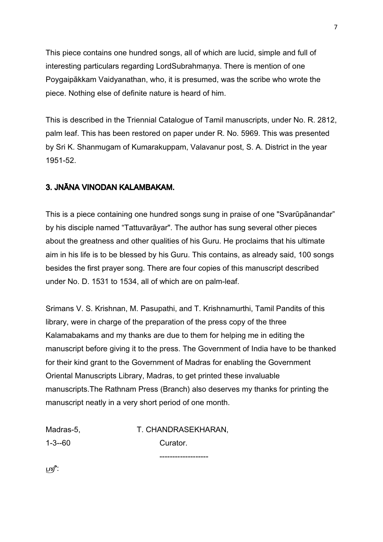This piece contains one hundred songs, all of which are lucid, simple and full of interesting particulars regarding LordSubrahmaṇya. There is mention of one Poygaipākkam Vaidyanathan, who, it is presumed, was the scribe who wrote the piece. Nothing else of definite nature is heard of him.

This is described in the Triennial Catalogue of Tamil manuscripts, under No. R. 2812, palm leaf. This has been restored on paper under R. No. 5969. This was presented by Sri K. Shanmugam of Kumarakuppam, Valavanur post, S. A. District in the year 1951-52.

## 3. JNĀNA VINODAN KALAMBAKAM.

This is a piece containing one hundred songs sung in praise of one "Svarūpānandar" by his disciple named "Tattuvarāyar". The author has sung several other pieces about the greatness and other qualities of his Guru. He proclaims that his ultimate aim in his life is to be blessed by his Guru. This contains, as already said, 100 songs besides the first prayer song. There are four copies of this manuscript described under No. D. 1531 to 1534, all of which are on palm-leaf.

Srimans V. S. Krishnan, M. Pasupathi, and T. Krishnamurthi, Tamil Pandits of this library, were in charge of the preparation of the press copy of the three Kalamabakams and my thanks are due to them for helping me in editing the manuscript before giving it to the press. The Government of India have to be thanked for their kind grant to the Government of Madras for enabling the Government Oriental Manuscripts Library, Madras, to get printed these invaluable manuscripts.The Rathnam Press (Branch) also deserves my thanks for printing the manuscript neatly in a very short period of one month.

Madras-5, T. CHANDRASEKHARAN, 1-3--60 Curator. -------------------

':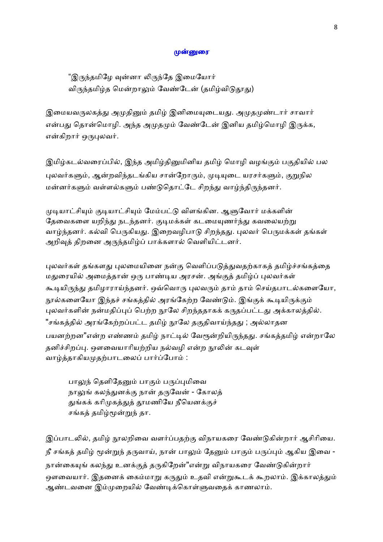### முன்னுரை

"இருந்தமிழே வுன்னா லிருந்தே இமையோர் விருந்தமிழ்த மென்றாலும் வேண்டேன் (தமிழ்விடுதூது)

இமையவருலகத்து அமுதினும் தமிழ் இனிமையுடையது. அமுதமுண்டார் சாவார் என்பது தொன்மொழி. அந்த அமுதமும் வேண்டேன் இனிய தமிழ்மொழி இருக்க, என்கிறார் ஒருபுலவர்.

இமிழ்கடல்வரைப்பில், இந்த அமிழ்தினுமினிய தமிழ் மொழி வழங்கும் பகுதியில் பல புலவர்களும், ஆன்றவிந்தடங்கிய சான்றோரும், முடியுடை யரசர்களும், குறுநில மன்னர்களும் வள்ளல்களும் பண்டுதொட்டே சிறந்து வாழ்ந்திருந்தனர்.

முடியாட்சியும் குடியாட்சியும் மேம்பட்டு விளங்கின. ஆளுவோர் மக்களின் தேவைகளை யறிந்து நடந்தனர். குடிமக்கள் கடமையுணர்ந்து கவலையற்று வாழ்ந்தனர். கல்வி பெருகியது. இறைவழிபாடு சிறந்தது. புலவர் பெருமக்கள் தங்கள் அறிவுத் திறனை அருந்தமிழ்ப் பாக்களால் வெளியிட்டனர்.

புலவர்கள் தங்களது புலமையினை நன்கு வெளிப்படுத்துவதற்காகத் தமிழ்ச்சங்கத்தை மதுரையில் அமைத்தான் ஒரு பாண்டிய அரசன். அங்குத் தமிழ்ப் புலவர்கள் கூடியிருந்து தமிழாராய்ந்தனர். ஒவ்வொரு புலவரும் தாம் தாம் செய்தபாடல்களையோ, நூல்களையோ இந்தச் சங்கத்தில் அரங்கேற்ற வேண்டும். இங்குக் கூடியிருக்கும் புலவர்களின் நன்மதிப்புப் பெற்ற நூலே சிறந்ததாகக் கருதப்பட்டது அக்காலத்தில். "சங்கத்தில் அரங்கேற்றப்பட்ட தமிழ் நூலே தகுதிவாய்ந்தது ; அல்லாதன பயனற்றன"என்ற எண்ணம் தமிழ் நாட்டில் வேரூன்றியிருந்தது. சங்கத்தமிழ் என்றாலே தனிச்சிறப்பு. ஔவையாரியற்றிய நல்வழி என்ற நூலின் கடவுள் வாழ்த்தாகியமுதற்பாடலைப் பார்ப்போம் :

பாலுந் தெளிதேனும் பாகும் பருப்புமிவை நாலுங் கலந்துனக்கு நான் தருவேன் - கோலத் துங்கக் கரிமுகத்துத் தூமணியே நீயெனக்குச் சங்கத் தமிழ்மூன்றுந் தா.

இப்பாடலில், தமிழ் நூலறிவை வளர்ப்பதற்கு விநாயகரை வேண்டுகின்றார் ஆசிரியை. நீ சங்கத் தமிழ் மூன்றுந் தருவாய், நான் பாலும் தேனும் பாகும் பருப்பும் ஆகிய இவை -நான்கையுங் கலந்து உனக்குத் தருகிறேன்"என்று விநாயகரை வேண்டுகின்றார் ஒளவையார். இதனைக் கைம்மாறு கருதும் உதவி என்றுகூடக் கூறலாம். இக்காலத்தும் ஆண்டவனை இம்முறையில் வேண்டிக்கொள்ளுவதைக் காணலாம்.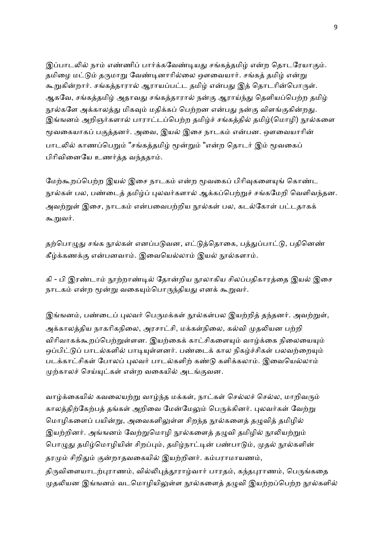இப்பாடலில் நாம் எண்ணிப் பார்க்கவேண்டியது சங்கத்தமிழ் என்ற தொடரேயாகும். தமிழை மட்டும் தருமாறு வேண்டினாரில்லை ஔவையார். சங்கத் தமிழ் என்று கூறுகின்றார். சங்கத்தாரால் ஆராயப்பட்ட தமிழ் என்பது இத் தொடரின்பொருள். ஆகவே, சங்கத்தமிழ் அதாவது சங்கத்தாரால் நன்கு ஆராய்ந்து தெளியப்பெற்ற தமிழ் நூல்களே அக்காலத்து மிகவும் மதிக்கப் பெற்றன என்பது நன்கு விளங்குகின்றது. இங்ஙனம் அறிஞர்களால் பாராட்டப்பெற்ற தமிழ்ச் சங்கத்தில் தமிழ்(மொழி) நூல்களை மூவகையாகப் பகுத்தனர். அவை, இயல் இசை நாடகம் என்பன. ஔவையாரின் பாடலில் காணப்பெறும் "சங்கத்தமிழ் மூன்றும் "என்ற தொடர் இம் மூவகைப் பிரிவினையே உணர்த்த வந்ததாம்.

மேற்கூறப்பெற்ற இயல் இசை நாடகம் என்ற மூவகைப் பிரிவுகளையுங் கொண்ட நூல்கள் பல, பண்டைத் தமிழ்ப் புலவர்களால் ஆக்கப்பெற்றுச் சங்கமேறி வெளிவந்தன. அவற்றுள் இசை, நாடகம் என்பவைபற்றிய நூல்கள் பல, கடல்கோள் பட்டதாகக் கூறுவர்.

தற்பொழுது சங்க நூல்கள் எனப்படுவன, எட்டுத்தொகை, பத்துப்பாட்டு, பதினெண் கீழ்க்கணக்கு என்பனவாம். இவையெல்லாம் இயல் நூல்களாம்.

கி - பி இரண்டாம் நூற்றாண்டில் தோன்றிய நூலாகிய சிலப்பதிகாரத்தை இயல் இசை நாடகம் என்ற மூன்று வகையும்பொருந்தியது எனக் கூறுவர்.

இங்ஙனம், பண்டைப் புலவர் பெருமக்கள் நூல்கள்பல இயற்றித் தந்தனர். அவற்றுள், அக்காலத்திய நாகரிகநிலை, அரசாட்சி, மக்கள்நிலை, கல்வி முகலியன பற்றி விரிவாகக்கூறப்பெற்றுள்ளன. இயற்கைக் காட்சிகளையும் வாழ்க்கை நிலையையும் ஒப்பிட்டுப் பாடல்களில் பாடியுள்ளனர். பண்டைக் கால நிகழ்ச்சிகள் பலவற்றையும் படக்காட்சிகள் போலப் புலவர் பாடல்களிற் கண்டு களிக்கலாம். இவையெல்லாம் முற்காலச் செய்யுட்கள் என்ற வகையில் அடங்குவன.

வாழ்க்கையில் கவலையற்று வாழ்ந்த மக்கள், நாட்கள் செல்லச் செல்ல, மாறிவரும் காலத்திற்கேற்பத் தங்கள் அறிவை மேன்மேலும் பெருக்கினர். புலவர்கள் வேற்று மொழிகளைப் பயின்று, அவைகளிலுள்ள சிறந்த நூல்களைத் தழுவித் தமிழில் இயற்றினர். அங்ஙனம் வேற்றுமொழி நூல்களைத் தழுவி தமிழில் நூலியற்றும் பொழுது தமிழ்மொழியின் சிறப்பும், தமிழ்நாட்டின் பண்பாடும், முதல் நூல்களின் தரமும் சிறிதும் குன்றாதவகையில் இயற்றினர். கம்பராமாயணம், திருவிளையாடற்புராணம், வில்லிபுத்தூராழ்வார் பாரதம், கந்தபுராணம், பெருங்கதை

முதலியன இங்ஙனம் வடமொழியிலுள்ள நூல்களைத் தழுவி இயற்றப்பெற்ற நூல்களில்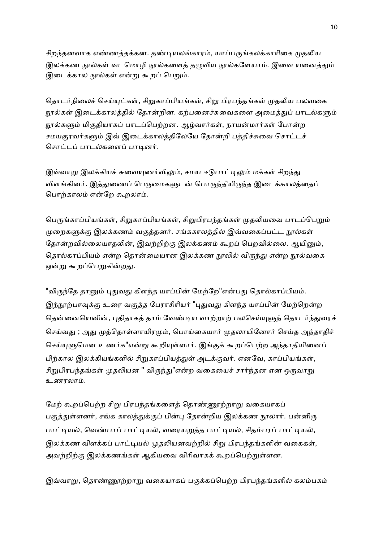சிறந்தனவாக எண்ணத்தக்கன. தண்டியலங்காரம், யாப்பருங்கலக்காரிகை முதலிய இலக்கண நூல்கள் வடமொழி நூல்களைக் கமுவிய நூல்களேயாம். இவை யனைத்தும் இடைக்கால நூல்கள் என்று கூறப் பெறும்.

தொடர்நிலைச் செய்யுட்கள், சிறுகாப்பியங்கள், சிறு பிரபந்தங்கள் முதலிய பலவகை நூல்கள் இடைக்காலத்தில் தோன்றின. கற்பனைச்சுவைகளை அமைத்துப் பாடல்களும் நூல்களும் மிகுதியாகப் பாடப்பெற்றன. ஆழ்வார்கள், நாயன்மார்கள் போன்ற சமயகுரவர்களும் இவ் இடைக்காலத்திலேயே தோன்றி பத்திச்சுவை சொட்டச் சொட்டப் பாடல்களைப் பாடினர்.

இவ்வாறு இலக்கியச் சுவையுணர்விலும், சமய ஈடுபாட்டிலும் மக்கள் சிறந்து விளங்கினர். இத்துணைப் பெருமைகளுடன் பொருந்தியிருந்த இடைக்காலத்தைப் பொற்காலம் என்றே கூறலாம்.

பெருங்காப்பியங்கள், சிறுகாப்பியங்கள், சிறுபிரபந்தங்கள் முதலியவை பாடப்பெறும் முறைகளுக்கு இலக்கணம் வகுத்தனர். சங்ககாலத்தில் இவ்வகைப்பட்ட நூல்கள் தோன்றவில்லையாதலின், இவற்றிற்கு இலக்கணம் கூறப் பெறவில்லை. ஆயினும், தொல்காப்பியம் என்ற தொன்மையான இலக்கண நூலில் விருந்து என்ற நூல்வகை ஒன்று கூறப்பெறுகின்றது.

"விருந்தே தானும் புதுவது கிளந்த யாப்பின் மேற்றே"என்பது தொல்காப்பியம். இந்நூற்பாவுக்கு உரை வகுத்த பேராசிரியர் "புதுவது கிளந்த யாப்பின் மேற்றென்ற தென்னையெனின், புதிதாகத் தாம் வேண்டிய வாற்றாற் பலசெய்யுளுந் தொடர்ந்துவரச் செய்வது ; அது முத்தொள்ளாயிரமும், பொய்கையார் முதலாயினோர் செய்த அந்தாதிச் செய்யுளுமென உணர்க"என்று கூறியுள்ளார். இங்குக் கூறப்பெற்ற அந்தாதியினைப் பிற்கால இலக்கியங்களில் சிறுகாப்பியத்துள் அடக்குவர். எனவே, காப்பியங்கள், சிறுபிரபந்தங்கள் முதலியன " விருந்து"என்ற வகையைச் சார்ந்தன என ஒருவாறு உணரலா.

மேற் கூறப்பெற்ற சிறு பிரபந்தங்களைத் தொண்ணூற்றாறு வகையாகப் பகுத்துள்ளனர், சங்க காலத்துக்குப் பின்பு தோன்றிய இலக்கண நூலார். பன்னிரு பாட்டியல், வெண்பாப் பாட்டியல், வரையறுத்த பாட்டியல், சிதம்பரப் பாட்டியல், இலக்கண விளக்கப் பாட்டியல் முதலியனவற்றில் சிறு பிரபந்தங்களின் வகைகள், அவற்றிற்கு இலக்கணங்கள் ஆகியவை விரிவாகக் கூறப்பெற்றுள்ளன.

இவ்வாறு, தொண்ணூற்றாறு வகையாகப் பகுக்கப்பெற்ற பிரபந்தங்களில் கலம்பகம்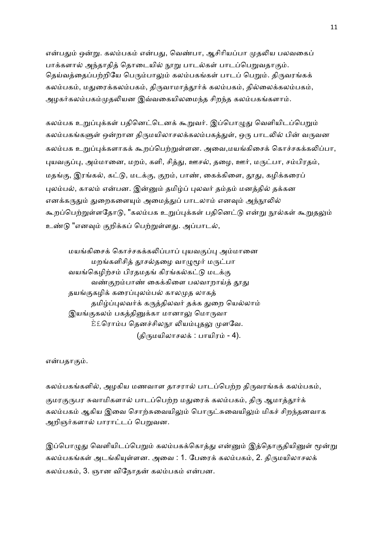என்பதும் ஒன்று. கலம்பகம் என்பது, வெண்பா, ஆசிரியப்பா முதலிய பலவகைப் பாக்களால் அந்தாதித் தொடையில் நூறு பாடல்கள் பாடப்பெறுவதாகும். தெய்வத்தைப்பற்றியே பெரும்பாலும் கலம்பகங்கள் பாடப் பெறும். திருவரங்கக் கலம்பகம், மதுரைக்கலம்பகம், திருவாமாத்தூர்க் கலம்பகம், தில்லைக்கலம்பகம், அழகர்கலம்பகம்முதலியன இவ்வகையிலமைந்த சிறந்த கலம்பகங்களாம்.

கலம்பக உறுப்புக்கள் பதினெட்டெனக் கூறுவர். இப்பொழுது வெளியிடப்பெறும் கலம்பகங்களுள் ஒன்றான திருமயிலாசலக்கலம்பகத்துள், ஒரு பாடலில் பின் வருவன கலம்பக உறுப்புக்களாகக் கூறப்பெற்றுள்ளன. அவை,மயங்கிசைக் கொச்சகக்கலிப்பா, புயவகுப்பு, அம்மானை, மறம், களி, சித்து, ஊசல், தழை, ஊர், மருட்பா, சம்பிரதம், மதங்கு, இரங்கல், கட்டு, மடக்கு, குறம், பாண், கைக்கிளை, தூது, கழிக்கரைப் புலம்பல், காலம் என்பன. இன்னும் தமிழ்ப் புலவர் தம்தம் மனத்தில் தக்கன எனக்கருதும் துறைகளையும் அமைத்துப் பாடலாம் எனவும் அந்நூலில் கூறப்பெற்றுள்ளதோடு, "கலம்பக உறுப்புக்கள் பதினெட்டு என்று நூல்கள் கூறுதலும் உண்டு "எனவும் குறிக்கப் பெற்றுள்ளது. அப்பாடல்,

மயங்கிசைக் கொச்சகக்கலிப்பாப் புயவகுப்பு அம்மானை மறங்களிசித் தூசல்தழை வாழுமூர் மருட்பா வயங்கெழிற்சம் பிரதமதங் கிரங்கல்கட்டு மடக்கு வண்குறம்பாண் கைக்கிளை பலவாறாய்த் தூது தயங்குகழிக் கரைப்புலம்பல் காலமுத லாகத் தமிழ்ப்புலவர்க் கருத்திலவர் தக்க துறை யெல்லாம் இயங்குகலம் பகத்தினுக்கா மானாலு மொருவா <u>È£ரொம்ப த</u>ெனச்சிலநூ லியம்புதலு முளவே. (திருமயிலாசலக் : பாயிரம் - 4).

என்பதாகும்.

கலம்பகங்களில், அழகிய மணவாள தாசரால் பாடப்பெற்ற திருவரங்கக் கலம்பகம், குமரகுருபர சுவாமிகளால் பாடப்பெற்ற மதுரைக் கலம்பகம், திரு ஆமாத்தூர்க் கலம்பகம் ஆகிய இவை சொற்சுவையிலும் பொருட்சுவையிலும் மிகச் சிறந்தனவாக அறிஞர்களால் பாராட்டப் பெறுவன.

இப்பொழுது வெளியிடப்பெறும் கலம்பகக்கொத்து என்னும் இத்தொகுதியினுள் மூன்று கலம்பகங்கள் அடங்கியுள்ளன. அவை : 1. பேரைக் கலம்பகம், 2. கிருமயிலாசலக் கலம்பகம், 3. ஞான விநோதன் கலம்பகம் என்பன.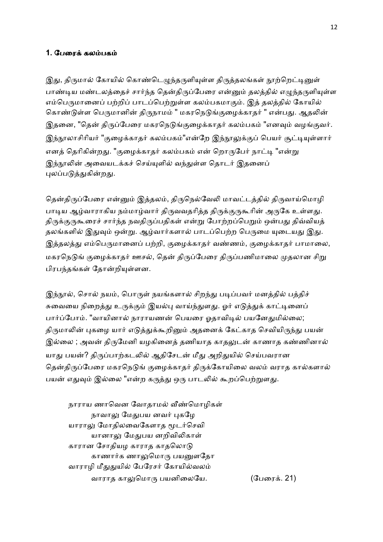## 1. பேரைக் கலம்பகம்

இது, திருமால் கோயில் கொண்டெழுந்தருளியுள்ள திருத்தலங்கள் நூற்றெட்டினுள் பாண்டிய மண்டலத்தைச் சார்ந்த தென்திருப்பேரை என்னும் தலத்தில் எழுந்தருளியுள்ள எம்பெருமானைப் பற்றிப் பாடப்பெற்றுள்ள கலம்பகமாகும். இத் தலத்தில் கோயில் கொண்டுள்ள பெருமானின் திருநாமம் " மகரநெடுங்குழைக்காதர் " என்பது. ஆதலின் இதனை, "தென் திருப்பேரை மகரநெடுங்குழைக்காதர் கலம்பகம் "எனவும் வழங்குவர். இந்நூலாசிரியர் "குழைக்காதர் கலம்பகம்"என்றே இந்நூலுக்குப் பெயர் சூட்டியுள்ளார் எனத் தெரிகின்றது. "குழைக்காதர் கலம்பகம் என் றொருபேர் நாட்டி "என்று இந்நூலின் அவையடக்கச் செய்யுளில் வந்துள்ள தொடர் இதனைப் புலப்படுத்துகின்றது.

தென்திருப்பேரை என்னும் இத்தலம், திருநெல்வேலி மாவட்டத்தில் திருவாய்மொழி பாடிய ஆழ்வாராகிய நம்மாழ்வார் திருவவதரித்த திருக்குருகூரின் அருகே உள்ளது. திருக்குருகூரைச் சார்ந்த நவதிருப்பதிகள் என்று போற்றப்பெறும் ஒன்பது திவ்வியத் தலங்களில் இதுவும் ஒன்று. ஆழ்வார்களால் பாடப்பெற்ற பெருமை யுடையது இது. இத்தலத்து எம்பெருமானைப் பற்றி, குழைக்காதர் வண்ணம், குழைக்காதர் பாமாலை, மகரநெடுங் குழைக்காதர் ஊசல், தென் திருப்பேரை திருப்பணிமாலை முதலான சிறு பிரபந்தங்கள் தோன்றியுள்ளன.

இந்நூல், சொல் நயம், பொருள் நயங்களால் சிறந்து படிப்பவர் மனத்தில் பத்திச் சுவையை நிறைத்து உருக்கும் இயல்பு வாய்ந்துளது. ஓர் எடுத்துக் காட்டினைப் பார்ப்போம். "வாயினால் நாராயணன் பெயரை ஓதாவிடில் பயனேதுமில்லை; திருமாலின் புகழை யார் எடுத்துக்கூறினும் அதனைக் கேட்காத செவியிருந்து பயன் இல்லை ; அவன் திருமேனி யழகினைத் தணியாத காதலுடன் காணாத கண்ணினால் யாது பயன்? திருப்பாற்கடலில் ஆதிசேடன் மீது அறிதுயில் செய்பவரான தென்திருப்பேரை மகரநெடுங் குழைக்காதர் திருக்கோயிலை வலம் வராத கால்களால் பயன் எதுவும் இல்லை "என்ற கருத்து ஒரு பாடலில் கூறப்பெற்றுளது.

நாராய ணாவென வோதாமல் வீண்மொழிகள் நாவாலு மேதுபய னவர் புகழே யாராலு மோதிலவைகேளாத மூடர்செவி யானாலு மேதுபய னறிவிலிகாள் காரான சோதியழ காராத காதலொடு காணார்க ணாலுமொரு பயனுளதோ வாராழி மீதுதுயில் பேரேசர் கோயில்வலம் வாராத காலுமொரு பயனிலையே. (பேரைக். 21)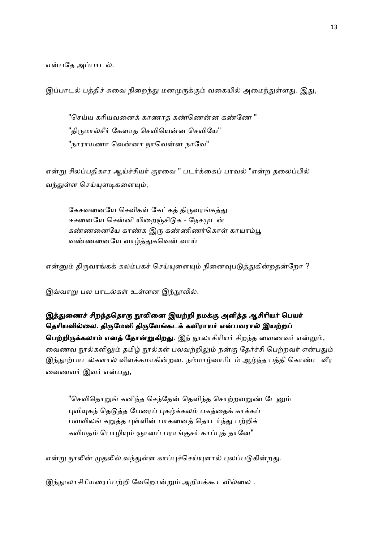என்பதே அப்பாடல்.

இப்பாடல் பத்திச் சுவை நிறைந்து மனமுருக்கும் வகையில் அமைந்துள்ளது. இது,

"செய்ய கரியவனைக் காணாத கண்ணென்ன கண்ணே " "திருமால்சீர் கேளாத செவியென்ன செவியே" "நாராயணா வென்னா நாவென்ன நாவே"

என்று சிலப்பதிகார ஆய்ச்சியர் குரவை " படர்க்கைப் பரவல் "என்ற தலைப்பில் வந்துள்ள செய்யுளடிகளையும்,

கேசவனையே செவிகள் கேட்கத் திருவரங்கத்து ஈசனையே சென்னி யிறைஞ்சிடுக - நேசமுடன் கண்ணனையே காண்க இரு கண்ணிணர்கொள் காயாம்பூ வண்ணனையே வாழ்த்துகவென் வாய்

என்னும் திருவரங்கக் கலம்பகச் செய்யுளையும் நினைவுபடுத்துகின்றதன்றோ ?

இவ்வாறு பல பாடல்கள் உள்ளன இந்நூலில்.

## இத்துணைச் சிறந்ததொரு நூலினை இயற்றி நமக்கு அளித்த ஆசிரியர் பெயர் தெரியவில்லை. திருமேனி திருவேங்கடக் கவிராயர் என்பவரால் இயற்றப்

**பெற்றிருக்கலாம் எனத் தோன்றுகிறது**. இந் நூலாசிரியர் சிறந்த வைணவர் என்றும், வைணவ நூல்களிலும் தமிழ் நூல்கள் பலவற்றிலும் நன்கு தேர்ச்சி பெற்றவர் என்பதும் இந்நூற்பாடல்களால் விளக்கமாகின்றன. நம்மாழ்வாரிடம் ஆழ்ந்த பத்தி கொண்ட வீர வைணவர் இவர் என்பது,

"செவிதொறுங் கனிந்த செந்தேன் தெளிந்த சொற்றவறுண் டேனும் புவியுகந் தெடுத்த பேரைப் புகழ்க்கலம் பகத்தைக் காக்கப் பவவிலங் கறுத்த புள்ளின் பாகனைத் தொடர்ந்து பற்றிக் கவிமதம் பொழியும் ஞானப் பராங்குசர் காப்புத் தானே"

என்று நூலின் முதலில் வந்துள்ள காப்புச்செய்யுளால் புலப்படுகின்றது.

இந்நூலாசிரியரைப்பற்றி வேறொன்றும் அறியக்கூடவில்லை .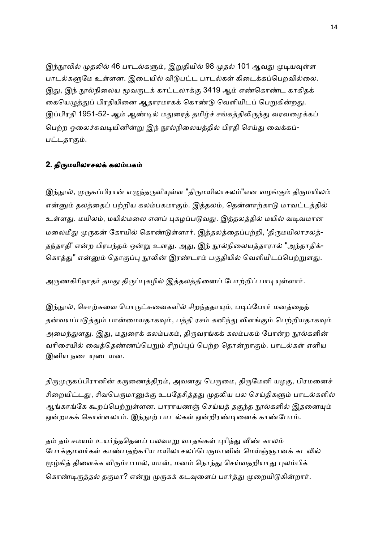இந்நூலில் முதலில் 46 பாடல்களும், இறுதியில் 98 முதல் 101 ஆவது முடியவுள்ள பாடல்களுமே உள்ளன. இடையில் விடுபட்ட பாடல்கள் கிடைக்கப்பெறவில்லை. இது, இந் நூல்நிலைய மூவருடக் காட்டலாக்கு 3419 ஆம் எண்கொண்ட காகிதக் கையெழுத்துப் பிரதியினை ஆதாரமாகக் கொண்டு வெளியிடப் பெறுகின்றது. இப்பிரதி 1951-52- ஆம் ஆண்டில் மதுரைத் தமிழ்ச் சங்கத்திலிருந்து வரவழைக்கப் பெற்ற ஓலைச்சுவடியினின்று இந் நூல்நிலையத்தில் பிரதி செய்து வைக்கப்-பட்டதாகும்.

## 2. திருமயிலாசலக் கலம்பகம்

இந்நூல், முருகப்பிரான் எழுந்தருளியுள்ள "திருமயிலாசலம்"என வழங்கும் திருமயிலம் என்னும் தலத்தைப் பற்றிய கலம்பகமாகும். இத்தலம், தென்னாற்காடு மாவட்டத்தில் உள்ளது. மயிலம், மயில்மலை எனப் புகழப்படுவது. இத்தலத்தில் மயில் வடிவமான மலைமீது முருகன் கோயில் கொண்டுள்ளார். இத்தலத்தைப்பற்றி, 'திருமயிலாசலத்-தந்தாதி' என்ற பிரபந்தம் ஒன்று உளது. அது, இந் நூல்நிலையத்தாரால் "அந்தாதிக்-கொத்து" என்னும் தொகுப்பு நூலின் இரண்டாம் பகுதியில் வெளியிடப்பெற்றுளது.

அருணகிரிநாதர் தமது திருப்புகழில் இத்தலத்தினைப் போற்றிப் பாடியுள்ளார்.

இந்நூல், சொற்சுவை பொருட்சுவைகளில் சிறந்ததாயும், படிப்போர் மனத்தைத் தன்வயப்படுத்தும் பான்மையதாகவும், பத்தி ரசம் கனிந்து விளங்கும் பெற்றியதாகவும் அமைந்துளது. இது, மதுரைக் கலம்பகம், திருவரங்கக் கலம்பகம் போன்ற நூல்களின் வரிசையில் வைத்தெண்ணப்பெறும் சிறப்புப் பெற்ற தொன்றாகும். பாடல்கள் எளிய இனிய நடையுடையன.

திருமுருகப்பிரானின் கருணைத்திறம், அவனது பெருமை, திருமேனி யழகு, பிரமனைச் சிறையிட்டது, சிவபெருமானுக்கு உபதேசித்தது முதலிய பல செய்திகளும் பாடல்களில் ஆங்காங்கே கூறப்பெற்றுள்ளன. பாராயணஞ் செய்யத் தகுந்த நூல்களில் இதனையும் ஒன்றாகக் கொள்ளலாம். இந்நூற் பாடல்கள் ஒன்றிரண்டினைக் காண்போம்.

தம் தம் சமயம் உயர்ந்ததெனப் பலவாறு வாதங்கள் புரிந்து வீண் காலம் போக்குமவர்கள் காண்பதற்கரிய மயிலாசலப்பெருமானின் மெய்ஞ்ஞானக் கடலில் மூழ்கித் திளைக்க விரும்பாமல், யான், மனம் நொந்து செய்வதறியாது புலம்பிக் கொண்டிருத்தல் தகுமா? என்று முருகக் கடவுளைப் பார்த்து முறையிடுகின்றார்.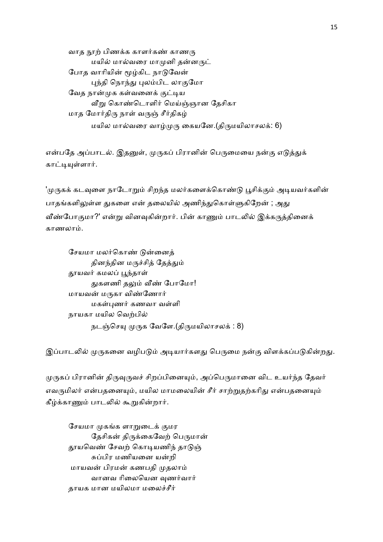வாத நூற் பிணக்க காளர்கண் காணரு மயில் மால்வரை மாமுனி தன்னருட் போத வாரியின் மூழ்கிட நாடுவேன் புந்தி நொந்து புலம்பிட லாகுமோ வேத நான்முக கள்வனைக் குட்டிய வீறு கொண்டொளிர் மெய்ஞ்ஞான தேசிகா மாத மோர்திரு நாள் வருஞ் சீர்திகழ் மயில மால்வரை வாழ்முரு கையனே.(திருமயிலாசலக்: 6)

என்பதே அப்பாடல். இதனுள், முருகப் பிரானின் பெருமையை நன்கு எடுத்துக் காட்டியுள்ளார்.

'முருகக் கடவுளை நாடோறும் சிறந்த மலர்களைக்கொண்டு பூசிக்கும் அடியவர்களின் பாதங்களிலுள்ள துகளை என் தலையில் அணிந்துகொள்ளுகிறேன் ; அது வீண்போகுமா?' என்று வினவுகின்றார். பின் காணும் பாடலில் இக்கருத்தினைக் காணலா.

சேயமா மலர்கொண் டுன்னைத் தினந்தின மருச்சித் தேத்தும் தூயவர் கமலப் பூந்தாள் துகளணி தலும் வீண் போமோ! மாயவன் மருகா விண்ணோர் மகள்புணர் கணவா வள்ளி நாயகா மயில வெற்பில் நடஞ்செயு முருக வேளே.(திருமயிலாசலக்: 8)

இப்பாடலில் முருகனை வழிபடும் அடியார்களது பெருமை நன்கு விளக்கப்படுகின்றது.

முருகப் பிரானின் திருவுருவச் சிறப்பினையும், அப்பெருமானை விட உயர்ந்த தேவர் எவருமிலர் என்பதனையும், மயில மாமலையின் சீர் சாற்றுதற்கரிது என்பதனையும் கீழ்க்காணும் பாடலில் கூறுகின்றார்.

சேயமா முகங்க ளாறுடைக் குமர தேசிகன் திருக்கைவேற் பெருமான் தூயவெண் சேவற் கொடியணிந் தாடுஞ் சுப்பிர மணியனை யன்றி மாயவன் பிரமன் கணபதி முதலாம் வானவ ரிலையென வுணர்வார் தாயக மான மயிலமா மலைச்சீர்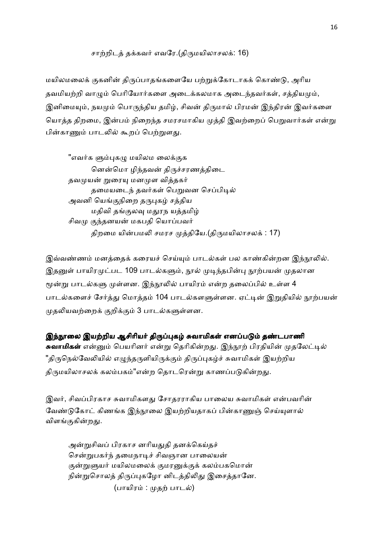## சாற்றிடத் தக்கவர் எவரே.(திருமயிலாசலக்: 16)

மயிலமலைக் குகனின் திருப்பாதங்களையே பற்றுக்கோடாகக் கொண்டு, அரிய தவமியற்றி வாமும் பெரியோர்களை அடைக்கலமாக அடைந்தவர்கள், சக்கியமும், இனிமையும், நயமும் பொருந்திய தமிழ், சிவன் திருமால் பிரமன் இந்திரன் இவர்களை யொத்த திறமை, இன்பம் நிறைந்த சமரசமாகிய முத்தி இவற்றைப் பெறுவார்கள் என்று பின்காணும் பாடலில் கூறப் பெற்றுளது.

"எவர்க ளும்புகழு மயிலம லைக்குக னென்மொ ழிந்தவன் திருச்சரணத்திடை தவமுயன் றுரையு மனமுள வித்தகர் தமையடைந் தவர்கள் பெறுவன செப்பிடில் அவனி யெங்குநிறை தருபுகம் சத்திய மதிவி தங்குலவு மதுரந யத்தமிழ் சிவமு குந்தனயன் மகபதி யொப்பவர் திறமை யின்பமலி சமரச முத்தியே.(திருமயிலாசலக் : 17)

இவ்வண்ணம் மனத்தைக் கரையச் செய்யும் பாடல்கள் பல காண்கின்றன இந்நூலில். இதனுள் பாயிரமுட்பட 109 பாடல்களும், நூல் முடிந்தபின்பு நூற்பயன் முதலான மூன்று பாடல்களு முள்ளன. இந்நூலில் பாயிரம் என்ற தலைப்பில் உள்ள 4 பாடல்களைச் சேர்த்து மொத்தம் 104 பாடல்களளுள்ளன. ஏட்டின் இறுதியில் நூற்பயன் முதலியவற்றைக் குறிக்கும் 3 பாடல்களுள்ளன.

இந்நூலை இயற்றிய ஆசிரியர் திருப்புகழ் சுவாமிகள் எனப்படும் தண்டபாணி **சுவாமிகள்** என்னும் பெயரினர் என்று தெரிகின்றது. இந்நூற் பிரதியின் முதலேட்டில் "திருநெல்வேலியில் எழுந்தருளியிருக்கும் திருப்புகழ்ச் சுவாமிகள் இயற்றிய திருமயிலாசலக் கலம்பகம்"என்ற தொடரென்று காணப்படுகின்றது.

இவர், சிவப்பிரகாச சுவாமிகளது சோதரராகிய பாலைய சுவாமிகள் என்பவரின் வேண்டுகோட் கிணங்க இந்நூலை இயற்றியதாகப் பின்காணுஞ் செய்யுளால் விளங்குகின்றது.

அன்றுசிவப் பிரகாச னரியதுதி தனக்கெய்தச் சென்றுபகர்ந் தமைநாடிச் சிவஞான பாலையன் குன்றுளுயர் மயிலமலைக் குமரனுக்குக் கலம்பகமொன் நின்றுசொலத் திருப்புகழோ னிடத்திலிது இசைத்தானே. (பாயிரம் : முதற் பாடல்)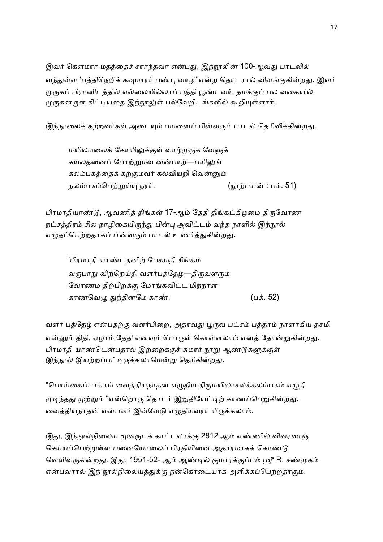இவர் கௌமார மதத்தைச் சார்ந்தவர் என்பது, இந்நூலின் 100-ஆவது பாடலில் வந்துள்ள 'பத்திநெறிக் கவுமாரர் பண்பு வாழி"என்ற தொடரால் விளங்குகின்றது. இவர் முருகப் பிரானிடத்தில் எல்லையில்லாப் பத்தி பூண்டவர். தமக்குப் பல வகையில் முருகனருள் கிட்டியதை இந்நூலுள் பல்வேறிடங்களில் கூறியுள்ளார்.

இந்நூலைக் கற்றவர்கள் அடையும் பயனைப் பின்வரும் பாடல் தெரிவிக்கின்றது.

மயிலமலைக் கோயிலுக்குள் வாழ்முருக வேளுக் கயலதனைப் போற்றுமவ னன்பாற்—பயிலுங் கலம்பகத்தைக் கற்குமவர் கல்வியறி வென்னும் நலம்பகம்பெற்றுய்யு நரர்.  $(n_{\text{F}}\dot{m})$ பயன் : பக். 51)

பிரமாதியாண்டு, ஆவணித் திங்கள் 17-ஆம் தேதி திங்கட்கிழமை திருவோண நட்சத்திரம் சில நாழிகையிருந்து பின்பு அவிட்டம் வந்த நாளில் இந்நூல் எழுதப்பெற்றதாகப் பின்வரும் பாடல் உணர்த்துகின்றது.

'பிரமாதி யாண்டதனிற் பேசுமதி சிங்கம் வருபாநு விற்றெய்தி வளர்பத்தேழ்—திருவளரும் வோணம திற்பிறக்கு மோங்கவிட்ட மிந்நாள் காணெவE &%தினேம கா.. (ப. 52)

வளர் பத்தேழ் என்பதற்கு வளர்பிறை, அதாவது பூருவ பட்சம் பத்தாம் நாளாகிய தசமி என்னும் திதி, ஏழாம் தேதி எனவும் பொருள் கொள்ளலாம் எனத் தோன்றுகின்றது. பிரமாதி யாண்டென்பதால் இற்றைக்குச் சுமார் நூறு ஆண்டுகளுக்குள் இந்நூல் இயற்றப்பட்டிருக்கலாமென்று தெரிகின்றது.

"பொய்கைப்பாக்கம் வைத்தியநாதன் எழுதிய திருமயிலாசலக்கலம்பகம் எழுதி முடிந்தது முற்றும் "என்றொரு தொடர் இறுதியேட்டிற் காணப்பெறுகின்றது. வைத்தியநாதன் என்பவர் இவ்வேடு எழுதியவரா யிருக்கலாம்.

இது, இந்நூல்நிலைய மூவருடக் காட்டலாக்கு 2812 ஆம் எண்ணில் விவரணஞ் செய்யப்பெற்றுள்ள பனையோலைப் பிரதியினை ஆதாரமாகக் கொண்டு வெளிவருகின்றது. இது, 1951-52- ஆம் ஆண்டில் குமாரக்குப்பம் ஸ்ரீ R. சண்முகம் என்பவரால் இந் நூல்நிலையத்துக்கு நன்கொடையாக அளிக்கப்பெற்றதாகும்.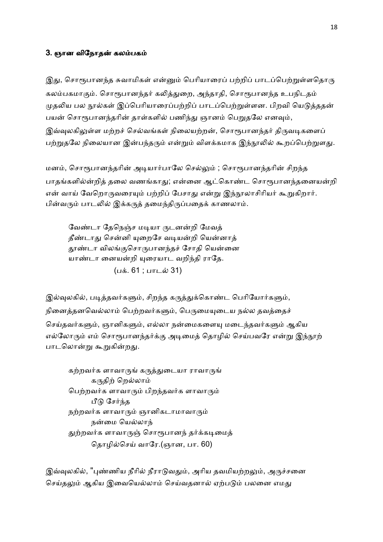## 3. ஞான விநோதன் கலம்பகம்

இது, சொரூபானந்த சுவாமிகள் என்னும் பெரியாரைப் பற்றிப் பாடப்பெற்றுள்ளதொரு கலம்பகமாகும். சொரூபானந்தர் கலித்துறை, அந்தாதி, சொரூபானந்த உபநிடதம் முதலிய பல நூல்கள் இப்பெரியாரைப்பற்றிப் பாடப்பெற்றுள்ளன. பிறவி யெடுத்ததன் பயன் சொரூபானந்தரின் தாள்களில் பணிந்து ஞானம் பெறுதலே எனவும், இவ்வுலகிலுள்ள மற்றச் செல்வங்கள் நிலையற்றன், சொரூபானந்தர் திருவடிகளைப் பற்றுதலே நிலையான இன்பந்தரும் என்றும் விளக்கமாக இந்நூலில் கூறப்பெற்றுளது.

மனம், சொரூபானந்தரின் அடியார்பாலே செல்லும் ; சொரூபானந்தரின் சிறந்த பாதங்களில்ன்றித் தலை வணங்காது; என்னை ஆட்கொண்ட சொரூபானந்தனையன்றி என் வாய் வேறொருவரையும் பற்றிப் பேசாது என்று இந்நூலாசிரியர் கூறுகிறார். பின்வரும் பாடலில் இக்கருத் தமைந்திருப்பதைக் காணலாம்.

வேண்டா தேநெஞ்ச மடியா ருடனன்றி மேவத் தீண்டாது சென்னி யுறைசே வடியன்றி யென்னாத் தூண்டா விலங்குசொருபானந்தச் சோதி யென்னை யாண்டா னையன்றி யுரையாட வறிந்தி ராதே. (பக். 61 ; பாடல் 31)

இல்வுலகில், படித்தவர்களும், சிறந்த கருத்துக்கொண்ட பெரியோர்களும், நினைத்தனவெல்லாம் பெற்றவர்களும், பெருமையுடைய நல்ல தவத்தைச் செய்தவர்களும், ஞானிகளும், எல்லா நன்மைகளையு மடைந்தவர்களும் ஆகிய எல்லோரும் எம் சொரூபானந்தர்க்கு அடிமைத் தொழில் செய்பவரே என்று இந்நூற் பாடலொன்று கூறுகின்றது.

கற்றவர்க ளாவாருங் கருத்துடையா ராவாருங் கருதிற் றெல்லாம் பெற்றவர்க ளாவாரும் பிறந்தவர்க ளாவாரும் பீடு சேர்ந்த நற்றவர்க ளாவாரும் ஞானிகடாமாவாரும் நன்மை யெல்லாந் துற்றவர்க ளாவாருஞ் சொரூபானந் தர்க்கடிமைத் தொழில்செய் வாரே.(ஞான, பா. 60)

இவ்வுலகில், "புண்ணிய நீரில் நீராடுவதும், அரிய தவமியற்றலும், அருச்சனை செய்தலும் ஆகிய இவையெல்லாம் செய்வதனால் ஏற்படும் பலனை எமது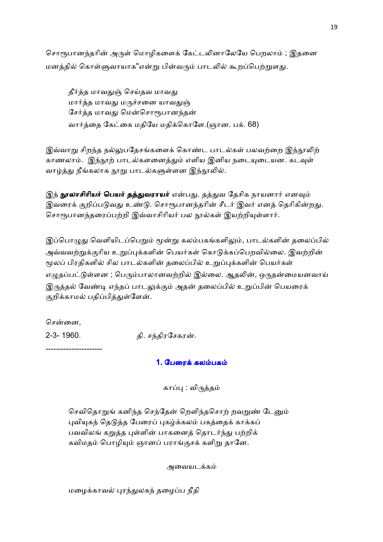சொரூபானந்தரின் அருள் மொழிகளைக் கேட்டலினாலேயே பெறலாம் ; இதனை மனத்தில் கொள்ளுவாயாக"என்று பின்வரும் பாடலில் கூறப்பெற்றுளது.

தீர்த்த மாவதுஞ் செய்தவ மாவது மார்த்த மாவது மருச்சனை யாவதுஞ் சேர்த்த மாவது மென்சொரூபானந்தன் வார்த்தை கேட்கை மதியே மதிக்கொளே.(ஞான. பக். 68)

இவ்வாறு சிறந்த நல்லுபதேசங்களைக் கொண்ட பாடல்கள் பலவற்றை இந்நூலிற் காணலாம். இந்நூற் பாடல்களனைத்தும் எளிய இனிய நடையுடையன. கடவுள் வாழ்த்து நீங்கலாக நூறு பாடல்களுள்ளன இந்நூலில்.

இந் **நூலாசிரியர் பெயர் தத்துவராயர்** என்பது. தத்துவ தேசிக நாயனார் எனவும் இவரைக் குறிப்படுவது உண்டு. சொரூபானந்தரின் சீடர் இவர் எனத் தெரிகின்றது. சொரூபானந்தரைப்பற்றி இவ்வாசிரியர் பல நூல்கள் இயற்றியுள்ளார்.

இப்பொழுது வெளியிடப்பெறும் மூன்று கலம்பகங்களிலும், பாடல்களின் தலைப்பில் அவ்வவற்றுக்குரிய உறுப்புக்களின் பெயர்கள் கொடுக்கப்பெறவில்லை. இவற்றின் மூலப் பிரதிகளில் சில பாடல்களின் தலைப்பில் உறுப்புக்களின் பெயர்கள் எழுதப்பட்டுள்ளன ; பெரும்பாலானவற்றில் இல்லை. ஆதலின், ஒருதன்மையனவாய் இருத்தல் வேண்டி எந்தப் பாடலுக்கும் அதன் தலைப்பில் உறுப்பின் பெயரைக் குறிக்காமல் பதிப்பித்துள்ளேன்.

சென்னை,

2-3- 1960. தி. ச%திரேசகர-.

----------------------

## 1. பேரைக் கலம்பகம்

காப்பு : விருத்தம்

செவிதொறுங் கனிந்த செந்தேன் றெளிந்தசொற் றவறுண் டேனும் பவியகந் தெடுத்த பேரைப் புகழ்க்கலம் பகத்தைக் காக்கப் பவவிலங் கறுத்த புள்ளின் பாகனைத் தொடர்ந்து பற்றிக் கவிமதம் பொழியும் ஞானப் பராங்குசக் களிறு தானே.

அைவயடக

மழைக்காவல் புரந்துலகந் தழைப்ப நீதி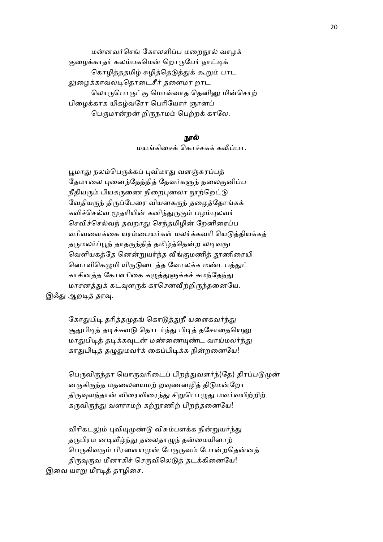மன்னவர்செங் கோலளிப்ப மறைநூல் வாழக் குழைக்காதர் கலம்பகமென் றொருபேர் நாட்டிக் கொழித்ததமிழ் சுழித்தெடுத்துக் கூறும் பாட லுழைக்காவலடிதொடைசீர் தளைமா றாட லொருபொருட்கு மொவ்வாத தெனினு மின்சொற் பிழைக்காக யிகம்வரோ பெரியோர் ஞானப் பெருமான்றன் றிருநாமம் பெற்றக் காலே.

### நால்

மயங்கிசைக் கொச்சகக் கலிப்பா.

பூமாது நலம்பெருக்கப் புவிமாது வளஞ்சுரப்பக் தேமாலை புனைந்தேத்தித் தேவர்களுந் தலைகுனிப்ப நீதியரும் பியகருணை நிறைபுனலா நூற்றெட்டு வேதியருந் திருப்பேரை வியனகருந் தழைத்தோங்கக் கவிச்செல்வ மூதரியின் கனிந்துருகும் பழம்புலவர் செவிச்செல்வந் தவறாது செந்தமிழின் றேனிரைப்ப வரிவளைக்கை யரம்பையர்கள் மலர்க்கவரி யெடுத்தியக்கத் தருமலர்ப்பூந் தாதருந்தித் தமிழ்த்தென்ற லடிவருட வெளியகத்தே னென்றுயர்ந்த வீங்குமணித் தூணிரையி னொளிகெழுமி யிருடுடைத்த வோலக்க மண்டபத்துட் காசினத்த கோளரிகை கழுத்துளுக்கச் சுமந்தேந்து மாசனத்துக் கடவுளருக் கரசெனவீற்றிருந்தனையே. இஃது ஆறடித் தரவு.

> கோதுபிடி தரித்தமுதங் கொடுத்துநீ யளைகவர்ந்து சூதுபிடித் தடிச்சுவடு தொடர்ந்து பிடித் தசோதையெனு மாதுபிடித் தடிக்கவுடன் மண்ணையுண்ட வாய்மலர்ந்து காதுபிடித் தழுதுமவர்க் கைப்பிடிக்க நின்றனையே!

பெருவிருந்தா யொருவரிடைப் பிறந்துவளர்ந்(தே) திரப்படுமுன் னருகிருந்த மதலையைமற் றவுணனழித் திடுமன்றோ திருவுளந்தான் விரைவிரைந்து சிறுபொழுது மவர்வயிற்றிற் கருவிருந்து வளராமற் கற்றூணிற் பிறந்தனையே!

விரிகடலும் புவியுமுண்டு விசும்பளக்க நின்றுயர்ந்து தருபிரம னடிவீழ்ந்து தலைதாழுந் தன்மையினாற் பெருகிவரும் பிரளையமுன் பேருருவம் போன்றதென்னத் திருவுருவ மீனாகிச் செருவிலெடுத் தடக்கினையே! இவை யாறு மீரடித் தாழிசை.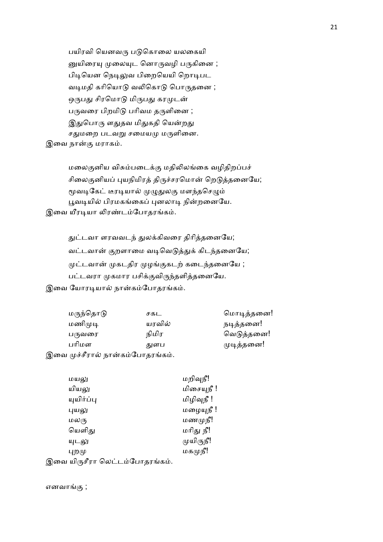பயிரவி யெனவரு படுகொலை யலகையி னுயிரையு முலையுட னொருவழி பருகினை ; பிடியென நெடிலுவ பிறையெயி றொடிபட வடிமதி கரியொடு வலிகொடு பொருதனை ; ஒருபது சிரமொடு மிருபது கரமுடன் பருவரை பிறமிடு பரிவம தருளினை ; இதுபொரு ளதுதவ மிதுகதி யென்றது சதுமறை படவறு சமையமு மருளினை. இவை நான்கு மராகம்.

மலைகுனிய விசும்படைக்கு மதிலிலங்கை வழிதிறப்பச் சிலைகுனியப் புயநிமிரத் திருச்சரமொன் றெடுத்தனையே; மூவடிகேட் டீரடியால் முழுதுலகு மளந்தசெழும் பூவடியில் பிரமகங்கைப் புனலாடி நின்றனையே. இவை யீரடியா லிரண்டம்போதரங்கம்.

> துட்டவா ளரவவடந் துலக்கிவரை திரித்தனையே; வட்டவான் குறளாமை வடிவெடுத்துக் கிடந்தனையே; முட்டவான் முகடதிர முழங்குகடற் கடைந்தனையே ; பட்டவரா முகமார பசிக்குவிருந்தளித்தனையே.

இவை யோரடியால் நான்கம்போதரங்கம்.

| மருந்தொடு | சகட    | மொடித்தனை! |
|-----------|--------|------------|
| மணிமுடி   | யரவில் | நடித்தனை!  |
| பருவரை    | நிமிர  | வெடுத்தனை! |
| பரிமள     | துளப   | முடித்தனை! |
| $\mu$     |        |            |

|  | இவை முச்சீரால் நான்கம்போதரங்கம். |  |
|--|----------------------------------|--|

| மயலு             | மறிவுநீ!   |
|------------------|------------|
| யியலு            | மிசையுநீ ! |
| யுயிர்ப்பு       | மிழிவுநீ ! |
| புயலு            | மழையுநீ !  |
| மலரு             | மணமுநீ!    |
| யெளிது           | மரிது நீ!  |
| யுடலு            | முயிருநீ!  |
| புறமு            | மகமுநீ!    |
| $\sim$<br>$\sim$ |            |

இவை யிருசீரா லெட்டம்போதரங்கம்.

எனவாங்கு $\,$ ;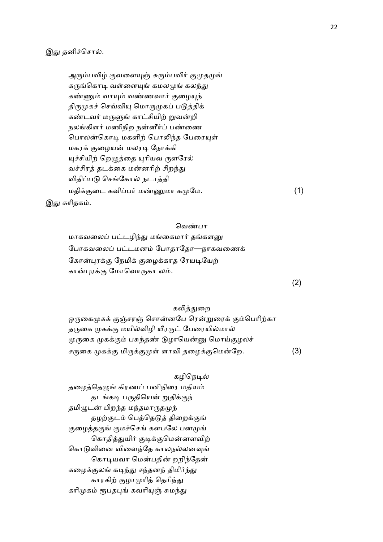இது தனிச்சொல்.

அரும்பவிழ் குவளையுஞ் சுரும்பவிர் குமுதமுங் கருங்கொடி வள்ளையுங் கமலமுங் கலந்து கண்ணும் வாயும் வண்ணவார் குழையுந் திருமுகச் செவ்வியு மொருமுகப் படுத்திக் கண்டவர் மருளுங் காட்சியிற் றுவன்றி நலங்கிளர் மணிநிற நன்னீர்ப் பண்ணை பொலன்கொடி மகளிற் பொலிந்த பேரையுள் மகரக் குழையன் மலரடி நோக்கி யுச்சியிற் றெழுத்தை யுரியவ ருளரேல் வச்சிரத் தடக்கை மன்னரிற் சிறந்து விதிப்படு செங்கோல் நடாத்தி மதிக்குடை கவிப்பர் மண்ணுமா கமுமே.  $(1)$ இது சுரிதகம்.

#### வெண்பா

மாகவலைப் பட்டழிந்து மங்கைமார் தங்களனு போகவலைப் பட்டமனம் போதாதோ—நாகவணைக் கோன்புரக்கு நேமிக் குழைக்காத ரேயடியேற் கான்புரக்கு மோவொருகா லம்.

### கலித்துறை

ஒருகைமுகக் குஞ்சரஞ் சொன்னபே ரென்றுரைக் கும்பெரிற்கா தருகை முகக்கு மயில்விழி யீரருட் பேரையில்மால் முருகை முகக்கும் பசுந்தண் டுழாயென்னு மொய்குழலச் சருகை முகக்கு மிருக்குமுள் ளாவி தழைக்குமென்றே. (3)

## கழிநெடில்

தழைத்தெழுங் கிரணப் பனிநிரை மதியம் தடங்கடி பருதியென் றுதிக்குந் தமிழுடன் பிறந்த மந்தமாருதமுந் தழற்குடம் பெத்தெடுத் திறைக்குங் குழைத்தகுங் குமச்செங் களபலே பனமுங் கொதித்துயிர் குடிக்குமென்னளவிற் கொடுவினை விளைந்தே காலநல்லனவுங் கொடியவா மென்பதின் றறிந்தேன் கழைக்குலங் கடிந்து சந்தனந் திமிர்ந்து காரகிற் குழாமுரித் தெரிந்து கரிமுகம் ரூபதபுங் கவரியுஞ் சுமந்து

(2)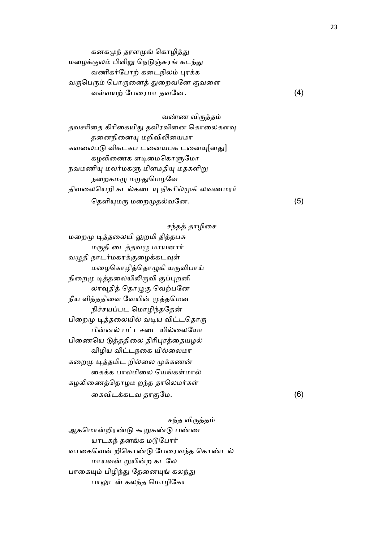| கனகமுந் தரளமுங் கொழித்து             |     |
|--------------------------------------|-----|
| மழைக்குலம் பிளிறு நெடுஞ்சுரங் கடந்து |     |
| வணிகர்போற் கடைநிலம் புரக்க           |     |
| வருபெரும் பொருனைத் துறைவனே குவளை     |     |
| வள்வயற் பேரைமா தவனே.                 | (4) |

வண்ண விருத்தம் தவசரிதை கிரிகையிது தவிரவினை கொலைகளவு தனைநினையு மறிவிலியைமா கவலைபடு விகடகப டனையபக டனையு[னது] கழலிணைக ளடிமைகொளுமோ நவமணியு மலர்மகளு மிளமதியு மதகளிறு நறைகமழு மமுதுமெழவே திவலையெறி கடல்கடையு நிகரில்முகி லவணமரர் தெளியுமரு மறைமுதல்வனே.  $(5)$ 

சந்தத் தாழிசை

மறைமு டித்தலையி லுறமி தித்தபசு மருதி டைத்தவழு மாயனார் வழுதி நாடர்மகரக்குழைக்கடவுள் மழைகொழித்தொழுகி யருவிபாய் நிறைமு டித்தலையிலிருவி குப்புறனி லாவுதித் தொழுகு வெற்பனே நீய ளித்ததிவை வேயின் முத்தமென நிச்சயப்பட மொழிந்ததேன் பிறைமு டித்தலையில் வடிய விட்டதொரு பின்னல் பட்டசடை யில்லையோ பிணையெ டுத்ததிலை திரிபுரத்தையழல் விழிய விட்டநகை யில்லைமா கறைமு டித்தமிட றில்லை முக்கணன் கைக்க பாலமிலை யெங்கள்மால் கழலிணைத்தொழம றந்த தாலெமர்கள் ைகவிடகடவ தா ேம. (6)

சந்த விருத்தம் ஆகமொன்றிரண்டு கூறுகண்டு பண்டை யாடகந் தனங்க மடுபோர் வாகைவென் றிகொண்டு பேரைவந்த கொண்டல் மாயவன் றுயின்ற கடலே பாகையும் பிழிந்து தேனையுங் கலந்து பாலுடன் கலந்த மொழிகோ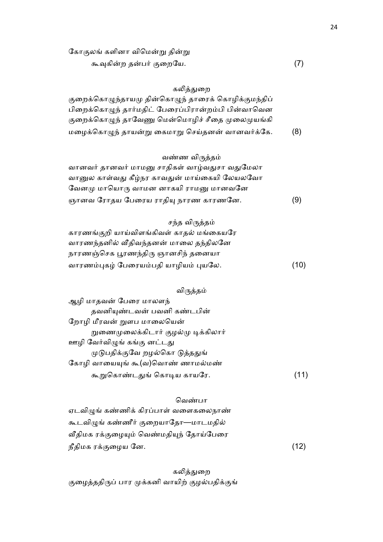## கலித்துறை

குறைக்கொழுந்தாயமு தின்கொழுந் தாரைக் கொழிக்குமந்திப் பிறைக்கொழுந் தார்மதிட் பேரைப்பிரான்றம்பி பின்வாவென குறைக்கொழுந் தாவேணு மென்மொழிச் சீதை முலைமுயங்கி மழைக்கொழுந் தாயன்று கைமாறு செய்தனன் வானவர்க்கே. (8)

## வண்ண விருத்தம்

| வானவர் தானவர் மாமனு சாதிகள் வாழ்வதுசா வதுமேலா |     |
|-----------------------------------------------|-----|
| வானுல காள்வது கீழ்நர காவதுன் மாய்கையி லேயலவோ  |     |
| வேனமு மாயொரு வாமன னாகயி ராமனு மானவனே          |     |
| ஞானவ ரோதய பேரைய ராதியு நாரண காரணனே.           | (9) |

## சந்த விருத்தம்

| காரணங்குறி யாய்விளங்கிவள் காதல் மங்கையரே |      |
|------------------------------------------|------|
| வாரணந்தனில் வீதிவந்தனன் மாலை தந்திலனே    |      |
| நாரணஞ்செக பூரணந்திரு ஞானசிந் தனையா       |      |
| வாரணம்புகழ் பேரையம்பதி யாழியம் புயலே.    | (10) |

## விருத்தம்

| ஆழி மாதவன் பேரை மாலளந்              |      |
|-------------------------------------|------|
| தவனியுண்டவன் பவனி கண்டபின்          |      |
| றோழி மீரவன் றுளப மாலையென்           |      |
| றுணைமுலைக்கிடார் குழல்மு டிக்கிலார் |      |
| ஊழி வேர்விழுங் கங்கு னட்டது         |      |
| முடுபதிக்குவே றழல்கொ டுத்ததுங்      |      |
| கோழி வாயையுங் கூ(வ)வொண் ணாமல்மண்    |      |
| கூறுகொண்டதுங் கொடிய காயரே.          | (11) |

## வெண்பா

| ஏடவிழுங் கண்ணிக் கிரப்பாள் வளைகலைநாண்   |      |
|-----------------------------------------|------|
| கூடவிழுங் கண்ணீர் குறையாதோ—மாடமதில்     |      |
| வீதிமக ரக்குழையும் வெண்மதியுந் தோய்பேரை |      |
| நீதிமக ரக்குழைய னே.                     | (12) |

கலித்துறை குழைத்ததிருப் பார முக்கனி வாயிற் குழல்பதிக்குங்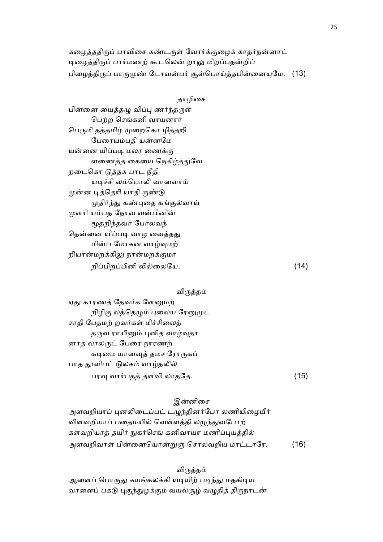கழைத்ததிருப் பாவிசை கண்டருள் வோர்க்குழைக் காதர்நன்னாட் டிழைத்திருப் பார்மணற் கூடலென் றாலு மிறப்பதன்றிப் பிழைத்திருப் பாருமுண் டோவன்பர் சூள்பொய்த்தபின்னையுமே.  $(13)$ 

| காமிசை |
|--------|
|--------|

பின்னை யைத்தழு விப்பு ணர்ந்தருள் பெற்ற செங்கனி வாயனார் பெருமி தத்தமிழ் முறைகொ ழித்தறி பேரையம்பதி யன்னமே யன்னை யிப்படி மலர ணைக்கு ளணைத்த கையை நெகிழ்த்துவே றைடெகா 02தக பாட நீதி யடிச்சி லம்பொலி வானளாய் முன்ன டித்தெரி யாதி ருண்டு முதிர்ந்து கண்புதை கங்குல்வாய் முளரி யம்பத நோவ வன்பினின் மூதறிந்தவர் போலவந் தென்னை யிப்படி வாழ வைத்தது மின்ப மோகன வாழ்வுமற் றியான்மறக்கிலு நான்மறக்குமா றி"பிற"பினி +5ைலேய. (14)

## விருத்தம்

ஏது காரணத் தேவர்க ளேனுமற் றிழிகு லத்தெழும் புலைய ரேனுமுட் சாதி பேதமற் றவர்கள் மிச்சிலைத் தருவ ராயினும் புனித வாழ்வுதா னாத லாலருட் பேரை நாரணற் கடிமை யானவுத் தமச ரோருகப் பாத தூளிபட் டுலகம் வாழ்தலில்  $\Box$ பரவு வார்பதத் தளவி லாததே.  $(15)$ 

## இன்னிசை

அளவறியாப் புனலிடைப்பட் டழுந்தினர்போ லணியிழையீர் விளவறியாப் பதைமயில் வெள்ளத்தி லழுந்துவபோற் களவறியாத் தயிர் நுகர்செங் கனிவாயா மணிப்புயத்தில் அளவறிவாள் பின்னையொன்றுஞ் சொலவறிய மாட்டாரே. (16)

#### விருத்தம்

ஆளைப் பொருது கயங்கலக்கி யடியிற் படிந்து மதகிடிய வாளைப் பகடு புகுந்துழக்கும் வயல்சூழ் வழுதித் திருநாடன்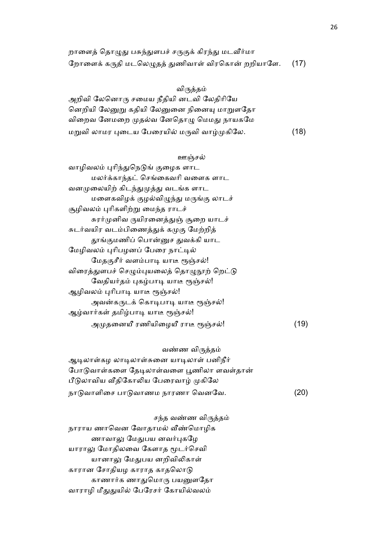| றாளைத் தொழுது பசுந்துளபச் சருகுக் கிரந்து மடவீர்மா    |  |
|-------------------------------------------------------|--|
| றோளைக் கருதி மடலெழுதத் துணிவாள் விரகொன் றறியாளே. (17) |  |

## விருத்தம்

அறிவி ேலெனா சைமய நீதியி னடவி ேலதிாிேய னெறியி லேனுறு கதியி லேனுனை நினையு மாறுளதோ விறைவ னேமறை முதல்வ னேதொழு மெமது நாயகமே மறுவி லாமர புடைய பேரையில் மருவி வாழ்முகிலே.  $(18)$ 

#### ஊஞ்சல்

| (19) |
|------|
|      |

வண்ண விருத்தம்

ஆடிலாள்கழ லாடிலாள்சுனை யாடிலாள் பனிநீர் போடுவாள்களை தேடிலாள்வளை பூணிலா ளவள்தான் பீடுலாவிய வீதிகோலிய பேரைவாழ் முகிலே நாடுவாளிசை பாடுவாணம நாரணா வெனவே. (20)

சந்த வண்ண விருத்தம் நாராய ணாவென வோதாமல் வீண்மொழிக ணாவாலு மேதுபய னவர்புகழே யாராலு மோதிலவை கேளாத மூடர்செவி யானாலு மேதுபய னறிவிலிகாள் காரான சோதியழ காராத காதலொடு காணார்க ணாதுமொரு பயனுளதோ வாராழி மீதுதுயில் பேரேசர் கோயில்வலம்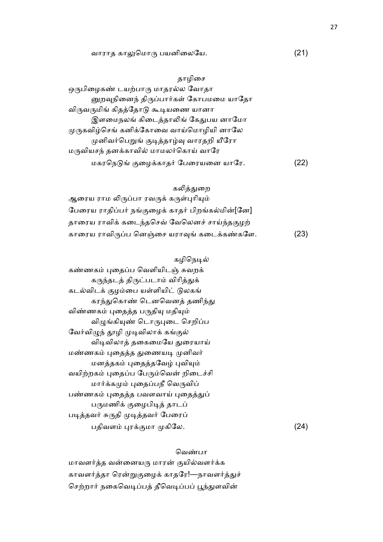## வாராத காலுமொரு பயனிலையே. (21)

தாழிசை ஒருபிழைகண் டயற்பாரு மாதரல்ல வோதா னுறவுநினைந் திருப்பார்கள் கோபமமை யாதோ விருவருமிங் கிதத்தோடு கூடியணை யானா இளமைநலங் கிடைத்தாலிங் கேதுபய னாமோ முருகவிழ்செங் கனிக்கோவை வாய்மொழியி னாலே முனிவர்பெறுங் குடித்தாழ்வு வாரதறி யீரோ மருவியசந் தனக்காவில் மாமலர்கொய் வாரே மகரநெடுங் குழைக்காதர் பேரையனை யாரே. (22)

#### கலித்துறை

ஆரைய ராம லிருப்பா ரவருக் கருள்புரியும் பேரைய ராதிப்பர் நங்குழைக் காதர் பிறங்கல்மின்[னே] தாரைய ராவிக் கடைந்தசெவ் வேலெனச் சாய்ந்தகுமற் காரைய ராவிருப்ப னெஞ்சை யராவுங் கடைக்கண்களே.  $(23)$ 

#### கழிநெடில்

கண்ணகம் புதைப்ப வெளியிடஞ் சுவறக் கருந்தடத் திருட்படாம் விரித்துக் கடல்விடக் குழம்பை யள்ளியிட் டுலகங் கரந்துகொண் டெனவெனக் தணிந்து விண்ணகம் புதைத்த பருதியு மதியும் விழுங்கியுண் டொருபுடை செறிப்ப வேர்விழுந் தூழி முடிவிலாக் கங்குல் விடிவிலாத் தகைமையே துரையாய் மண்ணகம் புதைத்த துணையடி முனிவர் மனத்தகம் புதைத்தவேழ் புவியும் வயிற்றகம் புதைப்ப பேரும்வென் றிடைச்சி மார்க்கமும் புதைப்பநீ வெருவிப் பண்ணகம் புதைத்த பவளவாய் புதைத்துப் பருமணிக் குழைபிடித் தாடப் படித்தவர் சுருதி முடித்தவர் பேரைப்  $\Box$ திவளம் புரக்குமா முகிலே. (24)

#### வெண்பா

மாவளர்த்த வன்னையரு மாரன் குயில்வளர்க்க காவளர்த்தா ரென்றுகுழைக் காதரே!—நாவளர்த்துச் செற்றார் நகைவெடிப்பத் தீவெடிப்பப் பூந்துளவின்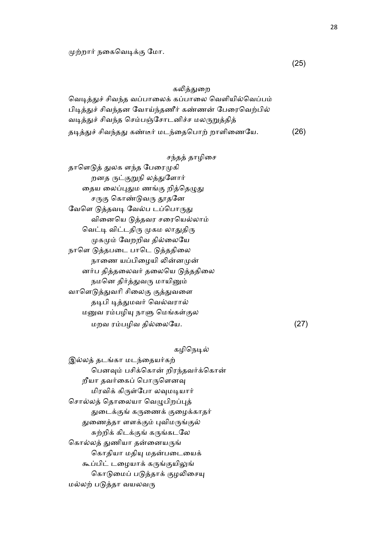## கலித்துறை

வெடித்துச் சிவந்த வப்பாலைக் கப்பாலை வெளியில்வெப்பம் பிடித்துச் சிவந்தன வோய்ந்தணீர் கண்ணன் பேரைவெற்பில் வடித்துச் சிவந்த செம்பஞ்சோடனிச்ச மலருறுத்தித் தடித்துச் சிவந்தது கண்டீர் மடந்தைபொற் றாளிணையே. (26)

#### சந்தத் தாழிசை

தாளெடுத் துலக ளந்த பேரைமுகி றனத ருட்குறுநி லத்துளோர் தைய லைப்புதும ணங்கு றித்தெழுது சருகு கொண்டுவரு தூதனே வேளெ டுத்தவடி வேல்ப டப்பொருது வினையெ டுத்தவர சரையெல்லாம் வெட்டி விட்டதிரு முகம லாதுதிரு முகமும் வேறறிவ தில்லையே நாளெ டுத்தபடை பாடெ டுத்ததிலை நாணை யப்பிழையி லின்னமுன் னர்ப தித்தலைவர் தலையெ டுத்ததிலை நமனெ திர்த்துவரு மாயினும் வாளெடுத்துவரி சிலைகு குத்துவளை தடிபி டித்துமவர் வெல்வரால் மனுவ ரம்பழியு நாளு மெங்கள்குல  $\omega$ றவ ரம்பழிவ தில்லையே.  $(27)$ 

## கழிநெடில்

இல்லத் தடங்கா மடந்தையர்கற் பெனவும் பசிக்கொன் றிரந்தவர்க்கொன் றீயா தவர்கைப் பொருளெனவு மிரவிக் கிருள்போ லவுமடியார் சொல்லத் தொலையா வெழுபிறப்புத் துடைக்குங் கருணைக் குழைக்காதர் துணைத்தா ளளக்கும் புவிமருங்குல் சுற்றிக் கிடக்குங் கருங்கடலே கொல்லத் துணியா தன்னையருங் கொதியா மதியு மதன்படையைக் கூப்பிட் டழையாக் கருங்குயிலுங் கொடுமைப் படுத்தாக் குழலிசையு மல்லற் படுத்தா வயலவரு

(25)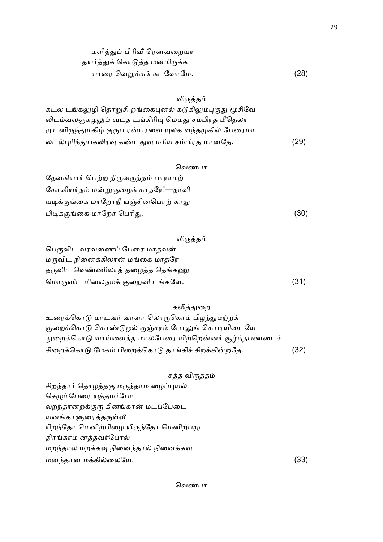| மளித்துப் பிரிவீ ரெனவறையா    |      |
|------------------------------|------|
| தயர்த்துக் கொடுத்த மனமிருக்க |      |
| யாரை வெறுக்கக் கடவோமே.       | (28) |

# விருத்தம்

| கடல டங்கலுழி தொறுசி றங்கைபுனல் கடுகிலும்புகுது மூசிவே |      |
|-------------------------------------------------------|------|
| லிடம்வலஞ்சுழலும் வடத டங்கிரியு மெமது சம்பிரத மீதெலா   |      |
| முடனிருந்துமகிழ் குருப ரன்பரவை யுலக ளந்தமுகில் பேரைமா |      |
| லடல்புரிந்துபகலிரவு கண்டதுவு மரிய சம்பிரத மானதே.      | (29) |

## வெண்பா

| தேவகியார் பெற்ற திருவருத்தம் பாராமற் |      |
|--------------------------------------|------|
| கோவியர்தம் மன்றுகுழைக் காதரே!—தாவி   |      |
| யடிக்குங்கை மாறோநீ யஞ்சினபொற் காது   |      |
| பிடிக்குங்கை மாறோ பெரிது.            | (30) |

# விருத்தம்

| பெருவிட வரவணைப் பேரை மாதவன்      |      |
|----------------------------------|------|
| மருவிட நினைக்கிலான் மங்கை மாதரே  |      |
| தருவிட வெண்ணிலாத் தழைத்த தெங்கணு |      |
| மொருவிட மிலைநமக் குறைவி டங்களே.  | (31) |

# கலித்துறை

| உரைக்கொடு மாடவர் வாளா லொருகொம் பிழந்துமற்றக்             |      |
|----------------------------------------------------------|------|
| குறைக்கொடு கொண்டுழல் குஞ்சரம் போலுங் கொடியிடையே          |      |
| துறைக்கொடு வாய்வைத்த மால்பேரை யிற்றென்னர் சூழ்ந்தபண்டைச் |      |
| சிறைக்கொடு மேகம் பிறைக்கொடு தாங்கிச் சிறக்கின்றதே.       | (32) |

| சத்த விருத்தம்                        |                   |
|---------------------------------------|-------------------|
| சிறந்தார் தொழத்தகு மருந்தாம ழைப்புயல் |                   |
| செழும்பேரை யுத்தமர்போ                 |                   |
| லறந்தானறக்குரு கினங்கான் மடப்பேடை     |                   |
| யனங்காளுரைத்தருள்வீ                   |                   |
| ரிறந்தோ மெனிற்பிழை யிருந்தோ மெனிற்பழு |                   |
| திரங்காம னத்தவர்போல்                  |                   |
| மறந்தால் மறக்கவு நினைந்தால் நினைக்கவு |                   |
| மனந்தான மக்கில்லையே.                  | $\left[33\right]$ |

வெண்பா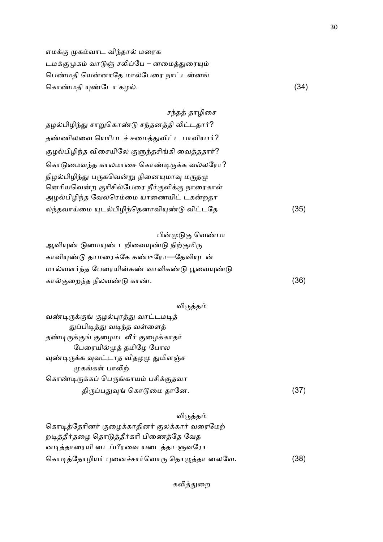எமக்கு முகம்வாட விந்தால் மரைக டமக்குமுகம் வாடுஞ் சலிப்பே – னமைத்துரையும் பெண்மதி யென்னாதே மால்பேரை நாட்டன்னங் ெகா.மதி .ேடா கழ5. (34)

சந்தத் தாழிசை தழல்பிழிந்து சாறுகொண்டு சந்தனத்தி லிட்டதார்? தண்ணிலவை யெரிபடச் சமைத்துவிட்ட பாவியார்? குழல்பிழிந்த விசையிலே குளுந்தசிங்கி வைத்ததார்? கொடுமைவந்த காலமாசை கொண்டிருக்க வல்லரோ? நிழல்பிழிந்து பருகவென்று நினையுமாவு மருதமு னெரியவென்ற குரிசில்பேரை நீர்குளிக்கு நாரைகாள் அழல்பிழிந்த வேலரெம்மை யாணையிட் டகன்றதா லந்தவாய்மை யுடல்பிழிந்தெனாவியுண்டு விட்டதே (35)

பின்முடுகு வெண்பா ஆவியுண் டுமையுண் டறிவையுண்டு நிற்குமிரு காவியுண்டு தாமரைக்கே கண்டீரோ—தேவியுடன் மால்வளர்ந்த பேரையின்கண் வாவிகண்டு பூவையுண்டு கால்குறைந்த நீலவண்டு காண்.  $(36)$ 

### விருத்தம்

வண்டிருக்குங் குழல்புரத்து வாட்டமடித் துப்பிடித்து வடிந்த வள்ளைத் தண்டிருக்குங் குழைமடவீர் குழைக்காதர் பேரையில்முத் தமிழே போல வுண்டிருக்க வுவட்டாத விதழமு துமிளஞ்ச முகங்கள் பாலிற் கொண்டிருக்கப் பெருங்காயம் பசிக்குதவா திருப்பதுவுங் கொடுமை தானே. (37)

#### விருத்தம்

| கொடித்தேரினர் குழைக்காதினர் குலக்கார் வரைமேற் |      |
|-----------------------------------------------|------|
| றடித்தீர்தழை தொடுத்தீர்கரி பிணைத்தே வேத       |      |
| னடித்தாரையி னடப்பீரவை யடைத்தா ளுவரோ           |      |
| கொடித்தோழியர் புனைச்சார்வொரு தொழுத்தா னலவே.   | (38) |

கலித்துறை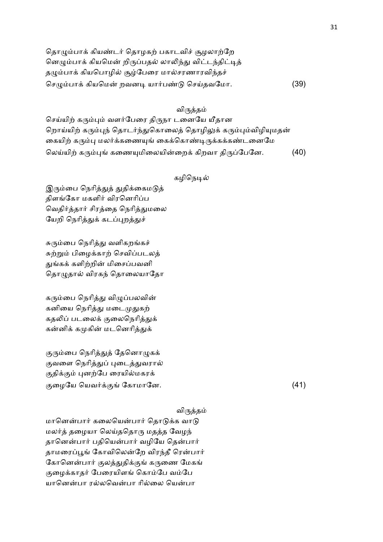| தொழும்பாக் கியண்டர் தொழகற் பகாடவிச் சூழலாற்றே          |      |
|--------------------------------------------------------|------|
| னெழும்பாக் கியமென் றிருப்பதல் லாலிந்து விட்டந்திட்டித் |      |
| தழும்பாக் கியபொழில் சூழ்பேரை மால்சரணாரவிந்தச்          |      |
| செழும்பாக் கியமென் றவனடி யார்பண்டு செய்தவமோ.           | (39) |

## விருத்தம்

செய்யிற் கரும்பும் வளர்பேரை திருநா டனையே யீதான றொய்யிற் கரும்புந் தொடர்ந்துகொலைத் தொழிலுக் கரும்பும்விழியுமதன் கையிற் கரும்பு மலர்க்கணையுங் கைக்கொண்டிருக்கக்கண்டனைமே லெய்யிற் கரும்புங் கணையுமிலையின்றைக் கிறவா திருப்பேனே. (40)

## கழிநெடில்

இரும்பை நெரித்துத் துதிக்கைமடுத் திளங்கோ மகளிர் விரனெரிப்ப வெதிர்த்தார் சிரத்தை நெரித்துமலை யேறி நெரித்துக் கடப்புறத்துச்

சுரும்பை நெரித்து வளிகறங்கச் சுற்றும் பிழைக்காற் செவிப்படலத் துங்கக் களிற்றின் மிசைப்பவனி தொழுதால் விரகந் தொலையாதோ

கரும்பை நெரித்து விழுப்பலவின் கனியை நெரித்து மடைமுதுகற் கதலிப் படலைக் குலைநெரித்துக் கன்னிக் கமுகின் மடனெரித்துக்

குரும்பை நெரித்துத் தேனொழுகக் குவளை நெரித்துப் புடைத்துவரால் குதிக்கும் புனற்பே ரையில்மகரக் ைழேய ெயவ, ேகாமாேன. (41)

### விருத்தம்

மானென்பார் கலையென்பார் தொடுக்க வாடு மலர்த் தழையா லெய்ததொரு மதத்த வேழந் தானென்பார் பதியென்பார் வழியே தென்பார் தாமரைப்பூங் கோவிலென்றே விரந்தீ ரென்பார் கோனென்பார் குலத்துதிக்குங் கருணை மேகங் குழைக்காதர் பேரையிளங் கொம்பே வம்பே யானென்பா ரல்லவென்பா ரில்லை யென்பா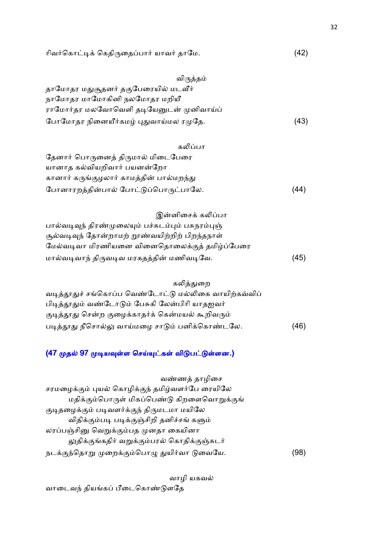| (42)<br>ரிவர்கொட்டிக் கெதிருதைப்பார் யாவர் தாமே. |
|--------------------------------------------------|
|--------------------------------------------------|

| விருத்தம்                               |      |
|-----------------------------------------|------|
| தாமோதர மதுசூதனர் தகுபேரையில் மடவீர்     |      |
| நாமோதர மாமோகினி நலமோதர மறியீ            |      |
| ராமோர்தர மலவோவெளி தடியேனுடன் முனிவாய்ப் |      |
| போமோதர நினையீர்கமழ் புதுவாய்மல ரமுதே.   | (43) |

| கலிப்பா                                  |      |
|------------------------------------------|------|
| தேனார் பொருனைத் திருமால் மிடைபேரை        |      |
| யானாத கல்வியறிவார் பயனன்றோ               |      |
| கானார் கருங்குழலார் காமத்தின் பால்மறந்து |      |
| போனாரறத்தின்பால் போட்டுப்பொருட்பாலே.     | (44) |

| இன்னிசைக் கலிப்பா                                  |      |
|----------------------------------------------------|------|
| பால்வடிவுந் திரண்முலையும் பச்சுடம்பும் பசுநரம்புஞ் |      |
| சூல்வடிவுந் தோன்றாமற் றூண்வயிற்றிற் பிறந்தநாள்     |      |
| மேல்வடிவா மிரணியனை வினைதொலைக்குத் தமிழ்ப்பேரை      |      |
| மால்வடிவாந் திருவடிவ மரகதத்தின் மணிவடிவே.          | (45) |

| கலித்துறை |
|-----------|
|           |

| வடித்தூதுச் சங்கொப்ப வெண்டோட்டு மல்லிகை வாயிற்கவ்விப் |      |
|-------------------------------------------------------|------|
| பிடித்தூதும் வண்டோடும் பேசுகி லேன்பிரி யாதஐவர்        |      |
| குடித்தூது சென்ற குழைக்காதர்க் கென்மயல் கூறிவரும்     |      |
| படித்தூது நீசொல்லு வாய்மழை சாடும் பனிக்கொண்டலே.       | (46) |

## (47 முதல் 97 முடியவுள்ள செய்யுட்கள் விடுபட்டுள்ளன.)

| வண்ணத் தாழிசை                                   |     |
|-------------------------------------------------|-----|
| சரமழைக்கும் புயல் கொழிக்குந் தமிழ்வளர்பே ரையிலே |     |
| மதிக்கும்பொருள் மிகப்பெண்டு கிறளைவொறுக்குங்     |     |
| குடிதழைக்கும் படிவளர்க்குந் திருமடமா மயிலே      |     |
| விதிக்கும்படி படிக்குஞ்சிறி தனிச்சங் களும்      |     |
| லரப்பஞ்சினு வெறுக்கும்பத முனதா கையினா           |     |
| லுதிக்குங்கதிர் வறுக்கும்பரல் கொதிக்குஞ்சுடர்   |     |
| நடக்குந்தொறு முறைக்கும்பொழு துயிர்வா டுவையே.    | [98 |

வாழி யகவல் வாடைவந் தியங்கப் பீடைகொண்டுளதே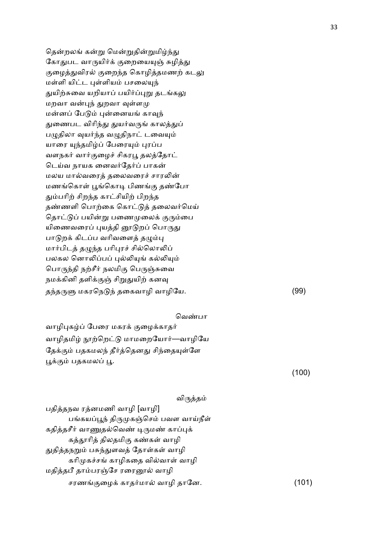தென்றலங் கன்று மென்றுதின்றுமிழ்ந்து கோதுபட வாருயிர்க் குறையையுஞ் சுழித்து குழைத்துவிரல் குறைந்த கொழித்தமணற் கடலு மள்ளி யிட்ட புள்ளியம் பசலையுந் துயிற்சுவை யறியாப் பயிர்ப்புறு தடங்கலு மறவா வன்புந் துறவா வுள்ளமு மன்னப் பேடும் புன்னையங் காவுந் துணைபட விரிந்து துயர்வருங் காலத்துப் பழுதிலா வுயர்ந்த வழுதிநாட் டவையும் யாரை யுந்தமிழ்ப் பேரையும் புரப்ப வளநகர் வார்குழைச் சிகரபூ தலத்தோட் டெய்வ நாயக னைவர்தேர்ப் பாகன் மலய மால்வரைத் தலைவரைச் சாரலின் மணங்கொள் பூங்கொடி பிணங்கு தண்போ தும்பரிற் சிறந்த காட்சியிற் பிறந்த தண்ணளி பொற்கை கொட்டுத் தலைவர்மெய் தொட்டுப் பயின்று பணைமுலைக் குரும்பை யிணைவரைப் புயத்தி னூடுறப் பொருது பாடுறக் கிடப்ப வரிவளைத் தழும்பு மார்பிடத் தழுந்த பரிபுரச் சில்லொலிப் பலகல னொலிப்பப் புல்லியுங் கல்லியும் பொருந்தி நற்சீர் நலமிகு பெருஞ்சுவை நமக்கினி தளிக்குஞ் சிறுதுயிற் கனவு தந்தருளு மகரநெடுந் தகைவாழி வாழியே.  $(99)$ 

வாழிபுகழ்ப் பேரை மகரக் குழைக்காதர் வாழிதமிழ் நூற்றெட்டு மாமறையோர்—வாழியே தேக்கும் பதகமலந் தீர்த்தெனது சிந்தையுள்ளே பூக்கும் பதகமலப் பூ.

(100)

### விருத்தம்

வெண்பா

பதித்தநவ ரத்னமணி வாழி [வாழி] பங்கயப்பூந் திருமுகஞ்செம் பவள வாய்நீள் கதித்தசீர் வாணுதல்வெண் டிருமண் காப்புக் கத்தூரித் திலதமிகு கண்கள் வாழி துதித்தநறும் பசுந்துளவத் தோள்கள் வாழி கரிமுகச்சங் காழிகதை வில்வாள் வாழி மதித்தபீ தாம்பரஞ்சே ரரைனூல் வாழி சரணங்குழைக் காதர்மால் வாழி தானே. (101) 33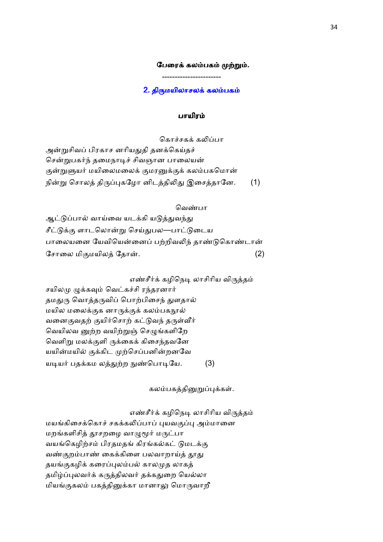### பேரைக் கலம்பகம் முற்றும்.

----------------------- 2. திருமயிலாசலக் கலம்பகம்

#### பாயிர

கொச்சகக் கலிப்பா அன்றுசிவப் பிரகாச னரியதுதி தனக்கெய்தச் சென்றுபகர்ந் தமைநாடிச் சிவஞான பாலையன் குன்றுளுயர் மயிலைமலைக் குமரனுக்குக் கலம்பகமொன் நின்று சொலத் திருப்புகழோ னிடத்திலிது இசைத்தானே. (1)

#### வெண்பா

ஆட்டுப்பால் வாய்வை யடக்கி யடுத்துவந்து சீட்டுக்கு ளாடலொன்று செய்துபல—பாட்டுடைய பாலையனை யேவியென்னைப் பற்றிவலிந் தாண்டுகொண்டான் சோலை மிகுமயிலத் தோன். .  $(2)$ 

எண்சீர்க் கழிநெடி லாசிரிய விருத்தம்

சயிலமு முக்கவும் வெட்கச்சி ரந்தரனார் தமதுரு வொத்தருவிப் பொற்பிசைந் துளதால் மயில மலைக்குக னாருக்குக் கலம்பகநூல் வனைகுவதற் குயிர்சொற் கட்டுவந் தருள்வீர் வெயிலவ னுற்ற வயிற்றுஞ் செழுங்களிறே வெளிறு மலக்குளி ருக்கைக் கிசைந்தவனே யயின்மயில் குக்கிட முற்செப்பனின்றனவே யடியர் பதக்கம லத்துற்ற நுண்பொடியே. (3)

கலம்பகத்தினுறுப்புக்கள்.

எண்சீர்க் கழிநெடி லாசிரிய விருத்தம்

மயங்கிசைக்கொச் சகக்கலிப்பாப் புயவகுப்பு அம்மானை மறங்களிசித் தூசறழை வாழுமூர் மருட்பா வயங்கெழிற்சம் பிரதமதங் கிரங்கல்கட் டுமடக்கு வண்குறம்பாண் கைக்கிளை பலவாறாய்த் தூது தயங்குகழிக் கரைப்புலம்பல் காலமுத லாகத் தமிழ்ப்புலவர்க் கருத்திலவர் தக்கதுறை யெல்லா மியங்குகலம் பகத்தினுக்கா மானாலு மொருவாறீ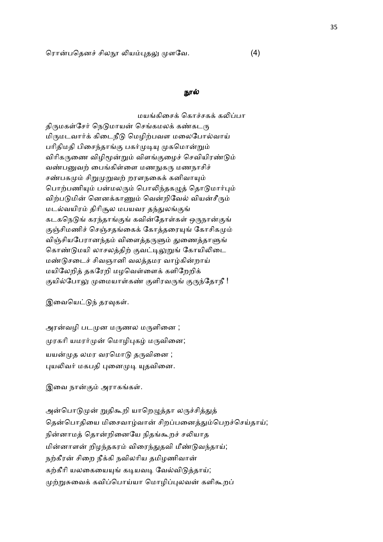#### நூல்

மயங்கிசைக் கொச்சகக் கலிப்பா திருமகள்சேர் நெடுமாயன் செங்கமலக் கண்கடரு மிருமடவார்க் கிடைநீடு மெழிற்பவள மலைபோல்வாய் பரிதிமதி பிசைந்தாங்கு பகர்முடியு முகமொன்றும் விரிகருணை விழிமூன்றும் விளங்குழைச் செவியிரண்டும் வண்பனுவற் பைங்கிள்ளை மணநுகரு மணநாசிச் சண்பகமும் சிறுமுறுவற் றரளநகைக் கனிவாயும் பொற்பணியும் பன்மலரும் பொலிந்தகழுத் தொடுமார்பும் விற்படுமின் னெனக்காணும் வென்றிவேல் வியன்சீரும் மடல்வயிரம் திரிசூல மபயவர தந்துலங்குங் கடகநெடுங் கரந்தாங்குங் கவின்தோள்கள் ஒருநான்குங் குஞ்சிமணிச் செஞ்சதங்கைக் கோத்தரையுங் கோசிகமும் விஞ்சியபேரானந்தம் விளைத்தருளும் துணைத்தாளுங் கொண்டுமயி லாசலத்திற் குவட்டிலுறுங் கோயிலிடை மண்டுசடைச் சிவஞானி வலத்தமர வாழ்கின்றாய் மயிலேறித் தகரேறி மழவெள்ளைக் களிறேறிக் குயில்போலு முமையாள்கண் குளிரவருங் குருந்தோநீ !

இவையெட்டுந் தரவுகள்.

அரன்வழி படமுன மருணல மருளினை ; முரகரி யமரர்முன் மொழிபுகழ் மருவினை; யயன்முத லமர வரமொடு தருவினை ; புயலிவர் மகபதி புனைமுடி யுதவினை.

இவை நான்கும் அராகங்கள்.

அன்பொடுமுன் றுதிகூறி யாறெழுத்தா லருச்சித்துத் தென்பொதியை மிசைவாழ்வான் சிறப்பனைத்தும்பெறச்செய்தாய்; நின்னாமத் தொன்றினையே நிதங்கூறச் சலியாத மின்னாளன் றிழந்தகரம் விரைந்துதவி மீண்டுவந்தாய்; நற்கீரன் சிறை நீக்கி நவிலரிய தமிழணிவான் கற்கீரி யலகையையுங் கடியவடி வேல்விடுத்தாய்; முற்றுசுவைக் கவிப்பொய்யா மொழிப்புலவன் களிகூறப்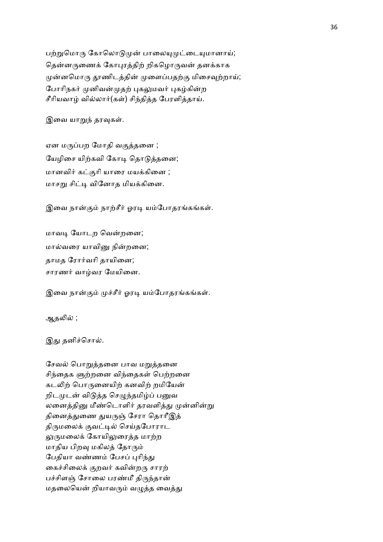பற்றுமொரு கோலொடுமுன் பாலையுமுட்டையுமானாய்; தென்னருணைக் கோபுரத்திற் றிகழொருவன் தனக்காக முன்னமொரு தூணிடத்தின் முளைப்பதற்கு மிசைவுற்றாய்; போரிநகர் முனிவன்முதற் புகலுமவர் புகழ்கின்ற சீரியவாழ் வில்லார்(கள்) சிந்தித்த பேரளித்தாய்.

இவை யாறுந் தரவுகள்.

ஏன மருப்பற மோதி வகுத்தனை ; யேழிசை யிற்கவி கோடி தொடுத்தனை; மானவிர் கட்குரி யாரை மயக்கினை ; மாசறு சிட்டி வினோத மியக்கினை.

இவை நான்கும் நாற்சீர் ஓரடி யம்போதரங்கங்கள்.

மாவடி யோடற வென்றனை; மால்வரை யாவினு நின்றனை; தாமத ரோர்வரி தாயினை; சாரணர் வாழ்வர மேயினை.

இவை நான்கும் முச்சீர் ஓரடி யம்போதரங்கங்கள்.

ஆதலில் ;

இது தனிச்சொல்.

சேவல் பொறுத்தனை பாவ மறுத்தனை சிந்தைக ளுற்றனை விந்தைகள் பெற்றனை கடலிற் பொருனையிற் கனவிற் றமியேன் றிடமுடன் விடுத்த செழுந்தமிழ்ப் பனுவ லனைத்தினு மீண்டொளிர் தரவளித்து முன்னின்று தினைத்துணை துயருஞ் சேரா தொரீஇத் திருமலைக் குவட்டில் செய்தபோராட லுருமலைக் கோயிலுரைத்த மாற்ற மாதிய பிறவு மகிலத் தோரும் பேதியா வண்ணம் பேசப் புரிந்து கைச்சிலைக் குறவர் கவின்றரு சாரற் பச்சிளஞ் சோலை பரண்மீ திருந்தான் மதலையென் றியாவரும் வழுத்த வைத்து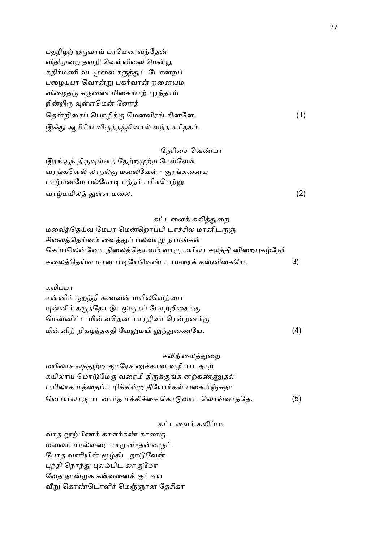பதநிழற் றருவாய் பரமென வந்தேன் விதிமுறை தவறி வெள்ளிலை மென்று கதிர்மணி வடமுலை கருத்துட் டோன்றப் பழையபா வொன்று பகர்வான் றனையும் விழைதரு கருணை மிகையாற் புரந்தாய் நின்றிரு வுள்ளமென் னேரத் தென்றிசைப் பொழிக்கு மெனவிரங் கினனே. (1) இஃது ஆசிரிய விருத்தத்தினால் வந்த சுரிதகம்.

#### நேரிசை வெண்பா

இரங்குந் திருவுள்ளத் தேற்றமுற்ற செவ்வேள் வரங்களெல் லாநல்கு மலைவேள் - குரங்கனைய பாழ்மனமே பல்கோடி பத்தர் பரிசுபெற்று வாழ்மயிலத் துள்ள மலை.  $(2)$ 

#### கட்டளைக் கலித்துறை

மலைத்தெய்வ மேபர மென்றொப்பி டாச்சில மானிடருஞ் சிலைத்தெய்வம் வைத்துப் பலவாறு நாமங்கள் செப்பலென்னோ நிலைத்தெய்வம் வாழு மயிலா சலத்தி னிறைபுகழ்நேர் கலைத்தெய்வ மான பிடியேவெண் டாமரைக் கன்னிகையே. 3)

#### கலிப்பா

கன்னிக் குறத்தி கணவன் மயிலவெற்பை யுன்னிக் கருத்தோ டுடலுருகப் போற்றிசைக்கு மென்னிட்ட மின்னதென யாரறிவா ரென்றனக்கு மின்னிற் றிகழ்ந்தகதி வேலுமயி லுந்துணையே. (4)

கலிநிலைக்குறை

மயிலாச லத்துற்ற குமரேச னுக்கான வழிபாடதாற் கயிலாய மொடுமேரு வரைமீ திருக்குங்க னற்கண்ணுதல் பயிலாக மத்தைப்ப ழிக்கின்ற தீயோர்கள் பகைமிஞ்சுநா னொயிலாரு மடவார்த மக்கிச்சை கொடுவாட லொவ்வாததே.  $(5)$ 

#### கட்டளைக் கலிப்பா

வாத நூற்பிணக் காளர்கண் காணரு மலைய மால்வரை மாமுனி-தன்னருட் போத வாரியின் மூழ்கிட நாடுவேன் புந்தி நொந்து புலம்பிட லாகுமோ வேத நான்முக கள்வனைக் குட்டிய வீறு கொண்டொளிர் மெஞ்ஞான தேசிகா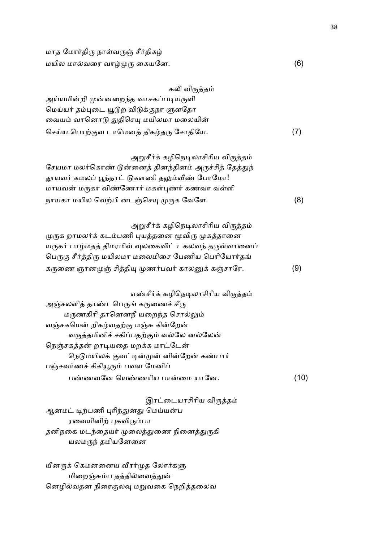| மாத மோர்திரு நாள்வருஞ் சீர்திகழ் |     |
|----------------------------------|-----|
| மயில மால்வரை வாழ்முரு கையனே.     | (6) |

| கலி விருத்தம்                                         |     |
|-------------------------------------------------------|-----|
| அய்யமின்றி முன்னறைந்த வாசகப்படியருளி                  |     |
| மெய்யர் தம்புடை யூடுற விடுக்குநா ளுளதோ                |     |
| வையம் வானொடு துதிசெயு மயிலமா மலையின்                  |     |
| செய்ய பொற்குவ டாமெனத் திகழ்தரு சோதியே.                | (7) |
| அறுசீர்க் கழிநெடிலாசிரிய விருத்தம்                    |     |
| சேயமா மலர்கொண் டுன்னைத் தினந்தினம் அருச்சித் தேத்துந் |     |
| தூயவர் கமலப் பூந்தாட் டுகளணி தலும்வீண் போமோ!          |     |
| மாயவன் மருகா விண்ணோர் மகள்புணர் கணவா வள்ளி            |     |
| நாயகா மயில வெற்பி னடஞ்செயு முருக வேளே.                | (8) |
| அறுசீர்க் கழிநெடிலாசிரிய விருத்தம்                    |     |
| முருக றாமலர்க் கடம்பணி புயத்தனை மூவிரு முகத்தானை      |     |
| யருகர் பாழ்மதத் திமரமிவ் வுலகைவிட் டகலவந் தருள்வானைப் |     |
| பெருகு சீர்த்திரு மயிலமா மலைமிசை பேணிய பெரியோர்தங்    |     |
| கருணை ஞானமுஞ் சித்தியு முணர்பவர் காலனுக் கஞ்சாரே.     | (9) |
| எண்சீர்க் கழிநெடிலாசிரிய விருத்தம்                    |     |
| $\sim$ $\pi$                                          |     |

அஞ்சலளித் தாண்டபெருங் கருணைச் சீரு மருணகிரி தானெனநீ யறைந்த சொல்லும் வஞ்சகமென் றிகழ்வதற்கு மஞ்சு கின்றேன் வருத்தமினிச் சகிப்பதற்கும் வல்லே னல்லேன் நெஞ்சகத்தன் றாடியதை மறக்க மாட்டேன் நெடுமயிலக் குவட்டின்முன் னின்றேன் கண்பார் பஞ்சவர்ணச் சிகியூரும் பவள மேனிப் பண்ணவனே யெண்ணரிய பான்மை யானே. (10)

இரட்டையாசிரிய விருத்தம் ஆனமட் டிற்பணி புரிந்துனது மெய்யன்ப ரவையினிற் புகவிரும்பா தனிநகை மடந்தையர் முலைத்துணை நினைத்துருகி யலமருந் தமியனேனை

யீனருக் கெமனனைய வீரர்முத லோர்களு மிறைஞ்சும்ப தத்தில்வைத்துன் னெழில்வதன நிரைகுலவு மறுவகை நெறித்தலைவ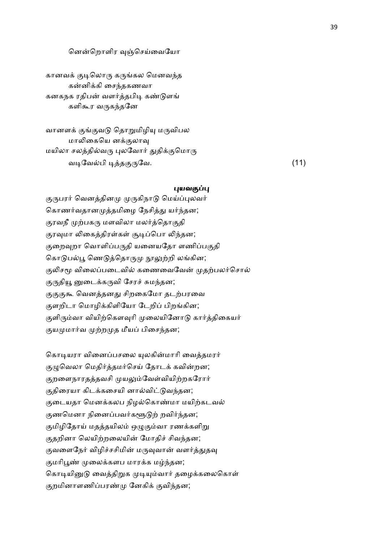#### னென்றொளிர வுஞ்செய்வையோ

கானவக் குடிலொரு கருங்கல மெனவந்த கன்னிக்கி சைந்தகணவா கனகநக ரதிபன் வளர்த்தபிடி கண்டுளங் களிகூர வருகந்தனே

வானளக் குங்குவடு தொறுமிழியு மருவிபல மாலிகையெ னக்குலாவு மயிலா சலத்தில்வரு புலவோர் துதிக்குமொரு வ7ேவ5பி 72த ேவ. (11)

#### புயவகுப்பு

குருபரர் வெனத்தினமு முருகிநாடு மெய்ப்புலவர் கொணர்வதானமுத்தமிழை நேசித்து யர்ந்தன; குரவநீ முற்பகரு மளவிலா மலர்த்தொகுதி குரவுமா லிகைத்திரள்கள் சூடிப்பொ லிந்தன; குறைவுறா வொளிப்பருதி யனையதோ ளணிப்பகுதி கொடுபல்பூ ணெடுத்தொருமு நூலுற்றி லங்கின; குலிசமூ விலைப்படைவில் கணைவைவேன் முதற்பலர்சொல் குருதியூ னுடைக்கருவி சேரச் சுமந்தன; குகுகூ வெனத்தனது சிறகைமோ தடற்பரவை குளறிடா மொழிக்கிளியோ டேறிப் பிறங்கின; குளிரும்வா வியிற்கௌவுரி முலையினோடு கார்த்திகையர் குயமுமார்வ முற்றமுத மீயப் பிசைந்தன;

கொடியரா வினைப்பசலை யுலகின்மாரி வைத்தமரர் குழுவெலா மெதிர்த்தமர்செய் தோடக் கவின்றன; குறளைநாரதத்தவசி முயலும்வேள்வியிற்றகரோர் குதிரையா கிடக்கசையி னால்விட்டுவந்தன; குடையதா மெனக்கலப நிழல்கொண்மா மயிற்கடவல் குணமௌா நினைப்பவர்களூடுற் றவிர்ந்தன; குமிழிதோய் மதத்தயிலம் ஒழுகும்வா ரணக்களிறு குதறினா லெயிற்றலையின் மோதிச் சிவந்தன; குவளைநேர் விழிச்சசிமின் மருவுவான் வளர்த்துதவு குமரிபூண் முலைக்களப மாரக்க மழ்ந்தன; கொடியினுடு வைத்திறுக முடியும்வார் தழைக்கலைகொள் குறமினாளணிப்பரண்மு னேகிக் குவிந்தன;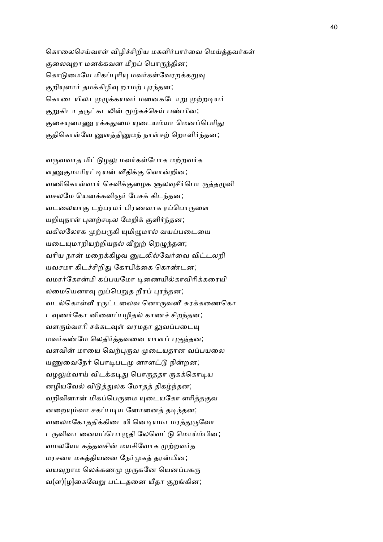கொலைசெய்வாள் விழிச்சிறிய மகளிர்பார்வை மெய்த்தவர்கள் குலைவுறா மனக்கவன மீறப் பொருந்தின; கொடுமையே மிகப்புரியு மவர்கள்வேரறக்கறுவு குறியுளார் தமக்கிழிவு றாமற் புரந்தன; கொடையிலா முழுக்கயவர் மனைகடோறு முற்றடியர் குறுகிடா தருட்கடலின் மூழ்கச்செய் பண்பின; குசையுனாணு ரக்கதுமை யுடையம்யா மெனப்பெரிது குதிகொள்வே னுளத்தினுமந் நாள்சற் றொளிர்ந்தன;

வருவவாத மிட்டுழலு மவர்கள்போக மற்றவர்க ளணுகுமாரிரட்டியன் வீதிக்கு ளொன்றின; வணிகொள்வார் செவிக்குழைக ளுலவுசீர்பொ ருத்தழுவி வசலமே யெனக்கவிஞர் பேசக் கிடந்தன; வடலையாகு டற்பரமர் பிரணவாக ரப்பொருளை யறியுநாள் புனற்சடில மேறிக் குளிர்ந்தன; வகிலலோக முற்பருகி யுமிழுமால் வயப்படையை யடையுமாறியற்றியநல் வீறுற் றெழுந்தன; வரிய நான் மறைக்கிழவ னுடலில்வேர்வை விட்டலறி யவசமா கிடச்சிறிது கோபிக்கை கொண்டன; வமரர்கோன்மி கப்பயமோ டிணையில்காவிரிக்கரையி லமையெனாவு றுப்பெறுத றீரப் புரந்தன; வடல்கொள்வீ ரருட்டலைவ னொருவனீ சுரக்கணைகொ டவுணர்கோ னினைப்பழிதல் காணச் சிறந்தன; வளரும்வாரி சக்கடவுள் வரமதா லுவப்படையு மவர்கண்மே லெதிர்த்தவனை யாளப் புகுந்தன; வளவின் மாயை வெற்புருவ முடையதான வப்பயலை யணுவைநேர் பொடிபடமு னாளட்டு நின்றன; வழலும்வாய் விடக்கடிது பொருததா ருகக்கொடிய னழியவேல் விடுத்துலக மோதத் திகழ்ந்தன; வறிவினான் மிகப்பெருமை யுடையகோ ளரித்தகுவ னறையும்வா சகப்படிய னோனைத் தடிந்தன; வலைமகோததிக்கிடையி னெடியமா மரத்துருவோ டருவிவா னையப்பொழுதி லேவெட்டு மொய்ம்பின; வமலயோ கத்தவசின் மயசிவோக முற்றவர்த மரசனா மகத்தியனை நேர்முகத் தரன்பின; வயவுறாம லெக்கணமு முருகனே யெனப்பகரு வ(ள)[ழ]கைவேறு பட்டதனை யீதா குறங்கின;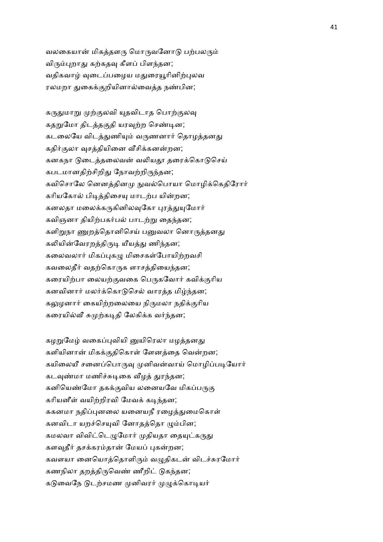வலகையான் மிகத்தளரு மொருவனோடு பற்பலரும் விரும்புறாது கற்கதவு கீளப் பிளந்தன; வதிகவாழ் வடைப்பழைய மதுரையூரினிற்புலவ ரலமறா துகைக்குறியினால்வைத்த நண்பின;

கருதுமாறு முற்குலவி யுதவிடாத பொற்குலவு கதறுமோ திடத்தகுதி யரவுற்ற செண்டின; கடலையே விடத்துணியும் வருணனார் தொழத்தனது கதிர்குலா வுசத்தியினை வீசிக்கனன்றன; கனகநா டுடைத்தலைவன் வலியதூ தரைக்கொடுசெய் கபடமானதிற்சிறிது நோவற்றிருந்தன; கவிசொலே னெனத்தினமு நுவல்பொயா மொழிக்கெதிரோர் கரியகோல் பிடித்திசையு மாடற்ப யின்றன; கனலதா மலைக்கருகினிலவுகோ புரத்துயுமோர் கவிஞனா தியிற்பகர்பல் பாடற்று தைந்தன; களிறுநா ணுறத்தொனிசெய் பனுவலா னொருத்தனது கலியின்வேரறத்திருடி யீயத்து ணிந்தன; கலைவலார் மிகப்புகழு மிசைகள்போயிற்றவசி கவலைதீர் வதற்கொருக ளாசத்தியைந்தன; கரையிற்பா லையற்குவகை பெருகவோர் கவிக்குரிய கனவினார் மலர்க்கொடுசெல் வாரத்த மிழ்ந்தன; கலுழனார் கையிற்றலையை நிருமலா நதிக்குரிய கரையில்வீ சுமுற்கடிதி லேகிக்க வர்ந்தன;

கழறுமேழ் வகைப்புவியி னுயிரெலா மழத்தனகு களியினான் மிகக்குதிகொள் ளேனத்தை வென்றன; கயிலையீ சனைப்பொருவு முனிவன்வாய் மொழிப்படியோர் கடவுண்மா மணிச்சுடிகை வீழத் துரந்தன; கனியெண்மோ தகக்குவிய லனையவே மிகப்பருகு கரியனீள் வயிற்றிரவி மேவக் கடிந்தன; ககனமா நதிப்புனலை யனையநீ ரழைத்துமைகொள் கனவிடா யறச்செயுவி னோதத்தொ ழும்பின; கமலவா விவிட்டெழுமோர் முதியதா தையுட்கருது களவுதீர் தசக்கரம்தான் மேயப் புகன்றன; கவளயா னையொத்தொளிரும் வழுதிகடன் விடச்சுரமோர் கணநிலா தறத்திருவெண் ணீறிட் டுகந்தன; கடுவைநே டுடற்சமண முனிவரர் முழுக்கொடியர்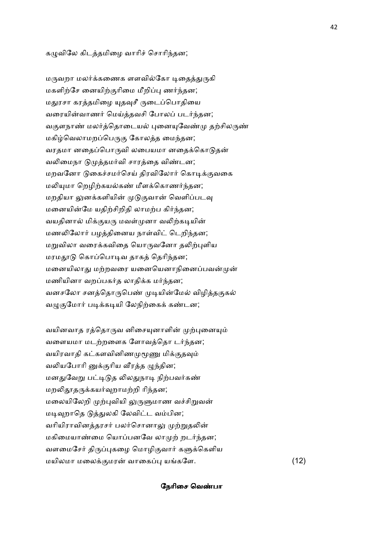#### கமுவிலே கிடத்தமிழை வாரிச் சொரிந்தன;

மருவறா மலர்க்கணைக ளளவில்கோ டிதைத்துருகி மகளிற்சே னையிற்குரிமை மீறிப்பு ணர்ந்தன; மதுரசா கரத்தமிழை யுதவுசீ ருடைப்பொதியை வரையின்வாணர் மெய்த்தவசி போலப் படர்ந்தன; வகுளநாண் மலர்த்தொடையல் புனையுவேண்மு தற்சிலருண் மகிழ்வெலாமறப்பெருகு கோலத்த மைந்தன; வரதமா னதைப்பொருவி லபையமா னதைக்கொடுதன் வலிமைநா டுமுத்தமர்வி சாரத்தை விண்டன; மறவனோ டுகைச்சமர்செய் திரவிலோர் கொடிக்குவகை மலியுமா றெழிற்கயல்கண் மீளக்கொணர்ந்தன; மறதியா லுனக்களியின் முடுகுவான் வெளிப்படவு மனையின்மே யதிற்சிறிதி லாமற்ப கிர்ந்தன; வயதினால் மிக்குயரு மவள்முனா வலிற்கடியின் மணலிலோர் பழத்தினைய நாள்விட் டெறிந்தன; மறுவிலா வரைக்கவிதை யொருவனோ தலிற்புளிய மரமதாடு கொப்பொடிவ தாகத் தெரிந்தன; மனையிலாது மற்றவரை யனையெனாநினைப்பவன்முன் மணியினா வறப்பகர்த லாதிக்க மர்ந்தன; வனசலோ சனத்தொருபெண் முடியின்மேல் விழித்தகுகல் வழுகுமோர் படிக்கடியி லேநிற்கைக் கண்டன;

வயினவாத ரத்தொருவ னிசையுனாளின் முற்புனையும் வளையமா மடற்றளைக ளோவத்தொ டர்ந்தன; வயிரவாதி கட்களவினிணமுமூணு மிக்குதவும் வலியபோரி னுக்குரிய வீரத்த ழுந்தின; மனதுவேறு பட்டிடுத லிலதுநாடி நிற்பவர்கண் மறலிதூதருக்கயர்வுறாமற்றி ரிந்தன; மலையிலேறி முற்புவியி லுருளுமாண வச்சிறுவன் மடிவுறாதெ டுத்துலகி லேவிட்ட வம்பின; வரியிராவினத்தரசர் பலர்சொனாலு முற்றுதலின் மகிமையாண்மை யொப்பனவே லாமுற் றடர்ந்தன; வளமைசேர் திருப்புகழை மொழிகுவார் களுக்கெளிய மயிலமா மலைக்குமரன் வாகைப்பு யங்களே. (12)

#### நேரிசை வெண்பா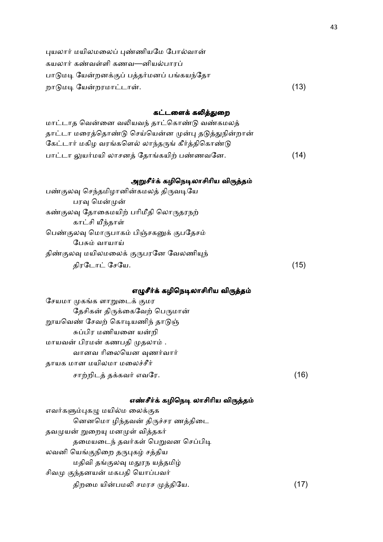| புயலார் மயிலமலைப் புண்ணியமே போல்வான்      |      |
|-------------------------------------------|------|
| கயலார் கண்வள்ளி கணவ—னியல்பாரப்            |      |
| பாடுமடி யேன்றனக்குப் பத்தர்மனப் பங்கயந்தோ |      |
| றாடுமடி யேன்றரமாட்டான்.                   | (13) |

## கட்டளைக் கலித்துறை

| மாட்டாத வென்னை வலியவந் தாட்கொண்டு வண்கமலத்          |      |
|-----------------------------------------------------|------|
| தாட்டா மரைத்தொண்டு செய்யென்ன முன்பு தடுத்துநின்றான் |      |
| கேட்டார் மகிழ வரங்களெல் லாந்தருங் கீர்த்திகொண்டு    |      |
| பாட்டா லுயர்மயி லாசனத் தோங்கயிற் பண்ணவனே.           | (14) |

# அறுசீர்க் கழிநெடிலாசிரிய விர<mark>ுத்தம்</mark>

| பண்குலவு செந்தமிழானின்கமலத் திருவடியே   |      |
|-----------------------------------------|------|
| பரவு மென்முன்                           |      |
| கண்குலவு தோகைமயிற் பரிமீதி லொருதரநற்    |      |
| காட்சி யீந்தாள்                         |      |
| பெண்குலவு மொருபாகம் பிஞ்சகனுக் குபதேசம் |      |
| பேசும் வாயாய்                           |      |
| திண்குலவு மயிலமலைக் குருபரனே வேலணியுந்  |      |
| திரடோட் சேயே.                           | (15) |

# எழுசீர்க் கழிநெடிலாசிரிய விருத்தம்

| சேயமா முகங்க ளாறுடைக் குமர     |    |
|--------------------------------|----|
| தேசிகன் திருக்கைவேற் பெருமான்  |    |
| றூயவெண் சேவற் கொடியணிந் தாடுஞ் |    |
| சுப்பிர மணியனை யன்றி           |    |
| மாயவன் பிரமன் கணபதி முதலாம் .  |    |
| வானவ ரிலையென வுணர்வார்         |    |
| தாயக மான மயிலமா மலைச்சீர்      |    |
| சாற்றிடத் தக்கவர் எவரே.        | 16 |

# எண்சீர்க் கழிநெடி லாசிரிய விர<mark>ுத்த</mark>ம்

| எவர்களும்புகழு மயில்ம லைக்குக    |      |
|----------------------------------|------|
| னெனமொ ழிந்தவன் திருச்சர ணத்திடை  |      |
| தவமுயன் றுறையு மனமுள் வித்தகர்   |      |
| தமையடைந் தவர்கள் பெறுவன செப்பிடி |      |
| லவனி யெங்குநிறை தருபுகழ் சத்திய  |      |
| மதிவி தங்குலவு மதுரந யத்தமிழ்    |      |
| சிவமு குந்தனயன் மகபதி யொப்பவர்   |      |
| திறமை யின்பமலி சமரச முத்தியே.    | (17) |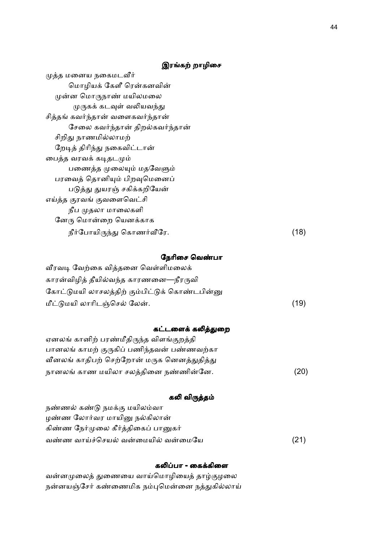# இரங்கற் றாழிசை

| முத்த மனைய நகைமடவீர்             |      |
|----------------------------------|------|
| மொழியக் கேளீ ரென்கனவின்          |      |
| முன்ன மொருநாண் மயிலமலை           |      |
| முருகக் கடவுள் வலியவந்து         |      |
| சித்தங் கவர்ந்தான் வளைகவர்ந்தான் |      |
| சேலை கவர்ந்தான் திறல்கவர்ந்தான்  |      |
| சிறிது நாணமில்லாமற்              |      |
| றேடித் திரிந்து நகைவிட்டான்      |      |
| பைத்த வரவக் கடிதடமும்            |      |
| பணைத்த முலையும் மதவேளும்         |      |
| பரவைத் தொனியும் பிறவுமெனைப்      |      |
| படுத்து துயரஞ் சகிக்கறியேன்      |      |
| எய்த்த குரவங் குவளைவெட்சி        |      |
| நீப முதலா மாலைகளி                |      |
| னேரு மொன்றை யெனக்காக             |      |
| நீர்போயிருந்து கொணர்வீரே.        | (18) |

## நேரிசை வெண்பா

| வீரவடி வேற்கை வித்தனை வெள்ளிமலைக்             |      |
|-----------------------------------------------|------|
| காரன்விழித் தீயில்வந்த காரணனை—நீரருவி         |      |
| கோட்டுமயி லாசலத்திற் கும்பிட்டுக் கொண்டபின்னு |      |
| மீட்டுமயி லாரிடஞ்செல் லேன்.                   | (19) |

## கட்டளைக் கலித்துறை

| ஏனலங் கானிற் பரண்மீதிருந்த விளங்குறத்தி    |      |
|--------------------------------------------|------|
| பானலங் காமற் குருகிப் பணிந்தவன் பண்ணவற்கா  |      |
| வீனலங் காதிபற் செற்றோன் மருக னெனத்துதித்து |      |
| நானலங் காண மயிலா சலத்தினை நண்ணின்னே.       | (20) |

## கலி விருத்தம்

| நண்ணல் கண்டு நமக்கு மயிலம்வா        |      |
|-------------------------------------|------|
| ழண்ண லோர்வர மாயினு நல்கிலான்        |      |
| கிண்ண நேர்முலை கீர்த்திகைப் பானுகர் |      |
| வண்ண வாய்ச்செயல் வன்மையில் வன்மையே  | (21) |

## கலிப்பா - கைக்கிளை

வன்னமுலைத் துணையை வாய்மொழியைத் தாழ்குழலை நன்னயஞ்சேர் கண்ணைமிக நம்புமென்னை நத்துகில்லாய்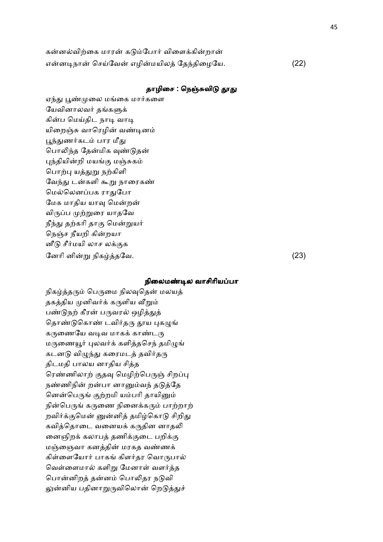| கன்னல்விற்கை மாரன் கடும்போர் விளைக்கின்றான் |      |
|---------------------------------------------|------|
| என்னடிநான் செய்வேன் எழின்மயிலத் தேந்திழையே. | (22) |

## தாழிசை : நெஞ்சுவிடு தூது

ஏந்து பூண்முலை மங்கை மார்களை யேவினாலவர் தங்களுக் கின்ப மெய்திட நாடி வாடி யிறைஞ்சு வாரெழின் வண்டினம் பூந்துணர்கடம் பார மீது பொலிந்த தேன்மிக வுண்டுதன் புந்தியின்றி மயங்கு மஞ்சுகம் பொற்பு யத்துறு நற்கிளி வேந்து டன்களி கூறு நாரைகண் மெல்லெனப்பக ராதுபோ மேக மாதிய யாவு மென்றன் விருப்ப முற்றுரை யாதவே நீந்து தற்கரி தாகு மென்றுயர் நெஞ்ச நீயறி கின்றயா னீடு சீர்மயி லாச லக்குக ேனாி னி-8 நிக2தேவ. (23)

#### நிலைமண்டில வாசிரியப்பா

நிகழ்த்தரும் பெருமை நிலவுதென் மலயத் தகத்திய முனிவர்க் கருளிய வீறும் பண்டுநற் கீரன் பருவரல் ஒழித்துத் தொண்டுகொண் டவிர்தரு தூய புகமுங் கருணையே வடிவ மாகக் காண்டரு மருணையூர் புலவர்க் களித்தசெந் தமிழுங் கடனடு விழுந்து கரைமடத் தவிர்தரு திடமதி பாலய னாதிய சித்த ரெண்ணிலாற் குதவு மெழிற்பெருஞ் சிறப்பு நண்ணிநின் றன்பா னானும்வந் தடுத்தே னென்பெருங் குற்றமி யம்பரி தாயினும் நின்பெருங் கருணை நினைக்கரும் பாற்றாற் றவிர்க்குமென் னுன்னித் தமிழ்கொடு சிறிது கவித்தொடை வனையக் கருதின னாதலி னைஞிறக் கலாபத் தணிக்குடை பறிக்கு மஞ்ஞைவா கனத்தின் மரகத வண்ணக் கிள்ளையோர் பாகங் கிளர்தர வொருபால் வெள்ளைமால் களிறு மேனாள் வளர்த்த பொன்னிறத் தன்னம் பொலிதர நடுவி லுன்னிய பதினாறுருவிலொன் றெடுத்துச்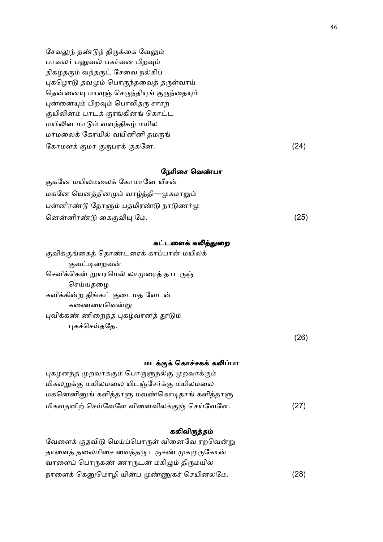சேவலுந் தண்டுந் திருக்கை வேலும் பாவலர் பனுவல் பகர்வன பிறவும் திகழ்தரும் வந்தருட் சேவை நல்கிப் புகழொடு தவமும் பொருந்தவைத் தருள்வாய் தென்னையு மாவுஞ் செருந்தியுங் குருந்தையும் புன்னையும் பிறவும் பொலிதரு சாரற் குயிலினம் பாடக் குரங்கினங் கொட்ட மயிலின மாடும் வளந்திகழ் மயில மாமலைக் கோயில் வயினினி தமருங் கோமளக் குமர குருபரக் குகனே.  $(24)$ 

(26)

## நேரிசை வெண்பா

குகனே மயிலமலைக் கோமானே யீசன் மகனே யெனத்தினமும் வாழ்த்தி—முகமாறும் பன்னிரண்டு தோளும் பதமிரண்டு நாடுணர்மு ென-னிர.0 ைக வி ேம. (25)

#### கட்டளைக் கலித்துறை

குவிக்குங்கைத் தொண்டரைக் காப்பான் மயிலக் குவட்டிறைவன் செவிக்கென் றுயரமெல் லாமுரைத் தாடருஞ் செய்யதழை கவிக்கின்ற திங்கட் குடைமத வேடன் கணையைவென்று புவிக்கண் ணிறைந்த புகழ்வானத் தூடும் புகச்செய்ததே.

மடக்குக் கொச்சகக் கலிப்பா புகழனந்த முறவாக்கும் பொருளுநல்கு முறவாக்கும் மிகலறுக்கு மயிலமலை யிடஞ்சேர்க்கு மயிலமலை மகனெனினுங் களித்தாளு மவண்கொடிதாங் களித்தாளு மிகவதனிற் செய்வேளே வினைவிலக்குஞ் செய்வேளே.  $(27)$ 

#### கலிவிருத்தம்

வேளைக் குதவிடு மெய்ப்பொருள் வினைவே ரறவென்று தாளைத் தலைமிசை வைத்தரு டருசண் முகமுருகோன் வாளைப் பொருகண் ணாருடன் மகிழும் திருமயில நாளைக் கெனுமொழி யின்ப முண்ணுகச் செயினலமே. (28)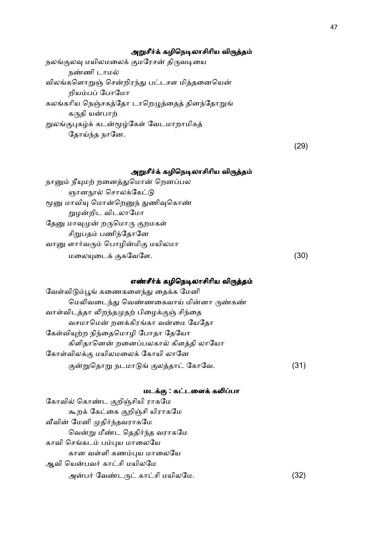#### அறுசீர்க் கழிநெடிலாசிரிய விருத்தம்

நலங்குலவு மயிலமலைக் குமரேசன் திருவடியை நண்ணி டாமல் விலங்களொறுஞ் சென்றிரந்து பட்டசள மித்தனையென் றியம்பப் போம<u>ோ</u> கலங்கரிய நெஞ்சகத்தோ டாறெழுத்தைத் தினந்தோறுங் கருதி யன்பாற் றுலங்குபுகழ்க் கடன்மூழ்கேள் வேடமாறாமிகத் தோய்ந்த நானே.

(29)

## அறுசீர்க் கழிநெடிலாசிரிய விருத்தம்

நானும் நீயுமற் றனைத்துமொன் றெனப்பல ஞானநூல் சொலக்கேட்டு மூனு மாவியு மொன்றெனுந் துணிவுகொண் றுழன்றிட விடலாமோ தேனு மாவுமுன் றருமொரு குறமகள் சிறுபதம் பணிந்தோனே வானு ளார்வரும் பொழின்மிகு மயிலமா மலையுடைக் குகவேளே.  $(30)$ 

### எண்சீர்க் கழிநெடிலாசிரிய விருத்தம்

வேள்விடும்பூங் கணைகளைந்து தைக்க மேனி மெலிவடைந்து வெண்ணகைவாய் மின்னா ருண்கண் வாள்விடத்தா லிறந்தமுதற் பிழைக்குஞ் சிந்தை வசமாமென் றனக்கிரங்கா வன்மை யேதோ கேள்வியுற்ற நிந்தைமொழி போதா தேயோ கிளிதானென் றனைப்பலகால் கிளத்தி லாயோ கோள்விலக்கு மயிலமலைக் கோயி லானே குன்றுதொறு நடமாடுங் குலத்தாட் கோவே. (31)

#### மடக்கு : கட்டளைக் கலிப்பா

கோவில் கொண்ட குறிஞ்சியி ராகமே கூறக் கேட்கை குறிஞ்சி யிராகமே வீவின் மேனி முதிர்ந்தவராகமே வென்று மீண்ட தெதிர்ந்த வராகமே காவி செங்கடம் பம்புய மாலையே கான வள்ளி கணம்புய மாலையே ஆவி யென்பவர் காட்சி மயிலமே அன்பர் வேண்டருட் காட்சி மயிலமே. (32)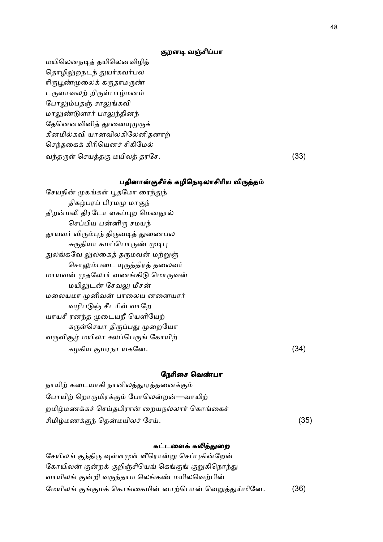#### குறளடி வஞ்சிப்பா

மயிலெனநடித் தயிலெனவிழித் தொழிலுறநடந் துயர்கவர்பல ரிருபூண்முலைக் கருதாமருண் டருளாவலற் றிருள்பாழ்மனம் போலும்பதஞ் சாலுங்கவி மாலுண்டுளார் பாலுந்தினந் தேனெனவினித் தூனையுமுருக் கீனமில்கவி யானவிலகிலேனிதனாற் செந்தகைக் கிரியெனச் சிகிமேல் வந்தருள் செயத்தகு மயிலத் தரசே.  $(33)$ 

## பதினான்குசீர்க் கழிநெடிலாசிரிய விருத்தம்

சேயநின் முகங்கள் பூதமோ ரைந்துந் திகழ்பரப் பிரமமு மாகுந் திறன்மலி திரடோ ளகப்புற மெனநூல் செப்பிய பன்னிரு சமயந் தூயவர் விரும்புந் திருவடித் துணைபல சுருதியா கமப்பொருண் முடிபு துலங்கவே லுலகைத் தருமவன் மற்றுஞ் சொலும்படை யுருத்திரத் தலைவர் மாயவன் முதலோர் வணங்கிடு மொருவன் மயிலுடன் சேவலு மீசன் மலையமா முனிவன் பாலைய னனையார் வழிபடுஞ் சீடரிவ் வாறே யாயசீ ரனந்த முடையநீ யெளியேற் கருள்செயா திருப்பது முறையோ வருவிசூழ் மயிலா சலப்பெருங் கோயிற் கழகிய குமரநா யகனே.  $(34)$ 

#### நேரிசை வெண்பா

| நாயிற் கடையாகி நானிலத்தூரத்தனைக்கும்         |      |
|----------------------------------------------|------|
| போயிற் றொருமிரக்கும் போலென்றன்—வாயிற்        |      |
| றமிழ்மணக்கச் செய்தபிரான் றையநல்லார் கொங்கைச் |      |
| சிமிழ்மணக்குந் தென்மயிலச் சேய்.              | (35) |

#### கட்டளைக் கலித்துறை

சேயிலங் குந்திரு வுள்ளமுள் ளீரொன்று செப்புகின்றேன் கோயிலன் குன்றக் குறிஞ்சியெங் கெங்குங் குறுகிநொந்து வாயிலங் குன்றி வருந்தாம லெங்கண் மயிலவெற்பின் மேயிலங் குங்குமக் கொங்கைமின் னாற்பொன் வெறுத்துய்மினே. (36)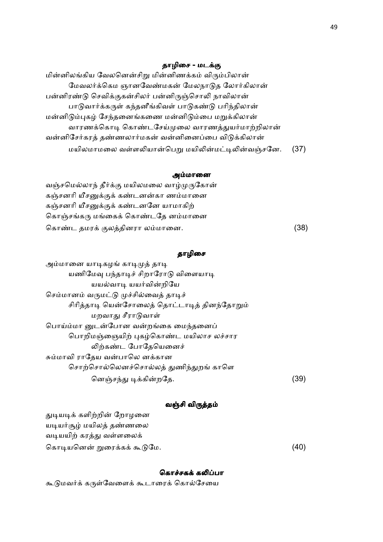## தாழிசை - மடக்கு

மின்னிலங்கிய வேலனென்சிறு மின்னிணக்கம் விரும்பிலான் மேவலர்க்கெம ஞானவேண்மகன் மேலநாடுத லோர்கிலான் பன்னிரண்டு செவிக்குகன்சிலர் பன்னிருஞ்சொலி நாவிலான் பாடுவார்க்கருள் கந்தனீங்கிவள் பாடுகண்டு பரிந்திலான் மன்னிடும்புகழ் சேந்தனைங்கணை மன்னிடும்பை மறுக்கிலான் வாரணக்கொடி கொண்டசேய்முலை வாரணத்துயர்மாற்றிலான் வன்னிசேர்கரத் தண்ணலார்மகன் வன்னினைப்பை விடுக்கிலான் மயிலமாமலை வள்ளலியான்பெறு மயிலின்மட்டிலின்வஞ்சனே. (37)

#### அம்மானை

வஞ்சமெல்லாந் தீர்க்கு மயிலமலை வாழ்முருகோன் கஞ்சனரி யீசனுக்குக் கண்டனன்கா ணம்மானை கஞ்சனரி யீசனுக்குக் கண்டனனே யாமாகிற் கொஞ்சங்கரு மங்கைக் கொண்டதே னம்மானை ெகா.ட தமர ல2தினரா லமாைன. (38)

#### தாழிசை

| அம்மானை யாடிகழங் காடிமுத் தாடி               |     |
|----------------------------------------------|-----|
| யணிமேவு பந்தாடிச் சிறாரோடு விளையாடி          |     |
| யயல்வாடி யயர்வின்றியே                        |     |
| செம்மானம் வருமட்டு முச்சில்வைத் தாடிச்       |     |
| சிரித்தாடி யென்சோலைத் தொட்டாடித் தினந்தோறும் |     |
| மறவாது சீராடுவாள்                            |     |
| பொய்ம்மா னுடன்போன வன்றங்கை மைந்தனைப்         |     |
| பொறிமஞ்ஞையிற் புகழ்கொண்ட மயிலாச லச்சார       |     |
| லிற்கண்ட போதேயெனைச்                          |     |
| சும்மாவி ராதேய வன்பாலெ னக்கான                |     |
| சொற்சொல்லெனச்சொல்லத் துணிந்துறங் காளெ        |     |
| னெஞ்சந்து டிக்கின்றதே.                       | 39) |

#### வஞ்சி விருத்தம்

| துடியடிக் களிற்றின் றோழனை   |      |
|-----------------------------|------|
| யடியர்சூழ் மயிலத் தண்ணலை    |      |
| வடியயிற் கரத்து வள்ளலைக்    |      |
| கொடியனென் றுரைக்கக் கூடுமே. | (40) |

#### கொச்சகக் கலிப்பா

கூடுமவர்க் கருள்வேளைக் கூடாரைக் கொல்சேயை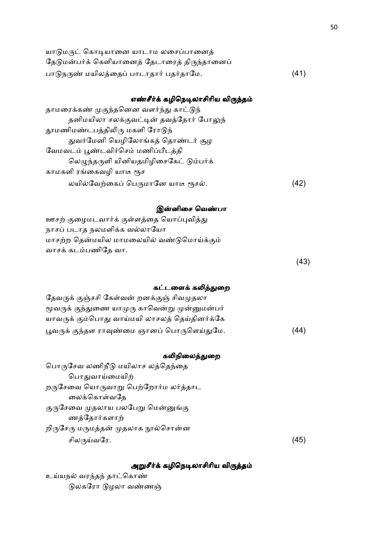| யாடுமருட் கொடியானை யாடாம லசைப்பானைக்          |      |
|-----------------------------------------------|------|
| தேடுமன்பர்க் கெளியானைத் தேடாரைத் திருந்தானைப் |      |
| பாடுநருண் மயிலத்தைப் பாடாதார் பதர்தாமே.       | (41) |

# எண்சீர்க் கழிநெடிலாசிரிய விருந்தம்

| தாமரைக்கண் முகுந்தனென வளர்ந்து காட்டுந் |      |
|-----------------------------------------|------|
| தனிமயிலா சலக்குவட்டின் தவத்தோர் போலுந்  |      |
| தூமணிமண்டபத்திலிரு மகளி ரோடுந்          |      |
| துவர்மேனி யெழிலோங்கத் தொண்டர் சூழ       |      |
| வேமவடம் பூண்டவிர்செம் மணிப்பீடத்தி      |      |
| லெழுந்தருளி யினியதமிழிசைகேட் டும்பர்க்  |      |
| காமகளி ரங்கைவழி யாடீ ரூச                |      |
| லயில்வேற்கைப் பெருமானே யாடீ ரூசல்.      | (42) |

## இன்னிசை வெண்பா

| ஊசற் குழைமடவார்க் குள்ளத்தை யொப்புவித்து  |      |
|-------------------------------------------|------|
| நாசப் படாத நலமளிக்க வல்லாயோ               |      |
| மாசற்ற தென்மயில மாமலையில் வண்டுமொய்க்கும் |      |
| வாசக் கடம்பணிதே வா.                       |      |
|                                           | (43) |

# கட்டளைக் கலித்துறை

| தேவருக் குஞ்சசி கேள்வன் றனக்குஞ் சிவமுதலா     |      |
|-----------------------------------------------|------|
| மூவருக் குந்துணை யாமுரு காவென்று முன்னுமன்பர் |      |
| யாவருக் கும்பொது வாய்மயி லாசலத் தெய்தினர்க்கே |      |
| பூவருக் குந்தள ராவுண்மை ஞானப் பொருளெய்துமே.   | (44) |

# கலிநிலைத்துறை

| பொருசேவ லணிநீடு மயிலாச லத்தெந்தை    |      |
|-------------------------------------|------|
| பொதுவாய்மையிற்                      |      |
| றருசேவை யொருவாறு பெற்றோர்ம லர்த்தாட |      |
| லைக்கொள்வதே                         |      |
| குருசேவை முதலாய பலபேறு மென்னுங்கு   |      |
| ணத்தோர்களாற்                        |      |
| றிருசேரு மருமத்தன் முதலாக நூல்சொன்ன |      |
| சிலருய்வரே.                         | (45) |
|                                     |      |

# அறுசீர்க் கழிநெடிலாசிரிய விருத்தம்

உய்யநல் வரந்தந் தாட்கொண் டுலகரோ டுழலா வண்ணஞ்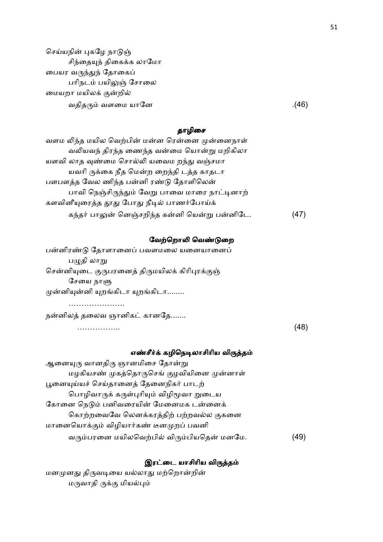செய்யநின் புகழே நாடுஞ் சிந்தையுந் திகைக்க லாமோ பையர வருந்துந் தோகைப் பரிநடம் பயிலுஞ் சோலை மையறா மயிலக் குன்றில் வதித வளைம யாேன .(46)

## தாழிசை

| வளம லிந்த மயில வெற்பின் மன்ன ரென்னை முன்னைநாள் |      |
|------------------------------------------------|------|
| வலியவந் திரந்த ணைந்த வன்மை யொன்று மறிகிலா      |      |
| யளவி லாத வுண்மை சொல்லி யவைம றந்து வஞ்சமா       |      |
| யவரி ருக்கை நீத மென்ற றைந்தி டத்த காதடா        |      |
| பளபளத்த வேல ணிந்த பன்னி ரண்டு தோளிலென்         |      |
| பாவி நெஞ்சிருந்தும் வேறு பாவை மாரை நாட்டினாற்  |      |
| களவினீயுரைத்த தூது போது நீடில் பாணர்போய்க்     |      |
| கந்தர் பாலுன் னெஞ்சறிந்த கன்னி யென்று பன்னிடே. | (47) |

#### வேற்றொலி வெண்டுறை

பன்னிரண்டு தோளானைப் பவளமலை யனையானைப் பழுதி லாறு சென்னியுடை குருபரனைத் திருமயிலக் கிரிபுரக்குஞ் சேயை நாளு முன்னியுன்னி யுறங்கிடா யுறங்கிடா........

…………………. நன்னிலத் தலைவ ஞானிகட் கானதே.......

…………….. (48)

#### எண்சீர்க் கழிநெடிலாசிரிய விருத்தம்

ஆனையுரு வானதிரு ஞானமிசை தோன்று மழகியசண் முகத்தொருசெங் குழவியினை முன்னாள் பூனையுய்யச் செய்தானைத் தேனைநிகர் பாடற் பொழிவாருக் கருள்புரியும் விழிமூவா றுடைய கோனை நெடும் பனிவரையின் மேனைமக டன்னைக் கொற்றவைவே லெனக்கரத்திற் பற்றவல்ல குகனை மானையொக்கும் விழியார்கண் டீனமுறப் பவனி வரும்பரனை மயிலவெற்பில் விரும்பியதென் மனமே. (49)

### இரட்டை யாசிரிய விருத்தம்

மனமுனது திருவடியை யல்லாது மற்றொன்றின் மருவாதி ருக்கு மியல்பும்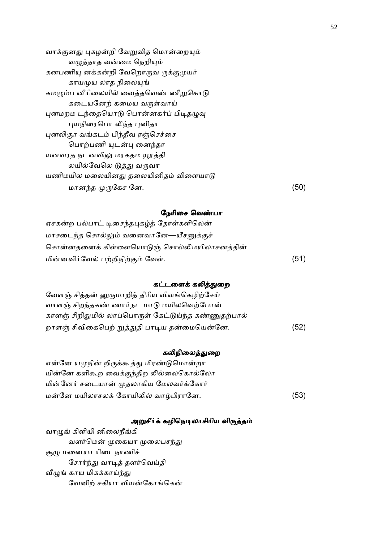| வாக்குனது புகழன்றி வேறுவித மொன்றையும் |      |
|---------------------------------------|------|
| வழுத்தாத வன்மை நெறியும்               |      |
| கனபணியு னக்கன்றி வேறொருவ ருக்குமுயர்  |      |
| காயமுய லாத நிலையுங்                   |      |
| கமழும்ப னீரிலையில் வைத்தவெண் ணீறுகொடு |      |
| கடையனேற் கமைய வருள்வாய்               |      |
| புனமறம டந்தையொடு பொன்னகர்ப் பிடிதழுவு |      |
| புயநிரைபொ லிந்த புனிதா                |      |
| புனலிகுர வங்கடம் பிந்தீவ ரஞ்செச்சை    |      |
| பொற்பணி யுடன்பு னைந்தா                |      |
| யனவரத நடனவிலு மரகதம யூரத்தி           |      |
| லயில்வேலெ டுத்து வருவா                |      |
| யணிமயில மலையினது தலையினிதம் விளையாடு  |      |
| மானந்த முருகேச னே.                    | (50) |
|                                       |      |

#### நேரிசை வெண்பா

| ஏசகன்ற பல்பாட் டிசைந்தபுகழ்த் தோள்களிலென்   |      |
|---------------------------------------------|------|
| மாசடைந்த சொல்லும் வனைவானே—யீசனுக்குச்       |      |
| சொன்னதனைக் கிள்ளையொடுஞ் சொல்லிமயிலாசனத்தின் |      |
| மின்னவிர்வேல் பற்றிநிற்கும் வேள்.           | (51) |

#### கட்டளைக் கலித்துறை

| வேளஞ் சித்தன் னுருமாறித் திரிய விளங்கெழிற்சேய்       |      |
|------------------------------------------------------|------|
| வாளஞ் சிறந்தகண் ணார்நட மாடு மயிலவெற்போன்             |      |
| காளஞ் சிறிதுமில் லாப்பொருள் கேட்டுய்ந்த கண்ணுதற்பால் |      |
| றாளஞ் சிவிகைபெற் றுத்துதி பாடிய தன்மையென்னே.         | (52) |

#### கலிநிலைத்துறை

என்னே யமுநின் றிருக்கூத்து மிரண்டுமொன்றா யின்னே களிகூற வைக்குந்திற லில்லைகொல்லோ மின்னேர் சடையான் முதலாகிய மேலவர்க்கோர் மன்னே மயிலாசலக் கோயிலில் வாழ்பிரானே. (53)

#### அறுசீர்க் கழிநெடிலாசிரிய விருத்தம்

வாழுங் கிளியி னிலைநீங்கி வளர்மென் முகையா முலைபசந்து சூழு மனையா ரிடைநாணிச் சோர்ந்து வாடித் தளர்வெய்தி வீழுங் காய மிகக்காய்ந்து வேனிற் சகியா வியன்கோங்கென்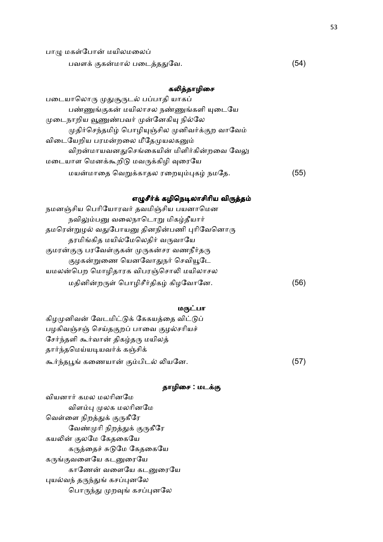| பாழு மகள்போன் மயிலமலைப்     |      |
|-----------------------------|------|
| பவளக் குகன்மால் படைத்ததுவே. | (54) |

# கலித்தாழிசை

| படையாலொரு முதுசூருடல் பப்பாதி யாகப்             |      |
|-------------------------------------------------|------|
| பண்ணுங்குகன் மயிலாசல நண்ணுங்களி யுடையே          |      |
| முடைநாறிய வூணுண்பவர் முன்னேகியு நில்லே          |      |
| முதிர்செந்தமிழ் பொழியுஞ்சில முனிவர்க்குற வாவேம் |      |
| விடையேறிய பரமன்றலை மீதேமுயலகனும்                |      |
| விறன்மாயவனதுசெங்கையின் மிளிர்கின்றவை வேலு       |      |
| மடையாள மெனக்கூறிடு மவருக்கிழி வுரையே            |      |
| மயன்மாதை வெறுக்காதல ரறையும்புகழ் நமதே.          | (55) |
|                                                 |      |

## எழுசீர்க் கழிநெடிலாசிரிய விருத்தம்

| 56) |
|-----|
|     |

#### மருட்பா

| கிழமுனிவன் வேடமிட்டுக் கேகயத்தை விட்டுப் |      |
|------------------------------------------|------|
| பழகிவஞ்சஞ் செய்தகுறப் பாவை குழல்சரியச்   |      |
| சேர்ந்தளி கூர்வான் திகழ்தரு மயிலத்       |      |
| தார்ந்தமெய்யடியவர்க் கஞ்சிக்             |      |
| கூர்ந்தபூங் கணையான் கும்பிடல் லியனே.     | (57) |

## தாழிசை : மடக்கு

வியனார் கமல மலரினமே விளம்பு முலக மலரினமே வெள்ளை நிறத்துக் குருகீரே வேண்முரி நிறத்துக் குருகீரே கயலின் குலமே கேதகையே கருத்தைச் சுடுமே கேதகையே கருங்குவளையே கடனுரையே காணேன் வளையே கடனுரையே புயல்வந் தருந்துங் கசப்புனலே பொருந்து முறவுங் கசப்புனலே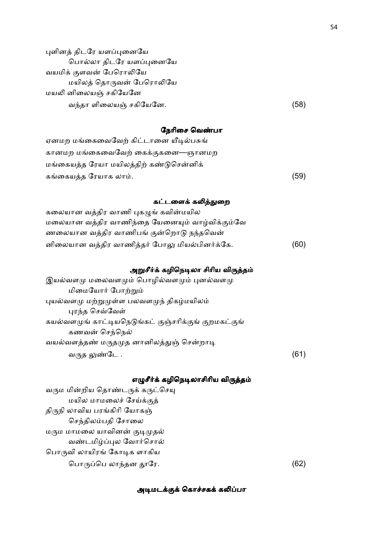புளினத் திடரே யளப்புனையே பொல்லா திடரே யளப்புனையே வயமிக் குளவன் பேரொலியே மயிலத் தொருவன் பேரொலியே மயலி னிலையஞ் சகியேனே வ%தா ளிைலயM சகிேயேன. (58)

#### நேரிசை வெண்பா

| ஏனமற மங்கைவைவேற் கிட்டானை யீடில்பசுங்   |      |
|-----------------------------------------|------|
| கானமற மங்கைவைவேற் கைக்குகனை—ஞானமற       |      |
| மங்கையத்த ரேயா மயிலத்திற் கண்டுசென்னிக் |      |
| கங்கையத்த ரேயாக லாம்.                   | (59) |
|                                         |      |

## கட்டளைக் கலித்துறை

| கலையான வத்திர வாணி புகழுங் கவின்மயில           |      |
|------------------------------------------------|------|
| மலையான வத்திர வாணிந்தை யேனையும் வாழ்விக்கும்வே |      |
| ணலையான வத்திர வாணிபங் குன்றொடு நந்தவென்        |      |
| னிலையான வத்திர வாணித்தர் போலு மியல்பினர்க்கே.  | (60) |

#### அறுசீர்க் கழிநெடிலா சிரிய விருத்தம்

| இயல்வளமு மலைவளமும் பொழில்வளமும் புனல்வளமு             |      |
|-------------------------------------------------------|------|
| மிமையோர் போற்றும்                                     |      |
| புயல்வளமு மற்றுமுள்ள பலவளமுந் திகழ்மயிலம்             |      |
| புரந்த செவ்வேள்                                       |      |
| கயல்வளமுங் காட்டியநெடுங்கட் குஞ்சரிக்குங் குறமகட்குங் |      |
| கணவன் செந்நெல்                                        |      |
| வயல்வளத்தண் மருதமுத னானிலத்துஞ் சென்றாடி              |      |
| வருத லுண்டே .                                         | (61) |

#### எழுசீர்க் கழிநெடிலாசிரிய விருத்தம்

வரும மின்றிய தொண்டருக் கருட்செயு மயில மாமலைச் சேய்க்குத் திருநி லாவிய பரங்கிரி யோகஞ் செந்திலம்பதி சோலை மரும மாமலை யாவினன் குடிமுதல் வண்டமிழ்ப்புல வோர்சொல் பொருவி லாயிரங் கோடிக ளாகிய பொருப்பெ லாந்தன தூரே.  $(62)$ 

#### அடிமடக்குக் கொச்சகக் கலிப்பா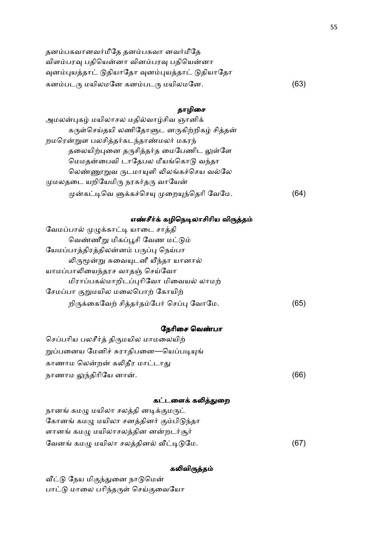| தனம்பகவானவர்மீதே தனம்பகவா னவர்மீதே              |      |
|-------------------------------------------------|------|
| விளம்பரவு பதியென்னா வினம்பரவு பதியென்னா         |      |
| வுனம்புயத்தாட் டுதியாதோ வுனம்புயத்தாட் டுதியாதோ |      |
| கனம்படரு மயிலமனே கனம்படரு மயிலமனே.              | (63) |

## தாழிசை

| அமலன்புகழ் மயிலாசல மதில்வாழ்சிவ ஞானிக்     |    |
|--------------------------------------------|----|
| கருள்செய்தயி லணிதோளுட னருகிற்றிகழ் சித்தன் |    |
| றமரென்றுள பலசித்தர்கடந்தாண்மலர் மகரந்      |    |
| தலையிற்புனை தருசித்தர்த மைபேணிட லுள்ளே     |    |
| மெமதன்பைவி டாதேபல மீயங்கொடு வந்தா          |    |
| லெண்ணூறுவ ருடமாயுளி லிலங்கச்செய வல்லே      |    |
| முமலதடை யறியேமிரு நரகர்தரு வாயேன்          |    |
| முன்கட்டிவெ ளுக்கச்செயு முறையுந்தெரி வேமே. | 64 |

# எண்சீர்க் கழிநெடிலாசிரிய விருத்தம்

| வேமப்பால் முழுக்காட்டி யாடை சாத்தி       |     |
|------------------------------------------|-----|
| வெண்ணீறு மிகப்பூசி வேண மட்டும்           |     |
| யேமப்பாத்திரத்திலன்னம் பருப்பு நெய்பா    |     |
| லிருமூன்று சுவையுடனீ யீந்தா யானால்       |     |
| யாமப்பாலியைந்தரச வாதஞ் செய்வோ            |     |
| மிராப்பகல்மாறிடப்புரிவோ மிவையல் லாமற்    |     |
| சேமப்பா குறுமயில மலைபொற் கோயிற்          |     |
| றிருக்கைவேற் சித்தர்தம்பேர் செப்பு வோமே. | (65 |
|                                          |     |

# நேரிசை வெண்பா

| செப்பரிய பலசீர்த் திருமயில மாமலையிற்  |      |
|---------------------------------------|------|
| றுப்பனைய மேனிச் சுராதிபனை—யெப்படியுங் |      |
| காணாம லென்றன் கலிதீர மாட்டாது         |      |
| நாணாம லுந்திரியே னான்.                | (66) |

# கட்டளைக் கலித்துறை

| நானங் கமழு மயிலா சலத்தி னடிக்குமருட்    |      |
|-----------------------------------------|------|
| கோனங் கமழு மயிலா சனத்தினர் கும்பிடுந்தா |      |
| ளானங் கமழு மயிலாசலத்தின னன்றடர்சூர்     |      |
| வேனங் கமழு மயிலா சலத்தினல் வீட்டிடுமே.  | (67) |

## கலிவிருத்தம்

வீட்டு நேய மிகுந்துனை நாடுமென் பாட்டு மாலை பரிந்தருள் செய்குவையோ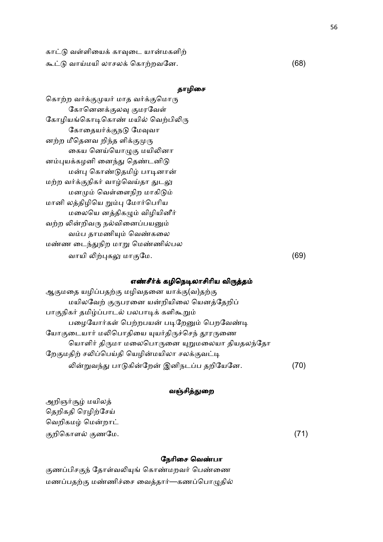காட்டு வள்ளியைக் காவுடை யான்மகளிற் =:0 வாமயி லாசல ெகாறவேன. (68)

## தாழிசை

கொற்ற வர்க்குமுயர் மாத வர்க்குமொரு கோனெனக்குலவு குமரவேள் கோழியங்கொடிகொண் மயில் வெற்பிலிரு கோதையர்க்குநடு மேவுவா னற்ற மீதெனவ றிந்த ளிக்குமுரு கைய னெய்யொழுகு மயிலினா னம்புயக்கழனி னைந்து தெண்டனிடு மன்பு கொண்டுதமிழ் பாடினான் மற்ற வர்க்குநிகர் வாழ்வெய்தா துடலு மனமும் வெள்ளைநிற மாகிடும் மானி லத்திழியெ றும்பு மோர்பெரிய மலையெ னத்திகழும் விழியினீர் வற்ற லின்றிவரு நல்வினைப்பயனும் வம்ப தாமணியும் வெண்கலை மண்ண டைந்துநிற மாறு மெண்ணில்பல வாயி +#க- மா ேம. (69)

## எண்சீர்க் கழிநெடிலாசிரிய விருத்தம்

ஆகுமதை யழிப்பதற்கு மழிவதனை யாக்கு(வ)தற்கு மயிலவேற் குருபரனை யன்றியிலை யெனத்தேறிப் பாகுநிகர் தமிழ்ப்பாடல் பலபாடிக் களிகூறும் பழையோர்கள் பெற்றபயன் படிறேனும் பெறவேண்டி யோகுடையார் மலிபொதியை யுயர்திருச்செந் தூரருணை யொளிர் திருமா மலைபொருனை யுறுமலையா தியதலந்தோ றேகுமதிற் சலிப்பெய்தி யெழின்மயிலா சலக்குவட்டி லின்றுவந்து பாடுகின்றேன் இனிநடப்ப தறியேனே. (70)

#### வஞ்சித்துறை

அறிஞர்சூழ் மயிலத் தெறிகதி ரெழிற்சேய் வெறிகமழ் மென்றாட் குறிகொளல் குணமே. (71) $(71)$ 

#### நேரிசை வெண்பா

குணப்பிசகுந் தோள்வலியுங் கொண்மறவர் பெண்ணை மணப்பதற்கு மண்ணிச்சை வைத்தார்—கணப்பொழுதில்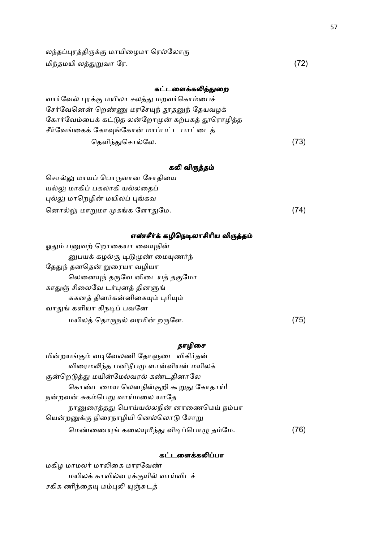லந்தப்புரத்திருக்கு மாயிழைமா ரெல்லோரு மிந்தமயி லத்துறுவா ரே.  $(72)$ 

## கட்டளைக்கலித்துறை

| வார்வேல் புரக்கு மயிலா சலத்து மறவர்கொம்பைச்     |      |
|-------------------------------------------------|------|
| சேர்வேனென் றெண்ணு மரசேயுந் தூதனுந் தேயவழக்      |      |
| கோர்வேம்பைக் கட்டுத லன்றோமுன் கற்பகத் தூரொழித்த |      |
| சீர்வேங்கைக் கோவுங்கோன் மாப்பட்ட பாட்டைத்       |      |
| தெளிந்துசொல்லே.                                 | (73) |

## கலி விருத்தம்

| சொல்லு மாயப் பொருளான சோதியை   |      |
|-------------------------------|------|
| யல்லு மாகிப் பகலாகி யல்லதைப்  |      |
| புல்லு மாறெழின் மயிலப் புங்கவ |      |
| னொல்லு மாறுமா முகங்க ளோதுமே.  | (74) |

## எண்சீர்க் கழிநெடிலாசிரிய விருத்தம்

| (75) |
|------|
|      |

## தாழிசை

| மின்றயங்கும் வடிவேலணி தோளுடை விகிர்தன்   |     |
|------------------------------------------|-----|
| விரைமலிந்த பனிநீபமு ளான்வியன் மயிலக்     |     |
| குன்றெடுத்து மயின்மேல்வரல் கண்டதினாலே    |     |
| கொண்டமைய லெனநின்குறி கூறுது கோதாய்!      |     |
| நன்றவன் சுகம்பெறு வாய்மலை யாதே           |     |
| நானுரைத்தது பொய்யல்லநின் னாணைமெய் நம்பா  |     |
| யென்றனுக்கு நிரைநாழியி னெல்லொடு சோறு     |     |
| மெண்ணையுங் கலையுமீந்து விடிப்பொழு தம்மே. | 76) |

## கட்டளைக்கலிப்பா

மகிழ மாமலர் மாலிகை மாரவேண் மயிலக் காவில்வ ரக்குயில் வாய்விடச் சகிக ணிந்தையு மம்புலி யுஞ்சுடத்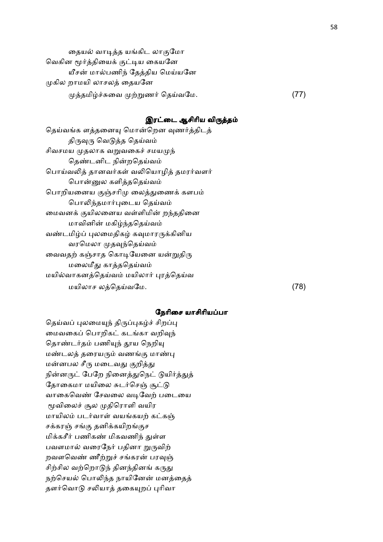தையல் வாடித்த யங்கிட லாகுமோ வெகின மூர்த்தியைக் குட்டிய கையனே யீசன் மால்பணிந் தேத்திய மெய்யனே முகில றாமயி லாசலத் தையனே  $\mu$ த்தமிழ்ச்சுவை முற்றுணர் தெய்வமே.  $(77)$ 

#### இரட்டை ஆசிரிய விருத்தம்

| தெய்வங்க ளத்தனையு மொன்றென வுணர்த்திடத்  |      |
|-----------------------------------------|------|
| திருவுரு வெடுத்த தெய்வம்                |      |
| சிவசமய முதலாக வறுவகைச் சமயமுந்          |      |
| தெண்டனிட நின்றதெய்வம்                   |      |
| பொய்வலித் தானவர்கள் வலியொழித் தமரர்வளர் |      |
| பொன்னுல களித்ததெய்வம்                   |      |
| பொறியனைய குஞ்சரிமு லைத்துணைக் களபம்     |      |
| பொலிந்தமார்புடைய தெய்வம்                |      |
| மைவனக் குயிலனைய வள்ளிமின் றந்ததினை      |      |
| மாவினின் மகிழ்ந்ததெய்வம்                |      |
| வண்டமிழ்ப் புலமைதிகழ் கவுமாரருக்கினிய   |      |
| வரமெலா முதவுந்தெய்வம்                   |      |
| வைவதற் கஞ்சாத கொடியேனை யன்றுதிரு        |      |
| மலைமீது காத்ததெய்வம்                    |      |
| மயில்வாகனத்தெய்வம் மயிலார் புரத்தெய்வ   |      |
| மயிலாச லத்தெய்வமே.                      | (78) |

#### நேரிசை யாசிரியப்பா

தெய்வப் புலமையுந் திருப்புகழ்ச் சிறப்பு மைவகைப் பொறிகட் கடங்கா வறிவுந் தொண்டர்தம் பணியுந் தூய நெறியு மண்டலத் தரையரும் வணங்கு மாண்பு மன்னபல சீரு மடைவது குறித்து நின்னருட் பேறே நினைத்துநெட் டுயிர்த்துத் தோகைமா மயிலை சுடர்செஞ் சூட்டு வாகைவெண் சேவலை வடிவேற் படையை மூவிலைச் சூல முதிரொளி வயிர மாயிலம் படர்வாள் வயங்கயற் கட்கஞ் சக்கரஞ் சங்கு தனிக்கயிறங்குச மிக்கசீர் பணிகண் மிகவணிந் துள்ள பவளமால் வரைநேர் பதினா றுருவிற் றவளவெண் ணீற்றுச் சங்கரன் பரவுஞ் சிற்சில வற்றொடுந் தினந்தினங் கருது நற்செயல் பொலிந்த நாயினேன் மனத்தைத் தளர்வொடு சலியாத் தகையுறப் புரிவா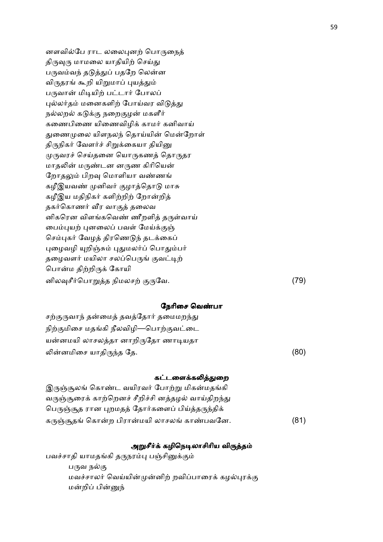னளவில்பே ராட லலைபுனற் பொருநைத் திருவுரு மாமலை யாதியிற் செய்து பருவம்வந் தடுத்துப் பதறே லென்ன விருதரங் கூறி யிறுமாப் புயத்தும் பருவான் மிடியிற் பட்டார் போலப் புல்லர்தம் மனைகளிற் போய்வர விடுத்து நல்லறல் கடுக்கு நறைகுழன் மகளீர் கணைபிணை யிணைவிழிக் காமர் கனிவாய் துணைமுலை யிளநலந் தொய்யின் மென்றோள் திருநிகர் வேளர்ச் சிறுக்கையா தியினு முருவரச் செய்தனை யொருகணத் தொருதர மாதலின் மருண்டன னருண கிரியென் றோதலும் பிறவு மொளியா வண்ணங் கழீஇயவண் முனிவர் குழாத்தொடு மாசு கழீஇய மதிநிகர் களிற்றிற் றோன்றித் தகர்கொணர் வீர வாகுத் தலைவ னிகரென விளங்கவெண் ணீறளித் தருள்வாய் பைம்புயற் புனலைப் பவள் மேய்க்குஞ் செம்புகர் வேழத் திரணெடுந் தடக்கைப் புழைவழி யுறிஞ்சும் புதுமலர்ப் பொதும்பர் தழைவளர் மயிலா சலப்பெருங் குவட்டிற் பொன்ம திற்றிருக் கோயி னில\*சீ,ெபா82த நிமலச ேவ. (79)

#### நேரிசை வெண்பா

| சற்குருவாந் தன்மைத் தவத்தோர் தமைமறந்து |      |
|----------------------------------------|------|
| நிற்குமிசை மதங்கி நீலவிழி—பொற்குவட்டை  |      |
| யன்னமயி லாசலத்தா னாறிருதோ ணாடியதா      |      |
| லின்னமிசை யாதிருந்த தே.                | (80) |

#### கட்டளைக்கலித்துறை

| இருஞ்சூலங் கொண்ட வயிரவர் போற்று மிகன்மதங்கி        |      |
|----------------------------------------------------|------|
| வருஞ்சூரைக் காற்றெனச் சீறிச்சி னத்தழல் வாய்திறந்து |      |
| பெருஞ்சூத ரான புறமதத் தோர்களைப் பிய்த்தருந்திக்    |      |
| கருஞ்சூதங் கொன்ற பிரான்மயி லாசலங் காண்பவனே.        | (81) |

#### அறுசீர்க் கழிநெடிலாசிரிய விருத்தம்

பவச்சாதி யாமதங்கி தருநரம்பு பஞ்சினுக்கும் பருவ நல்கு மவச்சாலர் வெய்யின்முன்னிற் றவிப்பாரைக் கழல்புரக்கு மன்றிப் பின்னுந்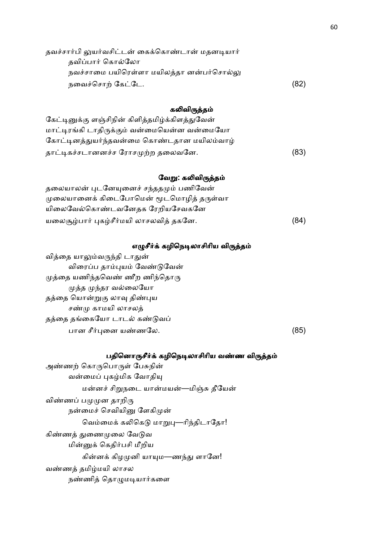| (82) |
|------|
|      |

#### கலிவிருத்தம்

| கேட்டினுக்கு ளஞ்சிநின் கிளித்தமிழ்க்கிளத்துவேன் |      |
|-------------------------------------------------|------|
| மாட்டிரங்கி டாதிருக்கும் வன்மையென்ன வன்மையோ     |      |
| கோட்டினத்துயர்ந்தவன்மை கொண்டதான மயிலம்வாழ்      |      |
| தாட்டிகச்சடானனச்ச ரோசமுற்ற தலைவனே.              | (83) |

#### வேறு: கலிவிருத்தம்

தலையாலன் புடனேயுனைச் சந்ததமும் பணிவேன் முலையானைக் கிடைபோமென் மூடமொழித் தருள்வா யிலைவேல்கொண்டவனேதக ரேறியசேவகனே யலைசூழ்பார் புகழ்சீர்மயி லாசலவித் தகனே.  $(84)$ 

#### எழுசீர்க் கழிநெடிலாசிரிய விருத்தம்

வித்தை யாலும்வருந்தி டாதுன் விரைப்ப தாம்புயம் வேண்டுவேன்  $\mu$ த்தை யணிந்தவெண் ணீற ணிந்தொரு முத்த முந்தர வல்லையோ தத்தை யொன்றுகு லாவு திண்புய சண்மு காமயி லாசலத் தத்தை தங்கையோ டாடல் கண்டுவப்  $\Box$  பான சீர்புனை யண்ணலே.  $(85)$ 

#### பதினொருசீர்க் கழிநெடிலாசிரிய வண்ண விருத்தம்

அண்ணற் கொருபொருள் பேசுநின் வன்மைப் புகழ்மிக வோதியு மன்னச் சிறுநடை யான்மயன்—மிஞ்சு தீயேன் விண்ணப் பமுமுன தாறிரு நன்மைச் செவியினு ளேகிமுன் வெம்மைக் கலிகெடு மாறுபு—ரிந்திடாதோ! கிண்ணத் துணைமுலை வேடுவ மின்னுக் கெதிர்பசி மீறிய கின்னக் கிழமுனி யாயும—ணந்து ளானே! வண்ணத் தமிழ்மயி லாசல நண்ணித் தொழுமடியார்களை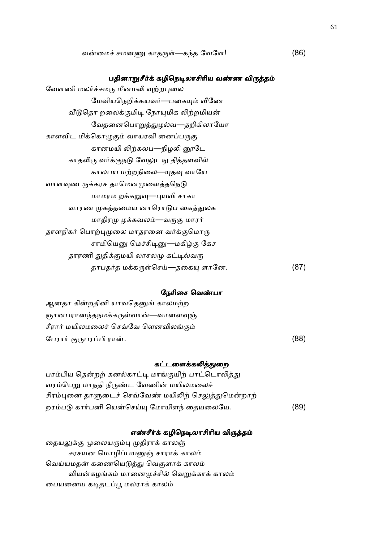#### பதினாறுசீர்க் கழிநெடிலாசிரிய வண்ண விருத்தம்

| வேளணி மலர்ச்சமரு மீனமலி வுற்றபுலை      |     |
|----------------------------------------|-----|
| மேவியநெறிக்கயவர்—பகையும் வீணே          |     |
| வீடுதொ றலைக்குமிடி நோயுமிக லிற்றமியன்  |     |
| வேதனைபொறுத்துழல்வ—தறிகிலாயோ            |     |
| காளவிட மிக்கொழுகும் வாயரவி னைப்பருகு   |     |
| கானமயி லிற்கலப—நிழலி னூடே              |     |
| காதலிரு வர்க்குநடு வேலுடநு தித்தளவில்  |     |
| காலபய மற்றநிலை—யுதவு வாயே              |     |
| வாளவுண ருக்கரச தாமெனமுளைத்தநெடு        |     |
| மாமரம றக்கறுவு—புயவி சாகா              |     |
| வாரண முகத்தமைய னாரொடுப கைத்துலக        |     |
| மாதிரமு ழக்கவலம்—வருகு மாரர்           |     |
| தாளநிகர் பொற்புமுலை மாதரனை வர்க்குமொரு |     |
| சாமியெனு மெச்சிடினு—மகிழ்கு கேச        |     |
| தாரணி துதிக்குமயி லாசலமு கட்டில்வரு    |     |
| தாபதர்த மக்கருள்செய்—தகையு ளானே.       | (87 |
|                                        |     |

#### நேரிசை வெண்பா

ஆனதா கின்றதினி யாவதெனுங் காலமற்ற ஞானபரானந்தநமக்கருள்வான்—வானளவுஞ் சீரார் மயிலமலைச் செவ்வே ளெனவிலங்கும் பேரார் குருபரப்பி ரான். . (88)

#### கட்டளைக்கலித்துறை

| பரம்பிய தென்றற் கனல்காட்டி மாங்குயிற் பாட்டொலித்து   |      |
|------------------------------------------------------|------|
| வரம்பெறு மாநதி நீருண்ட வேணின் மயிலமலைச்              |      |
| சிரம்புனை தாளுடைச் செவ்வேண் மயிலிற் செலுத்துமென்றாற் |      |
| றரம்படு கார்பனி யென்செய்யு மோயிளந் தையலையே.          | (89) |

#### எண்சீர்க் கழிநெடிலாசிரிய விருத்தம்

தையலுக்கு முலையரும்பு முதிராக் காலஞ் சரசயன மொழிப்பயனுஞ் சாராக் காலம் வெய்யமதன் கணையெடுத்து வெகுளாக் காலம் வியன்கழங்கம் மானைமுச்சில் வெறுக்காக் காலம் பையனைய கடிதடப்பூ மலராக் காலம்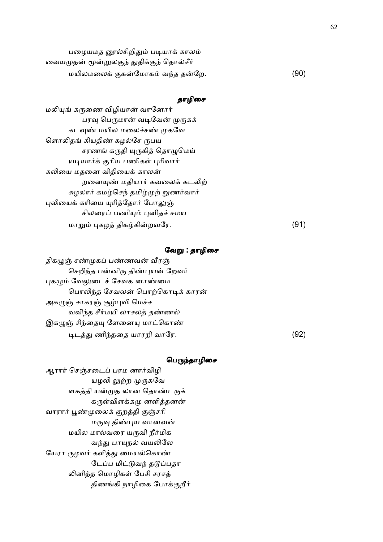| பழையமத னூல்சிறிதும் படியாக் காலம்        |      |
|------------------------------------------|------|
| வையமுதன் மூன்றுலகுந் துதிக்குந் தொல்சீர் |      |
| மயிலமலைக் குகன்மோகம் வந்த தன்றே.         | (90) |

## தாழிசை

மலியுங் கருணை விழியான் வானோர் பரவு பெருமான் வடிவேன் முருகக் கடவுண் மயில மலைச்சண் முகவே ளொலிதங் கியதிண் கழல்சே ருபய சரணங் கருதி யுருகித் தொழுமெய் யடியார்க் குரிய பணிகள் புரிவார் கலியை மதனை விதியைக் காலன் றனையுண் மதியார் கவலைக் கடலிற் சுழலார் கமழ்செந் தமிழ்முற் றுணர்வார் புலியைக் கரியை யுரித்தோர் போலுஞ் சிலரைப் பணியும் புனிதச் சமய மா8 #கழ2 திககி-றவேர. (91)

#### வேறு : தாழிசை

திகழுஞ் சண்முகப் பண்ணவன் வீரஞ் செறிந்த பன்னிரு திண்புயன் றேவர் புகழும் வேலுடைச் சேவக னாண்மை பொலிந்த சேவலன் பொற்கொடிக் காரன் அகழுஞ் சாகரஞ் சூழ்புவி மெச்ச வவிந்த சீர்மயி லாசலத் தண்ணல் இகழுஞ் சிந்தையு ளேனையு மாட்கொண்  $\mu$ டத்து ணிந்ததை யாரறி வாரே.  $(92)$ 

#### பெருந்தாழிசை

ஆரார் செஞ்சடைப் பரம னார்விழி யழலி லுற்ற முருகவே ளகத்தி யன்முத லான தொண்டருக் கருள்விளக்கமு னளித்தனன் வாரார் பூண்முலைக் குறத்தி குஞ்சரி மருவு திண்புய வானவன் மயில மால்வரை யருவி நீர்மிக வந்து பாயுநல் வயலிலே யேரா ருழவர் களித்து மையல்கொண் டேப்ப மிட்டுவந் தடுப்பதா லினித்த மொழிகள் பேசி சரசத் திணங்கி நாழிகை போக்குறீர்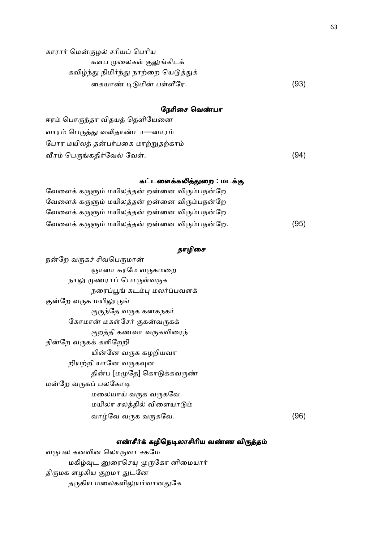காரார் மென்குழல் சரியப் பெரிய களப முலைகள் குலுங்கிடக் கவிழ்ந்து நிமிர்ந்து நாற்றை யெடுத்துக் ைகயா. 70மி- பளீேர. (93)

#### நேரிசை வெண்பா

ஈரம் பொருந்தா விதயத் தெளியேனை வாரம் பெருத்து வலிதாண்டா—னாரம் போர மயிலத் தன்பர்பகை மாற்றுதற்காம் Lர ெபகதி,ேவ5 ேவ. (94)

### கட்டளைக்கலித்துறை : மடக்கு

| வேளைக் கருளும் மயிலத்தன் றன்னை விரும்பநன்றே  |      |
|----------------------------------------------|------|
| வேளைக் கருளும் மயிலத்தன் றன்னை விரும்பநன்றே  |      |
| வேளைக் கருளும் மயிலத்தன் றன்னை விரும்பநன்றே  |      |
| வேளைக் கருளும் மயிலத்தன் றன்னை விரும்பநன்றே. | (95) |

#### தாழிசை

நன்றே வருகச் சிவபெருமான் ஞானா கரமே வருகமறை நாலு முணராப் பொருள்வருக நரைப்பூங் கடம்பு மலர்ப்பவளக் குன்றே வருக மயிலூருங் குருந்தே வருக கனகநகர் கோமான் மகள்சேர் குகன்வருகக் குறத்தி கணவா வருகவிரைந் தின்றே வருகக் களிறேறி யின்னே வருக கழறியவா றியற்றி யானே வருகவுன தின்ப [மமுதே] கொடுக்கவருண் மன்றே வருகப் பலகோடி மலையாய் வருக வருகவே மயிலா சலத்தில் விளையாடும் வாழ்வே வருக வருகவே.  $(96)$ 

## எண்சீர்க் கழிநெடிலாசிரிய வண்ண விருத்தம்

வபல கனவின ெலாவா சகேம மகிழ்வுட னுரைசெயு முருகோ னிமையார் திருமக ளழகிய குறமா துடனே தருகிய மலைகளிலுயர்வானதுகே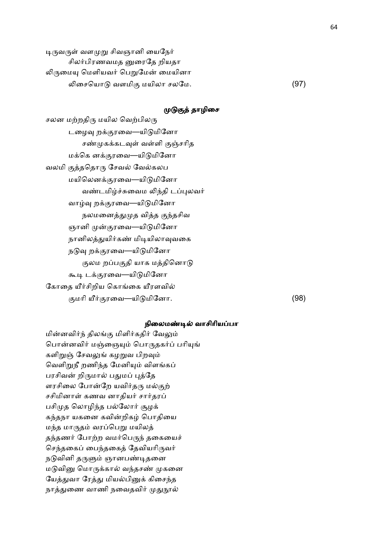டிருவருள் வளமுறு சிவஞானி யைநேர் சிலர்பிரணவமத னுரைதே றியதா லிருமையு மெளியவர் பெறுமேன் மையினா  $\mathfrak{O}$ தையொடு வளமிகு மயிலா சலமே. (97)

#### முடுகுத் தாழிசை

சலன மற்றதிரு மயில வெற்பிலரு டழைவு றக்குரவை—யிடுமினோ சண்முகக்கடவுள் வள்ளி குஞ்சரித மக்கெ னக்குரவை—யிடுமினோ வலமி குத்ததொரு சேவல் வேல்கலப மயிலெனக்குரவை—யிடுமினோ வண்டமிழ்ச்சுவைம லிந்தி டப்புலவர் வாழ்வு றக்குரவை—யிடுமினோ நலமனைத்துமுத வித்த குந்தசிவ ஞானி முன்குரவை—யிடுமினோ நானிலத்துயிர்கண் மிடியிலாவுவகை நடுவு றக்குரவை—யிடுமினோ குலம றப்பகுதி யாக மத்தினொடு கூடி டக்குரவை—யிடுமினோ கோதை யீர்சிறிய கொங்கை யீரளவில் மாி W, ரைவ—யி0மிேனா. (98)

#### நிலைமண்டில் வாசிரியப்பா

மின்னவிர்ந் திலங்கு மிளிர்கதிர் வேலும் பொன்னவிர் மஞ்ஞையும் பொருதகர்ப் பரியுங் களிறுஞ் சேவலுங் கழறுவ பிறவும் வெளிறுநீ றணிந்த மேனியும் விளங்கப் பரசிவன் றிருமால் பதுமப் புத்தே ளரசிலை போன்றே யவிர்தரு மல்குற் சசிமினாள் கணவ னாதியர் சார்தரப் பசிமுத லொழிந்த பல்லோர் சூழக் கந்தநா யகனை கவின்றிகழ் பொதியை மந்த மாருதம் வரப்பெறு மயிலத் தந்தணர் போற்ற வமர்பெருந் தகையைச் செந்தகைப் பைந்தகைத் தேவியரிருவர் நடுவினி தருளும் ஞானபண்டிதனை மடுவினு மொருக்கால் வந்தசண் முகனை யேத்துவா ரேத்து மியல்பினுக் கிசைந்த நாத்துணை வாணி நவைதவிர் முதுநூல்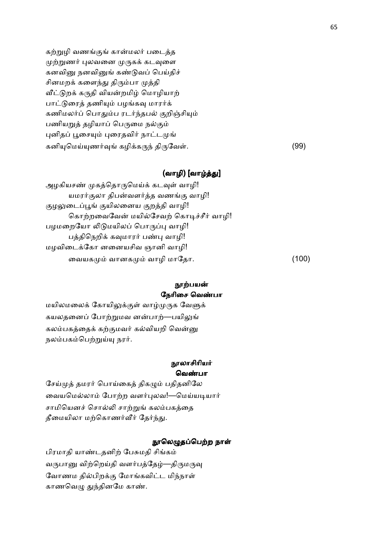கற்றுழி வணங்குங் கான்மலர் படைத்த முற்றுணர் புலவனை முருகக் கடவுளை கனவினு நனவினுங் கண்டுவப் பெய்திச் சினமறக் களைந்து திரும்பா முத்தி வீட்டுறக் கருதி வியன்றமிழ் மொழியாற் பாட்டுரைத் தணியும் பழங்கவு மாரர்க் கணிமலர்ப் பொதும்ப ரடர்ந்தபல் குறிஞ்சியும் பணியறுத் தழியாப் பெருமை நல்கும் புனிதப் பூசையும் புரைதவிர் நாட்டமுங் கனியுமெய்யுணர்வுங் கழிக்கருந் திருவேள்.  $(99)$ 

## (வாழி) [வாழ்த்து]

அழகியசண் முகத்தொருமெய்க் கடவுள் வாழி! யமரர்குலா திபன்வளர்த்த வணங்கு வாழி! குழலுடைப்பூங் குயிலனைய குறத்தி வாழி! கொற்றவைவேன் மயில்சேவற் கொடிச்சீர் வாழி! பழமறையோ லிடுமயிலப் பொருப்பு வாழி! பத்திநெறிக் கவுமாரர் பண்பு வாழி! மழவிைடேகா னைனயசிவ ஞானி வாழி! வையகமும் வானகமும் வாழி மாதோ. (100)

## நூற்பயன் நேரிசை வெண்பா

மயிலமலைக் கோயிலுக்குள் வாழ்முருக வேளுக் கயலதனைப் போற்றுமவ னன்பாற்—பயிலுங் கலம்பகத்தைக் கற்குமவர் கல்வியறி வென்னு நலம்பகம்பெற்றுய்யு நரர்.

## **நாலாசிரியர்** வெண்பா

சேய்முத் தமரர் பொய்கைத் திகமும் பதிதனிலே வையமெல்லாம் போற்ற வளர்புலவ!—மெய்யடியார் சாமியெனச் சொல்லி சாற்றுங் கலம்பகத்தை தீமையிலா மற்கொணர்வீர் தேர்ந்து.

#### நூலெழுதப்பெற்ற நாள்

பிரமாதி யாண்டதனிற் பேசுமதி சிங்கம் வருபானு விற்றெய்தி வளர்பத்தேழ்—திருமருவு வோணம தில்பிறக்கு மோங்கவிட்ட மிந்நாள் காணவெழு துந்தினமே காண்.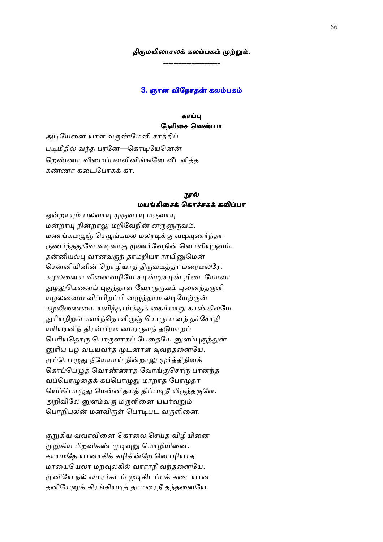## திருமயிலாசலக் கலம்பகம் முற்றும். ----------------------

#### 3. ஞான விநோதன் கலம்பகம்

#### காப்பு நேரிசை வெண்பா

அடியேனை யாள வருண்மேனி சாத்திப் படிமீதில் வந்த பரனே—கொடியேனென் றெண்ணா விமைப்பளவினிங்ஙனே வீடளித்த கண்ணா கடைபோகக் கா.

#### நால் மயங்கிசைக் கொச்சகக் கலிப்பா

ஒன்றாயும் பலவாயு முருவாயு மருவாயு மன்றாயு நின்றாலு மறிவேநின் னருளுருவம். மணங்கமமுன் செமுங்கமல மலரடிக்கு வடிவுணர்ந்தா ருணர்ந்ததுவே வடிவாகு முணர்வேநின் னொளியுருவம். தன்னியல்பு வானவருந் தாமறியா ராயினுமென் சென்னியினின் றொழியாத திருவடித்தா மரைமலரே. சுழலனைய வினைவழியே சுழன்றுசுழன் றிடையோவா துழலுமெனைப் புகுந்தாள வோருருவம் புனைந்தருளி யழலனைய விப்பிறப்பி னழுந்தாம லடியேற்குன் கழலிணையை யளித்தாய்க்குக் கைம்மாறு காண்கிலமே. துரியநிறங் கவர்ந்தொளிருஞ் சொருபானந் தச்சோதி யரியரனிந் திரன்பிரம னமரருளந் தடுமாறப் பெரியதொரு பொருளாகப் பேதையே னுளம்புகுந்துன் னுரிய பழ வடியவர்த முடனாள வுவந்தனையே. முப்பொழுது நீயேயாய் நின்றாலு மூர்த்திநினக் கொப்பெழுத வொண்ணாத வோங்குசொரு பானந்த வப்பொழுதைக் கப்பொழுது மாறாத பேரமுதா யெப்பொழுது மென்னிதயத் திப்படிநீ யிருந்தருளே. அறிவிலே னுளம்வரு மருளினை யயர்வுறும் பொறிபுலன் மனவிருள் பொடிபட வருளினை.

குறுகிய வவாவினை கொலை செய்த விழியினை முறுகிய பிறவிகண் முடிவுறு மொழியினை. காயமதே யானாகிக் கழிகின்றே னொழியாத மாயையெலா மறவுலகில் வாராநீ வந்தனையே. முனியே நல் லமரர்கடம் முடிகிடப்பக் கடையான தனியேனுக் கிரங்கியடித் தாமரைநீ தந்தனையே.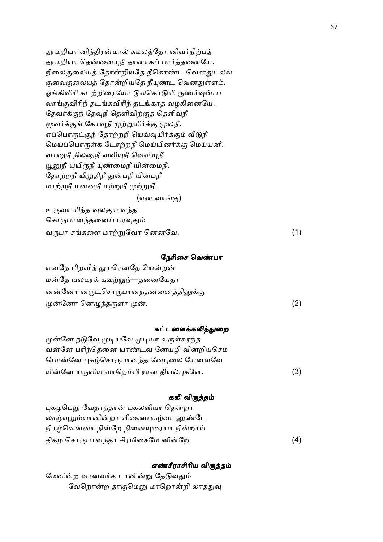தரமறியா னிந்திரன்மால் கமலத்தோ னிவர்நிற்பத் தரமறியா தென்னையுநீ தானாகப் பார்த்தனையே. நிலைகுலையத் தோன்றியதே நீகொண்ட வெனதுடலங் குலைகுலையத் தோன்றியதே நீயுண்ட வெனதுள்ளம். ஓங்கிவிரி கடற்றிரையோ டுலகொடுயி ருணர்வுன்பா லாங்குவிரிந் தடங்கவிரிந் தடங்காத வழகினையே. தேவர்க்குந் தேவுநீ தெளிவிற்குத் தெளிவுநீ மூவர்க்குங் கோவுநீ முற்றுயிர்க்கு மூலநீ. எப்பொருட்குந் தோற்றநீ யெவ்வுயிர்க்கும் வீடுநீ மெய்ப்பொருள்க டோற்றநீ மெய்யினர்க்கு மெய்யனீ. வானுநீ நிலனுநீ வளியுநீ வெளியுநீ யூனுநீ யுயிருநீ யுண்மைநீ யின்மைநீ. தோற்றநீ யிறுதிநீ துன்பநீ யின்பநீ மாற்றநீ மனனநீ மற்றுநீ முற்றுநீ.

#### (என வாங்கு)

உருவா யிந்த வுலகுய வந்த சொருபானந்தனைப் பரவுதும் வருபா சங்களை மாற்றுவோ னெனவே.  $(1)$ 

#### நேரிசை வெண்பா

| எனதே பிறவித் துயரெனதே யென்றன்      |     |
|------------------------------------|-----|
| மன்தே யலமரக் கவற்றுந்—தனையேதா      |     |
| னன்னோ னருட்சொருபானந்தனனைத்தினுக்கு |     |
| முன்னோ னெழுந்தருளா முன்.           | (2) |

## கட்டளைக்கலித்துறை

முன்னே நடுவே முடியவே முடியா வருள்சுரந்த வன்னே பரிந்தெனை யாண்டவ னேயழி வின்றியசெம் பொன்னே புகழ்சொருபானந்த னேபுலை யேனளவே யின்னே யருளிய வாறெம்பி ரான தியல்புகளே. (3)

#### கலி விருத்தம்

புகழ்பெறு வேதாந்தான் புகலளியா தென்றா லகழ்வுறும்யானின்றா ளிணைபுகழ்வா னுண்டே நிகழ்வென்னா நின்றே நினையுரையா நின்றாய் திகழ் சொருபானந்தா சிரமிசைமே னின்றே.  $\mathbb{G}_{\mathcal{D}}$ . (4)

## எண்சீராசிரிய விருத்தம்

மேனின்ற வானவர்க டானின்று தேடுவதும் வேறொன்ற தாகுமெனு மாறொன்றி லாததுவு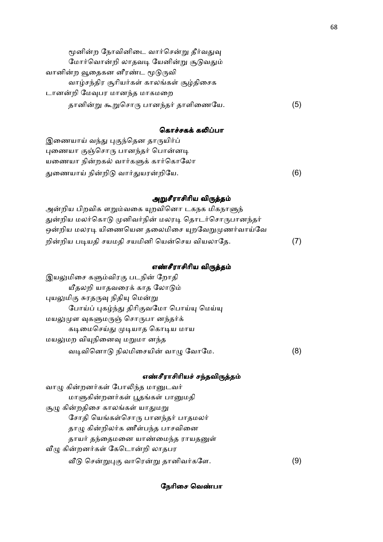| மூனின்ற நோவினிடை வார்சென்று தீர்வதுவு    |     |
|------------------------------------------|-----|
| மோர்வொன்றி லாதவடி யேனின்று சூடுவதும்     |     |
| வானின்ற வூதைகன னீரண்ட மூடுருவி           |     |
| வாழ்சந்திர சூரியர்கள் காலங்கள் சூழ்திசைக |     |
| டானன்றி மேவுபர மானந்த மாகமறை             |     |
| தானின்று கூறுசொரு பானந்தர் தாளிணையே.     | (5) |

## கொச்சகக் கலிப்பா

இணையாய் வந்து புகுந்தென தாருயிர்ப் புணையா குஞ்சொரு பானந்தர் பொன்னடி யணையா நின்றகல் வார்களுக் கார்கொலோ &ைணயா நி-றி0 வா,&யர-றிேய. (6)

## அறுசீராசிரிய விருத்தம்

| அன்றிய பிறவிக ளறும்வகை யுறவினொ டகநக மிகநாளுந்        |  |
|------------------------------------------------------|--|
| துன்றிய மலர்கொடு முனிவர்நின் மலரடி தொடர்சொருபானந்தர் |  |
| ஒன்றிய மலரடி யிணையென தலைமிசை யுறவேறுமுணர்வாய்வே      |  |
| றின்றிய படியதி சயமதி சயமினி யென்செய வியலாதே.         |  |

## எண்சீராசிரிய விருத்தம்

| இயலுமிசை களும்விரகு படநின் றோதி          |  |
|------------------------------------------|--|
| யீதலறி யாதவரைக் காத லோடும்               |  |
| புயலுமிகு சுரதருவு நிதியு மென்று         |  |
| போய்ப் புகழ்ந்து திரிகுவமோ பொய்யு மெய்யு |  |
| மயலுமுள வுகளுமருஞ் சொருபா னந்தர்க்       |  |
| கடிமைசெய்து முடியாத கொடிய மாய            |  |
| மயலுமற வியுநினைவு மறுமா னந்த             |  |
| வடிவினொடு நிலமிசையின் வாழு வோமே.         |  |

## எண்சீராசிரியச் சந்தவிருத்தம்

| வாழு கின்றனர்கள் போலிந்த மானுடவர்    |    |
|--------------------------------------|----|
| மாளுகின்றனர்கள் பூதங்கள் பானுமதி     |    |
| சூழு கின்றதிசை காலங்கள் யாதுமறு      |    |
| சோதி யெங்கள்சொரு பானந்தர் பாதமலர்    |    |
| தாழு கின்றிலர்க ணீள்பந்த பாசவினை     |    |
| தாயர் தந்தைமனை யாண்மைந்த ராயதனுள்    |    |
| வீழு கின்றனர்கள் கேடொன்றி லாதபர      |    |
| வீடு சென்றுபுகு வாரென்று தானிவர்களே. | 91 |

## நேரிசை வெண்பா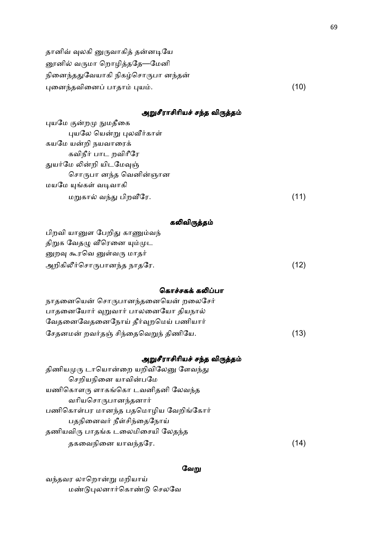தானிவ் வுலகி னுருவாகித் தன்னடியே னூனில் வருமா றொழித்ததே—மேனி நினைந்ததுவேயாகி நிகழ்சொருபா னந்தன்  $\mu$ னைந்தவினைப் பாதாம் புயம்.  $\mu$  . (10)

## அறுசீராசிரியச் சந்த விருத்தம்

| புயமே குன்றமு நுமதீகை    |      |
|--------------------------|------|
| புயலே யென்று புலவீர்காள் |      |
| கயமே யன்றி நயவாரைக்      |      |
| கவிநீர் பாட றவிரீரே      |      |
| துயர்மே லின்றி யிடமேவுஞ் |      |
| சொருபா னந்த வெனின்ஞான    |      |
| மயமே யுங்கள் வடிவாகி     |      |
| மறுகால் வந்து பிறவீரே.   | (11) |

# கலிவிருத்தம்

பிறவி யானுள பேறிது காணும்வந் திறுக வேதழு வீரெனை யும்முட னுறவு கூரவெ னுள்வரு மாதர் அறிகிலீர்சொருபானந்த நாதரே.  $(12)$ 

#### கொச்சகக் கலிப்பா

| நாதனையென் சொருபானந்தனையென் றலைசேர்   |      |
|--------------------------------------|------|
| பாதனையோர் வுறுவார் பாலனையோ தியநால்   |      |
| வேதனைவேதனைநோய் தீர்வுறமெய் பணியார்   |      |
| சேதனமன் றவர்தஞ் சிந்தைவெறுந் திணியே. | (13) |

#### அறுசீராசிரியச் சந்த விருத்தம்

| (14) |
|------|
|      |

#### வேறு

வந்தவர லாறொன்று மறியாய் மண்டுபுலனார்கொண்டு செலவே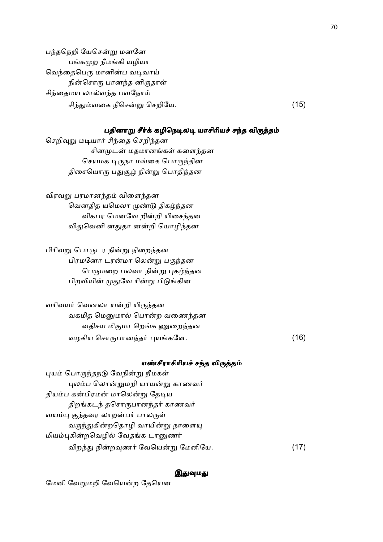பந்தநெறி யேசென்று மனனே பங்கமுற நீமங்கி யழியா வெந்தைபெரு மானின்ப வடிவாய் நின்சொரு பானந்த னிருதாள் சிந்தைமய லால்வந்த பவநோய் சி%&வைக நீெச-8 ெசறிேய. (15)

#### பதினாறு சீர்க் கழிநெடிலடி யாசிரியச் சந்த விருத்தம்

செறிவுறு மடியார் சிந்தை செறிந்தன சினமுடன் மதமானங்கள் களைந்தன செயமக டிருநா மங்கை பொருந்தின திசையொரு பதுசூழ் நின்று பொதிந்தன

விரவறு பரமானந்தம் விளைந்தன வெனதித யமெலா முண்டு திகழ்ந்தன விகபர மெனவே றின்றி யிசைந்தன விதுவெனி னதுதா னன்றி யொழிந்தன

பிரிவறு பொருடர நின்று நிறைந்தன பிரமனோ டரன்மா லென்று பகுந்தன பெருமறை பலவா நின்று புகழ்ந்தன பிறவியின் முதுவே ரின்று பிடுங்கின

வரிவயர் வெனலா யன்றி யிருந்தன வகமித மெனுமால் பொன்ற வணைந்தன வதிசய மிகுமா றெங்க ணுறைந்தன வழகிய ெசாபான%த, #யகேள. (16)

#### எண்சீராசிரியச் சந்த விருத்தம்

புயம் பொருந்தநடு வேநின்று நீமகள் புலம்ப லொன்றுமறி யாயன்று காணவர் தியம்ப கன்பிரமன் மாலென்று தேடிய திறங்கடந் தசொருபானந்தர் காணவர் வயம்பு குந்தவர லாறன்பர் பாலருள் வருந்துகின்றதொழி வாயின்று நாளையு மியம்புகின்றவெழில் வேதங்க டானுணர் விறந்து நின்றவுணர் வேயென்று மேனியே. (17)

#### இதுவுமது

மேனி வேறுமறி வேயென்ற தேயென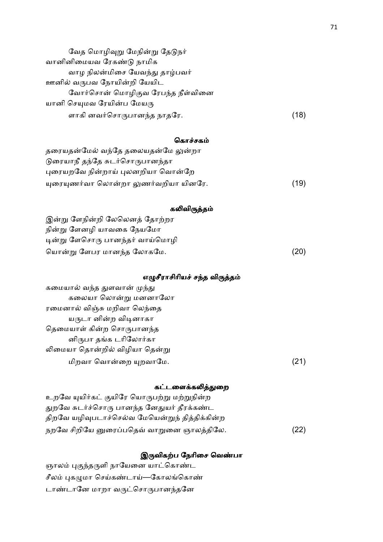| வேத மொழிவுறு மேநின்று தேடுநர்    |      |
|----------------------------------|------|
| வானினிமையவ ரேகண்டு நாமிக         |      |
| வாழ நிலன்மிசை யேவந்து தாழ்பவர்   |      |
| ஊனில் வருபவ நோயின்றி யேயிட       |      |
| வோர்சொன் மொழிகுவ ரேபந்த நீள்வினை |      |
| யானி செயுமவ ரேயின்ப மேயரு        |      |
| ளாகி னவர்சொருபானந்த நாதரே.       | (18) |

## கொச்சகம்

| தரையதன்மேல் வந்தே தலையதன்மே லுன்றா   |      |
|--------------------------------------|------|
| டுரையாநீ தந்தே சுடர்சொருபானந்தா      |      |
| புரையறவே நின்றாய் புலனறியா வொன்றே    |      |
| யுரையுணர்வா லொன்றா லுணர்வறியா யினரே. | (19) |

## கலிவிருத்தம்

| இன்று ளேநின்றி லேலெனத் தோற்றர   |      |
|---------------------------------|------|
| நின்று ளேனழி யாவகை நேயமோ        |      |
| டின்று ளேசொரு பானந்தர் வாய்மொழி |      |
| யொன்று ளேபர மானந்த லோகமே.       | (20) |

# எழுசீராசிரியச் சந்த விருத்தம்

| கமையால் வந்த துளவான் முந்து   |      |
|-------------------------------|------|
| கலையா லொன்று மனனாலோ           |      |
| ரமைனால் விஞ்சு மறிவா லெந்தை   |      |
| யருடா னின்ற விடினாகா          |      |
| தெமையாள் கின்ற சொருபானந்த     |      |
| னிருபா தங்க டரிலோர்கா         |      |
| லிமையா தொன்றில் விழியா தென்று |      |
| மிறவா வொன்றை யுறவாமே.         | (21) |
|                               |      |

## கட்டளைக்கலித்துறை

| உறவே யுயிர்கட் குயிரே யொருபற்று மற்றுநின்ற     |      |
|------------------------------------------------|------|
| துறவே சுடர்ச்சொரு பானந்த னேதுயர் தீரக்கண்ட     |      |
| திறவே யழிவுபடாச்செல்வ மேயென்றுந் தித்திக்கின்ற |      |
| நறவே சிறியே னுரைப்பதெவ் வாறுனை ஞாலத்திலே.      | (22) |

# இருவிகற்ப நேரிசை வெண்பா

ஞாலம் புகுந்தருளி நாயேனை யாட்கொண்ட சீலம் புகழுமா செய்கண்டாய்—கோலங்கொண் டாண்டானே மாறா வருட்சொருபானந்தனே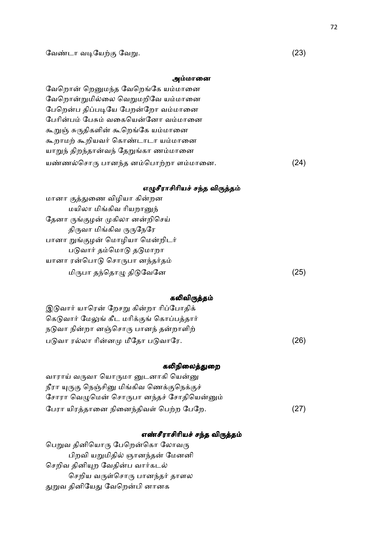#### அம்மானை

வேறொன் றெனுமந்த வேறெங்கே யம்மானை வேறொன்றுமில்லை வெறுமறிவே யம்மானை பேறென்ப திப்படியே பேறன்றோ வம்மானை பேரின்பம் பேசும் வகையென்னோ வம்மானை கூறுஞ் சுருதிகளின் கூறெங்கே யம்மானை கூறாமற் கூறியவர் கொண்டாடா யம்மானை யாறுந் திறந்தான்வந் தேறுங்கா ணம்மானை யண்ணல்சொரு பானந்த னம்பொற்றா ளம்மானை.  $(24)$ 

#### எழுசீராசிரியச் சந்த விருத்தம்

| (25) |
|------|
|      |

#### கலிவிருத்தம்

| இடுவார் யாரென் றேசறு கின்றா ரிப்போதிக்    |      |
|-------------------------------------------|------|
| கெடுவார் மேலுங் கீட மரிக்குங் கொப்பத்தார் |      |
| நடுவா நின்றா னஞ்சொரு பானந் தன்றாளிற்      |      |
| படுவா ரல்லா ரின்னமு மீதோ படுவாரே.         | (26) |

#### கலிநிலைத்துறை

வாராய் வருவா யொருமா னுடனாகி யென்னு நீரா யுருகு நெஞ்சினு மிங்கிவ ணெக்குநெக்குச் சோரா வெழுமென் சொருபா னந்தச் சோதியென்னும் பேரா யிரத்தானை நினைந்திவள் பெற்ற பேறே. (27)

## எண்சீராசிரியச் சந்த விருத்தம்

பெறுவ தினியொரு பேறென்கொ லோவரு பிறவி யறுமிதில் ஞானந்தன் மேனனி செறிவ தினியுற வேதின்ப வார்கடல் செறிய வருள்சொரு பானந்தர் தாளல துறுவ தினியேது வேறென்பி னானக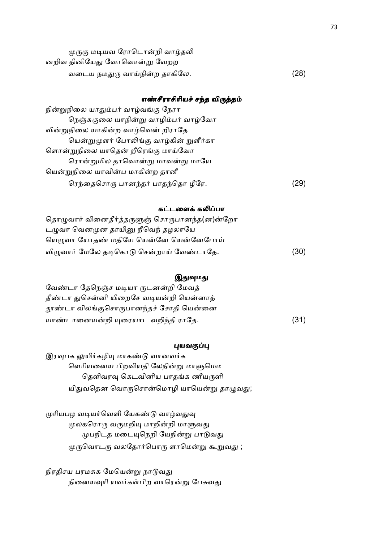| முருகு மடியவ ரோடொன்றி வாழ்தலி |      |
|-------------------------------|------|
| னறிவ தினியேது வோவொன்று வேறற   |      |
| வடைய நமதுரு வாய்நின்ற தாகிலே. | (28) |

### எண்சீராசிரியச் சந்த விருத்தம்

| நின்றுநிலை யாதும்பர் வாழ்வங்கு நேரா    |    |
|----------------------------------------|----|
| நெஞ்சுகுலை யாநின்று வாழிம்பர் வாழ்வோ   |    |
| வின்றுநிலை யாகின்ற வாழ்வென் றிராதே     |    |
| யென்றுமுளர் போலிங்கு வாழ்கின் றுளீர்கா |    |
| ளொன்றுநிலை யாதென் றீரெங்கு மாய்வோ      |    |
| ரொன்றுமில தாவொன்று மாவன்று மாயே        |    |
| யென்றுநிலை யாவின்ப மாகின்ற தானீ        |    |
| ரெந்தைசொரு பானந்தர் பாதந்தொ ழீரே.      | 29 |

### கட்டளைக் கலிப்பா

| தொழுவார் வினைதீர்த்தருளுஞ் சொருபானந்த(ன)ன்றோ |      |
|----------------------------------------------|------|
| டழுவா வெனமுன தாயினு நீவெந் தழலாயே            |      |
| யெழுவா யோதண் மதியே யென்னே யென்னேபோய்         |      |
| விழுவார் மேலே தடிகொடு சென்றாய் வேண்டாதே.     | (30) |

### இதுவுமது

வேண்டா தேநெஞ்ச மடியா ருடனன்றி மேவத் தீண்டா துசென்னி யிறைசே வடியன்றி யென்னாத் தூண்டா விலங்குசொருபானந்தச் சோதி யென்னை யாண்டானையன்றி யுரையாட வறிந்தி ராதே. (31)

### புயவகுப்பு

இரவுபக லுயிர்கழியு மாகண்டு வானவர்க ளெரியனைய பிறவியதி லேநின்று மாளுமெம தெளிவரவு கெடவினிய பாதங்க ணீயருளி யிதுவதென வொருசொன்மொழி யாயென்று தாழுவது;

முரியபழ வடியர்வெளி யேகண்டு வாழ்வதுவு முலகரொரு வருமறியு மாறின்றி மாளுவது முபநிடத மடையுநெறி யேநின்று பாடுவது முருவொடரு வலதோர்பொரு ளாமென்று கூறுவது ;

நிரதிசய பரமசுக மேயென்று நாடுவது நினையவுரி யவர்கள்பிற வாரென்று பேசுவது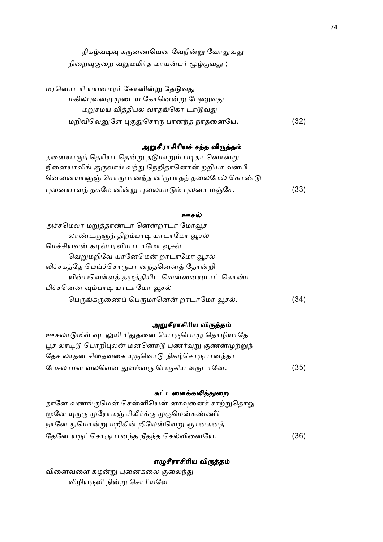| நிகழ்வடிவு கருணையென வேநின்று வோதுவது      |
|-------------------------------------------|
| நிறைவுகுறை வறுமமிர்த மாயன்பர் மூழ்குவது ; |

| மரனொடரி யயனமரர் கோனின்று தேடுவது       |      |
|----------------------------------------|------|
| மகிலபுவனமுமுடைய கோனென்று பேணுவது       |      |
| மறுசமய வித்திபல வாதங்கொ டாடுவது        |      |
| மறிவிலெனுளே புகுதுசொரு பானந்த நாதனையே. | (32) |

# அறுசீராசிரியச் சந்த விருத்தம்

தனையாருந் தெரியா தென்று தடுமாறும் படிதா னொன்று நினையாவிங் குருவாய் வந்து நெறிதானொன் றறியா வன்பி னெனையாளுஞ் சொருபானந்த னிருபாதந் தலைமேல் கொண்டு புனையாவந் தகமே னின்று புலையாடும் புலனா மஞ்சே. (33)

### ஊசல்

| அச்சமெலா மறுத்தாண்டா னென்றாடா மோவூச        |     |
|--------------------------------------------|-----|
| லாண்டருளுந் திறம்பாடி யாடாமோ வூசல்         |     |
| மெச்சியவன் கழல்பரவியாடாமோ வூசல்            |     |
| வெறுமறிவே யானேமென் றாடாமோ வூசல்            |     |
| லிச்சகத்தே மெய்ச்சொருபா னந்தனெனத் தோன்றி   |     |
| யின்பவெள்ளத் தழுத்தியிட வென்னையுமாட் கொண்ட |     |
| பிச்சனென வும்பாடி யாடாமோ வூசல்             |     |
| பெருங்கருணைப் பெருமானென் றாடாமோ வூசல்.     | 34) |

# அறுசீராசிரிய விருத்தம்

| ஊசலாடுமிவ் வுடலுயி ரிதுதனை யொருபொழு தொழியாதே        |      |
|-----------------------------------------------------|------|
| பூச லாடிடு பொறிபுலன் மனனொடு புணர்வுறு குணன்முற்றுந் |      |
| தேச லாதன சிதைவகை யுருவொடு நிகழ்சொருபானந்தா          |      |
| பேசலாமள வலவென துளம்வரு பெருகிய வருடானே.             | (35) |

# கட்டளைக்கலித்துறை

| தானே வணங்குமென் சென்னியென் னாவுனைச் சாற்றுதொறு |      |
|------------------------------------------------|------|
| மூனே யுருகு முரோமஞ் சிலிர்க்கு முகுமென்கண்ணீர் |      |
| நானே துமொன்று மறிகின் றிலேன்வெறு ஞானகனத்       |      |
| தேனே யருட்சொருபானந்த நீதந்த செல்வினையே.        | (36) |

# எழுசீராசிரிய விருத்தம்

வினைவளை கழன்று புனைகலை குலைந்து விழியருவி நின்று சொரியவே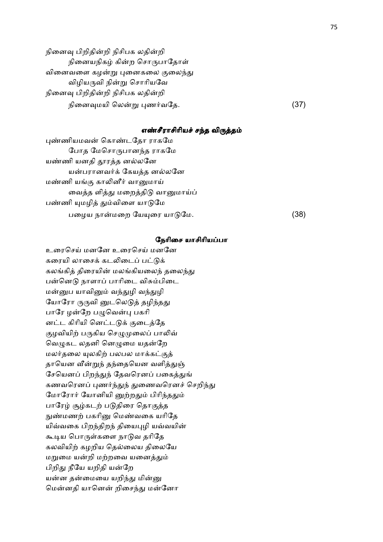நினைவு பிறிதின்றி நிசிபக லதின்றி நினையநிகழ் கின்ற சொருபாதோள் வினைவளை கழன்று புனைகலை குலைந்து விழியருவி நின்று சொரியவே நினைவு பிறிதின்றி நிசிபக லதின்றி நிைன\*மயி ெல-8 #ண,வேத. (37)

### எண்சீராசிரியச் சந்த விருத்தம்

புண்ணியமவன் கொண்டதோ ராகமே போத மேசொருபானந்த ராகமே யண்ணி யனதி தூரத்த னல்லனே யன்பரானவர்க் கேயத்த னல்லனே மண்ணி யங்கு காலினீர் வானுமாய் வைத்த ளித்து மறைத்திடு வானுமாய்ப் பண்ணி யுமழித் தும்விளை யாடுமே பைழய நா-மைற ேயைர யா0ேம. (38)

### நேரிசை யாசிரியப்பா

உரைசெய் மனனே உரைசெய் மனனே கரையி லாசைக் கடலிடைப் பட்டுக் கலங்கித் திரையின் மலங்கியலைந் தலைந்து பன்னெடு நாளாப் பாரிடை விசும்பிடை மன்னுப யாவினும் வந்துழி வந்துழி யோரோ ருருவி னுடலெடுத் தழிந்தது பாரே ழன்றே பழுவென்பு பகரி னட்ட கிரியி னெட்டடுக் குடைத்தே குழவியிற் பருகிய செழுமுலைப் பாலிவ் வெழுகட லதனி னெழுமை யதன்றே மலர்தலை யுலகிற் பலபல மாக்கட்குத் தாயென வீன்றுந் தந்தையென வளித்துஞ் சேயெனப் பிறந்துந் தேவரெனப் பகைத்துங் கணவெரன" #ண,%&% &ைணவெரன< ெசறி%& மோரோர் யோனியி னுற்றதும் பிரிந்ததும் பாரேழ் சூழ்கடற் படுதிரை தொகுத்த நுண்மணற் பகரினு மெண்வகை யரிதே யிவ்வகை பிறந்திறந் தியைபுழி யவ்வயின் கூடிய பொருள்களை நாடுவ தரிதே கலவியிற் கழறிய தெல்லைய திலையே மறுமை யன்றி மற்றவை யனைத்தும் பிறிது நீயே யறிதி யன்றே யன்ன தன்மையை யறிந்து மின்னு மென்னதி யானென் றிசைந்து மன்னோ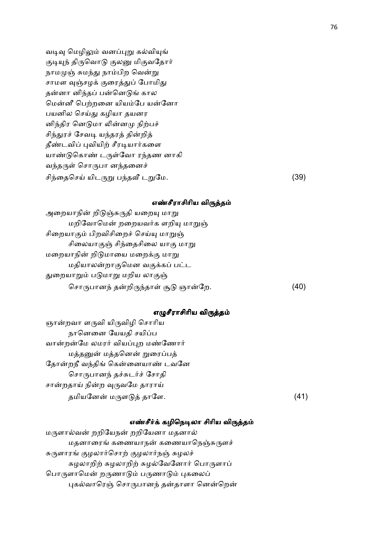வடிவு மெழிலும் வனப்புறு கல்வியுங் குடியுந் திருவொடு குலனு மிகுவதோர் நாமமுஞ் சுமந்து நாம்பிற வென்று சாமள வஞ்சழக் குரைத்துப் போமிது தன்னா னிந்தப் பன்னெடுங் கால மென்னீ பெற்றனை யியம்பே யன்னோ பயனில செய்து கழியா தயனர னிந்திர னெடுமா லின்னமு நிற்பச் சிந்துரச் சேவடி யந்தரத் தின்றித் தீண்டவிப் புவியிற் சீரடியார்களை யாண்டுகொண் டருள்வோ ரந்தண னாகி வந்தருள் சொருபா னந்தனைச் சிந்தைசெய் யிடருறு பந்தவீ டறுமே.  $(39)$ 

### எண்சீராசிரிய விருத்தம்

| அறையாநின் றிடுஞ்சுருதி யறையு மாறு    |    |
|--------------------------------------|----|
| மறிவோமென் றறையவர்க ளறியு மாறுஞ்      |    |
| சிறையாகும் பிறவிசிறைச் செய்யு மாறுஞ் |    |
| சிலையாகுஞ் சிந்தைசிலை யாகு மாறு      |    |
| மறையாநின் றிடுமாயை மறைக்கு மாறு      |    |
| மதியாலன்றாகுமென வகுக்கப் பட்ட        |    |
| துறையாறும் படுமாறு மறிய லாகுஞ்       |    |
| சொருபானந் தன்றிருந்தாள் சூடு ஞான்றே. | 40 |

### எழுசீராசிரிய விருத்தம்

ஞான்றவா ளருவி யிருவிழி சொரிய நானெனை யேயதி சயிப்ப வான்றன்மே லமரர் வியப்புற மண்ணோர் மத்தனுன் மத்தனென் றுரைப்பத் தோன்றநீ வந்திங் கென்னையாண் டவனே சொருபானந் தச்சுடர்ச் சோதி சான்றதாய் நின்ற வுருவமே தாராய் தமியேன- மள02 தாேள. (41)

### எண்சீர்க் கழிநெடிலா சிரிய விருத்தம்

மருளால்வன் றறியேநன் றறியேனா மதனால் மதனாரைங் கணையாநன் கணையாநெஞ்சுருளச் சுருளாரங் குழலார்சொற் குழலார்நஞ் சுழலச் சுழலாறிற் சுழலாறிற் சுழல்வேனோர் பொருளாப் பொருளாமென் றருணாடும் பருணாடும் புகலைப் புகல்வாரெஞ் சொருபானந் தன்தாளா னென்றென்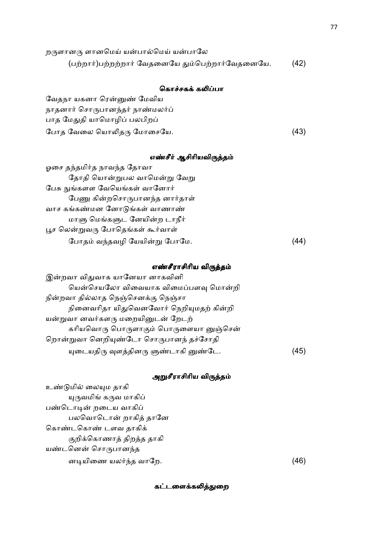| றருளானரு ளானமெய் யன்பால்மெய் யன்பாலே             |      |
|--------------------------------------------------|------|
| (பற்றார்)பற்றற்றார் வேதனையே தும்பெற்றார்வேதனையே. | (42) |

# கொச்சகக் கலிப்பா

வேதநா யகனா ரென்னுண் மேவிய நாதனார் சொருபானந்தர் நாண்மலர்ப் பாத மேதுதி யாமொழிப் பலபிறப் ேபாத வேலை யொலிதரு மோசையே.  $(43)$ 

### எண்சீர் ஆசிரியவிருத்தம்

| ஓசை தந்தமிர்த நாவந்த தோவா        |  |
|----------------------------------|--|
| தோதி யொன்றுபல வாமென்று வேறு      |  |
| பேசு நுங்களள வேயெங்கள் வானோர்    |  |
| பேணு கின்றசொருபானந்த னார்தாள்    |  |
| வாச கங்கண்மன னோடுங்கள் வாணாண்    |  |
| மாளு மெங்களுட னேயின்ற டாநீர்     |  |
| பூச லென்றுவரு போதெங்கள் கூர்வாள் |  |
| போதம் வந்தவழி யேயின்று போமே.     |  |

### எண்சீராசிரிய விருத்தம்

| இன்றவா விதுவாக யானேயா னாகவினி           |     |
|-----------------------------------------|-----|
| யென்செயலோ விவையாக விமைப்பளவு மொன்றி     |     |
| நின்றவா தில்லாத நெஞ்செனக்கு நெஞ்சா      |     |
| நினைவரிதா யிதுவெனவோர் நெறியுமதற் கின்றி |     |
| யன்றுவா னவர்களரு மறையினுடன் றேடற்       |     |
| கரியவொரு பொருளாகும் பொருளையா னுஞ்சென்   |     |
| றொன்றுவா னெறியுண்டோ சொருபானந் தச்சோதி   |     |
| யுடையதிரு வுளத்தினரு ளுண்டாகி னுண்டே.   | 45) |

# அறுசீராசிரிய விருத்தம்

உண்டுமில் லையும தாகி யுருவமிங் கருவ மாகிப் பண்டொடின் றடைய வாகிப் பலவொடொன் றாகித் தானே கொண்டகொண் டளவ தாகிக் குறிக்கொணாத் திறத்த தாகி யண்டனென் சொருபானந்த ன7யிைண யல,%த வாேற. (46)

கட்டளைக்கலித்துறை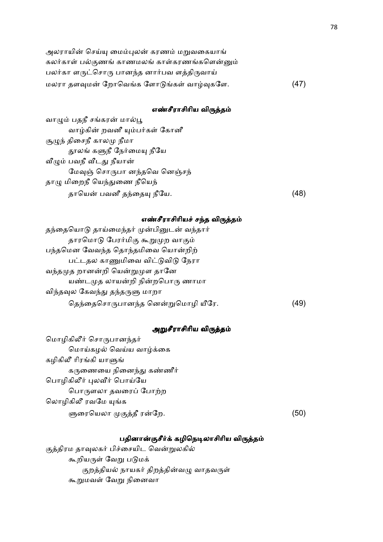| அலராயின் செய்யு மைம்புலன் கரணம் மறுவகையாங்   |      |
|----------------------------------------------|------|
| கலர்காள் பல்குணங் காணமலங் காள்கரணங்களென்னும் |      |
| பலர்கா ளருட்சொரு பானந்த னார்பவ ளத்திருவாய்   |      |
| மலரா தளவுமன் றோவெங்க ளோடுங்கள் வாழ்வுகளே.    | (47) |

### எண்சீராசிரிய விருத்தம்

வாழும் பதநீ சங்கரன் மால்பூ வாழ்கின் றவனீ யும்பர்கள் கோனீ சூழுந் திசைநீ காலமு நீமா தூலங் களுநீ நேர்மையு நீயே வீழும் பவநீ வீடது நீயான் மேவுஞ் சொருபா னந்தவெ னெஞ்சந் தாழு மிறைநீ யெந்துணை நீயெந் தாெய- பவனீ த%ைத நீேய. (48)

### எண்சீராசிரியச் சந்த விருத்தம்

| தந்தையொடு தாய்மைந்தர் முன்பினுடன் வந்தார் |     |
|-------------------------------------------|-----|
| தாரமொடு பேரர்மிகு கூறுமுற வாகும்          |     |
| பந்தமென வேவந்த தொந்தமிவை யொன்றிற்         |     |
| பட்டதல காணுமிவை விட்டுவிடு நேரா           |     |
| வந்தமுத றானன்றி யென்றுமுள தானே            |     |
| யண்டமுத லாயன்றி நின்றபொரு ணாமா            |     |
| விந்தவுல கேவந்து தந்தருளு மாறா            |     |
| தெந்தைசொருபானந்த னென்றுமொழி யீரே.         | 49. |
|                                           |     |

# அறுசீராசிரிய விருத்தம்

மொழிகிலீர் சொருபானந்தர் மொய்கழல் வெய்ய வாழ்க்கை கழிகிலீ ரிரங்கி யாளுங் கருணையை நினைந்து கண்ணீர் பொழிகிலீர் புலவீர் பொய்யே பொருளலா தவரைப் போற்ற லொழிகிலீ ரவமே யுங்க ளுரையெலா முகுத்தீ ரன்றே.  $\mathbb{G}_{\mathcal{D}}$ . (50)

### பதினான்குசீர்க் கழிநெடிலாசிரிய விருத்தம்

குத்திரம தாவுலகர் பிச்சையிட வென்றுலகில் கூறியருள் வேறு படுமக் குறத்தியல் நாயகர் திறத்தின்வழு வாதவருள் கூறுமவள் வேறு நினைவா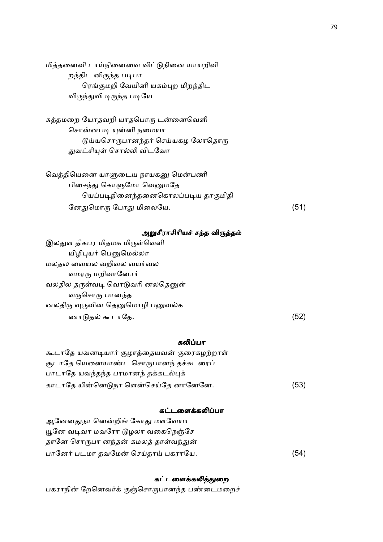மித்தனைவி டாய்நினைவை விட்டுநினை யாயறிவி றந்திட னிருந்த படிபா ரெங்குமறி வேயினி யகம்புற மிறந்திட விருந்துவி டிருந்த படியே

சுத்தமறை யோதவறி யாதபொரு டன்னைவெளி சொன்னபடி யுன்னி நமையா  $\theta$ ய்யசொருபானந்தர் செய்யகழ லோதொரு துவட்சியுள் சொல்லி விடவோ

| வெத்தியெனை யாளுடைய நாயகனு மென்பணி  |      |
|------------------------------------|------|
| பிசைந்து கொளுமோ வெனுமதே            |      |
| யெப்படிநினைந்தனைகொலப்படிய தாகுமிதி |      |
| னேதுமொரு போது மிலையே.              | (51) |

### அறுசீராசிரியச் சந்த விருத்தம்

இலதுள திகபர மிதமக மிருள்வெளி யிழிபுயர் பெனுமெல்லா மலதல வையல வறிவல வயர்வல வமரரு மறிவானோர் வலதில தருள்வடி வொடுவரி னலதெனுள் வருசொரு பானந்த னலதிரு வுருவின தெனுமொழி பனுவல்க ணாடுதல் கூடாதே.  $(52)$ 

### கலிப்பா

| கூடாதே யவனடியார் குழாத்தையவன் குரைகழற்றாள் |      |
|--------------------------------------------|------|
| சூடாதே யெனையாண்ட சொருபானந் தச்சுடரைப்      |      |
| பாடாதே யவந்தந்த பரமானந் தக்கடல்புக்        |      |
| காடாதே யின்னெடுநா ளென்செய்தே னானேனே.       | (53) |

### கட்டளைக்கலிப்பா

ஆனேனதுநா னென்றிங் கோது மளவேயா யூனே வடிவா மவரோ டுழலா வகைநெஞ்சே தானே சொருபா னந்தன் கமலத் தாள்வந்துன் பானேர் படமா தவமேன் செய்தாய் பகராயே. (54)

# கட்டளைக்கலித்துறை

பகராநின் றேனெவர்க் குஞ்சொருபானந்த பண்டைமறைச்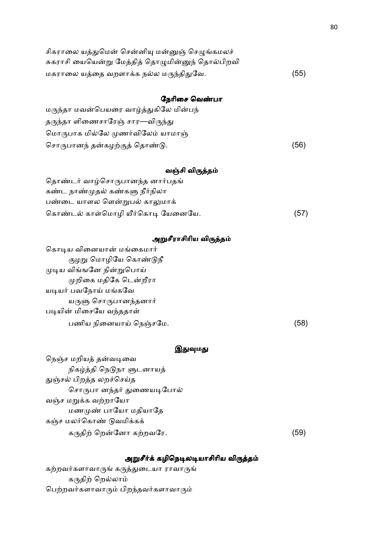| சிகராலை யத்துமென் சென்னியு மன்னுஞ் செழுங்கமலச்   |      |
|--------------------------------------------------|------|
| சுகராசி யையென்று மேத்தித் தொழுமின்னுந் தொல்பிறவி |      |
| மகராலை யத்தை வறளாக்க நல்ல மருந்திதுவே.           | (55) |
|                                                  |      |
| நேரிசை வெண்பா                                    |      |
| மருந்தா மவன்பெயரை வாழ்த்துகிலே மின்பந்           |      |
| தருந்தா ளிணைசாரேஞ் சார—விருந்து                  |      |
| மொருபாக மில்லே முணர்விலேம் யாமாஞ்                |      |
| சொருபானந் தன்கழற்குத் தொண்டு.                    | (56) |
|                                                  |      |
| வஞ்சி விருத்தம்                                  |      |
| தொண்டர் வாழ்சொருபானந்த னார்பதங்                  |      |
| கண்ட நாண்முதல் கண்களு நீர்நிலா                   |      |
| பண்டை யாளல ளென்றுபல் காலுமாக்                    |      |
| கொண்டல் காள்மொழி யீர்கொடி யேனையே.                | (57) |
|                                                  |      |
| அறுசீராசிரிய விருத்தம்                           |      |
| கொடிய வினையான் மங்கைமார்                         |      |
| குழறு மொழியே கொண்டுநீ                            |      |
| முடிய விங்ஙனே நின்றுபொய்                         |      |
| முறிகை மதிகே டென்றீரா                            |      |
| யடியர் பவநோய் மங்கவே                             |      |

யருளு சொருபானந்தனார்

படியின் மிசையே வந்ததாள்

பணிய நிைனயா ெநMசேம. (58)

### இதுவுமது

நெஞ்ச மறியத் தன்வடிவை நிகழ்த்தி நெடுநா ளுடனாயத் துஞ்சல் பிறத்த லறச்செய்த சொருபா னந்தர் துணையடிபோல் வஞ்ச மறுக்க வற்றாயோ மணமுண் பாயோ மதியாதே கஞ்ச மலர்கொண் டுவமிக்கக் கதி ெற-ேனா கறவேர. (59)

# அறுசீர்க் கழிநெடிலடியாசிரிய விருத்தம்

கற்றவர்களாவாருங் கருத்துடையா ராவாருங் கருதிற் றெல்லாம் பெற்றவர்களாவாரும் பிறந்தவர்களாவாரும்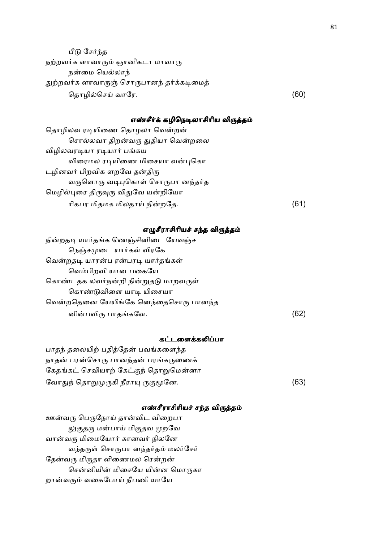| பீடு சேர்ந்த                              |      |
|-------------------------------------------|------|
| நற்றவர்க ளாவாரும் ஞானிகடா மாவாரு          |      |
| நன்மை யெல்லாந்                            |      |
| துற்றவர்க ளாவாருஞ் சொருபானந் தர்க்கடிமைத் |      |
| தொழில்செய் வாரே.                          | (60) |

### எண்சீர்க் கழிநெடிலாசிரிய விருத்தம்

# எழுசீராசிரியச் சந்த விருத்தம்

| நின்றதடி யார்தங்க ணெஞ்சினிடை யேவஞ்ச  |      |
|--------------------------------------|------|
| நெஞ்சமுடை யார்கள் விரகே              |      |
| வென்றதடி யாரன்ப ரன்பரடி யார்தங்கள்   |      |
| வெம்பிறவி யான பகையே                  |      |
| கொண்டதக லவர்நன்றி நின்றுதடு மாறவருள் |      |
| கொண்டுவிளை யாடி யிசையா               |      |
| வென்றதெனை யேயிங்கே னெந்தைசொரு பானந்த |      |
| னின்பவிரு பாதங்களே.                  | (62) |
|                                      |      |

### கட்டளைக்கலிப்பா

பாதந் தலையிற் பதித்தேன் பவங்களைந்த நாதன் பரன்சொரு பானந்தன் பரங்கருணைக் கேதங்கட் செவியாற் கேட்குந் தொறுமென்னா ேவா&% ெதா8கி நீரா Bேன. (63)

### எண்சீராசிரியச் சந்த விருத்தம்

ஊன்வரு பெருநோய் தான்விட விறைபா லுகுதரு மன்பாய் மிகுதவ முறவே வான்வரு மிமையோர் கானவர் நிலனே வந்தருள் சொருபா னந்தர்தம் மலர்சேர் தேன்வரு மிருதா ளிணைமல ரென்றன் சென்னியின் மிசையே யின்ன மொருகா றான்வரும் வகைபோய் நீபணி யாயே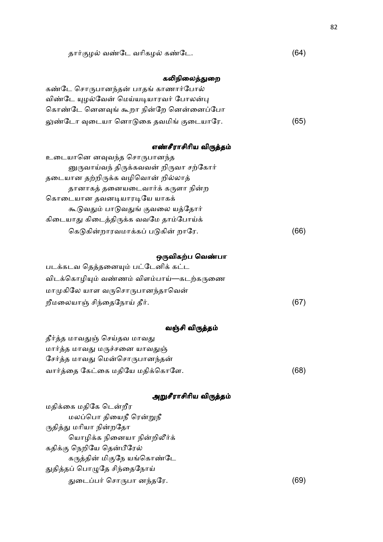தார்குழல் வண்டே வரிகழல் கண்டே. (64)

# கலிநிலைத்துறை

| கண்டே சொருபானந்தன் பாதங் காணார்போல்    |      |
|----------------------------------------|------|
| விண்டே யுழல்வேன் மெய்யடியாரவர் போலன்பு |      |
| கொண்டே னெனவுங் கூறா நின்றே னென்னைப்போ  |      |
| லுண்டோ வுடையா னொடுகை தவமிங் குடையாரே.  | (65) |

# எண்சீராசிரிய விருத்தம்

| உடையானெ னவுவந்த சொருபானந்த             |     |
|----------------------------------------|-----|
| னுருவாய்வந் திருக்கவவன் றிருவா சற்கோர் |     |
| தடையான தற்றிருக்க வழிவொன் றில்லாத்     |     |
| தானாகத் தனையடைவார்க் கருளா நின்ற       |     |
| கொடையான தவனடியாரடியே யாகக்             |     |
| கூடுவதும் பாடுவதுங் குவலை யத்தோர்      |     |
| கிடையாது கிடைத்திருக்க வவமே தாம்போய்க் |     |
| கெடுகின்றாரவமாக்கப் படுகின் றாரே.      | (66 |

# ஒருவிகற்ப வெண்பா

| படக்கடவ தெத்தனையும் பட்டேனிக் கட்ட       |      |
|------------------------------------------|------|
| விடக்கொழியும் வண்ணம் விளம்பாய்—கடற்கருணை |      |
| மாமுகிலே யாள வருசொருபானந்தாவென்          |      |
| றீமலையாஞ் சிந்தைநோய் தீர்.               | (67) |

# வஞ்சி விருத்தம்

| தீர்த்த மாவதுஞ் செய்தவ மாவது     |      |
|----------------------------------|------|
| மார்த்த மாவது மருச்சனை யாவதுஞ்   |      |
| சேர்த்த மாவது மென்சொருபானந்தன்   |      |
| வார்த்தை கேட்கை மதியே மதிக்கொளே. | (68) |

# அறுசீராசிரிய விர<mark>ுத்தம்</mark>

| ----                        |    |
|-----------------------------|----|
| மதிக்கை மதிகே டென்றீர       |    |
| மலப்பொ தியைநீ ரென்றுநீ      |    |
| ருதித்து மரியா நின்றதோ      |    |
| யொழிக்க நினையா நின்றிலீர்க் |    |
| கதிக்கு நெறியே தென்பீரேல்   |    |
| கருத்தின் மிகுநே யங்கொண்டே  |    |
| துதித்தப் பொழுதே சிந்தைநோய் |    |
| துடைப்பர் சொருபா னந்தரே.    | 69 |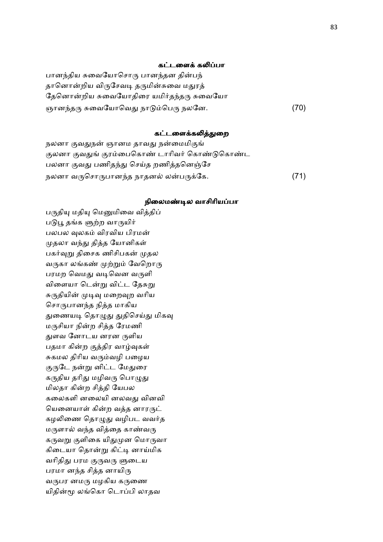### கட்டளைக் கலிப்பா

பானந்திய சுவையோசொரு பானந்தன தின்பந் தானொன்றிய விருசேவடி தருமின்சுவை மதுரத் தேனொன்றிய சுவையோதிரை யமிர்தந்தரு சுவையோ ஞானந்தரு சுவையோவெது நாடும்பெரு நலனே. (70)

### கட்டளைக்கலித்துறை

நலனா குவதுநன் ஞானம தாவது நன்மைமிகுங் குலனா குவதுங் குரம்பைகொண் டாரிவர் கொண்டுகொண்ட பலனா குவது பணிதந்து செய்த றணித்தனெஞ்சே நலனா வருசொருபானந்த நாதனல் லன்பருக்கே. (71)

#### நிலைமண்டில வாசிரியப்பா

பருதியு மதியு மெனுமிவை வித்திப் படுபூ தங்க ளுற்ற வாருயிர் பலபல வுலகம் விரவிய பிரமன் முதலா வந்து தித்த யோனிகள் பகர்வுறு திசைக ணிசிபகன் முதல வருகா லங்கண் முற்றும் வேறொரு பரமற வெமது வடிவென வருளி விளையா டென்று விட்ட தேசுறு சுருதியின் முடிவு மறைவுற வரிய சொருபானந்த நித்த மாகிய துணையடி தொழுது துதிசெய்து மிகவு மருசியா நின்ற சித்த ரேமணி &ளவ ேனாடய னரன ளிய பதமா கின்ற குத்திர வாழ்வுகள் சுகமல திரிய வரும்வழி பழைய குருடே நன்று னிட்ட மேதுரை கருதிய தரிது மழிவரு பொழுது மிலதா கின்ற சித்தி யேபல கலைகளி னலையி னலவது வினவி யெனையாள் கின்ற வத்த னாரருட் கழலிணை தொழுது வழிபட வவர்த மருளால் வந்த வித்தை காண்வரு கருவறு குளிகை யிதுமுன மொருவா கிடையா தொன்று கிட்டி னாய்மிக வரிதிது பரம குருவரு ளுடைய பரமா னந்த சித்த னாயிரு வருபர னமரு மழகிய கருணை யிதின்மூ லங்கொ டொப்பி லாதவ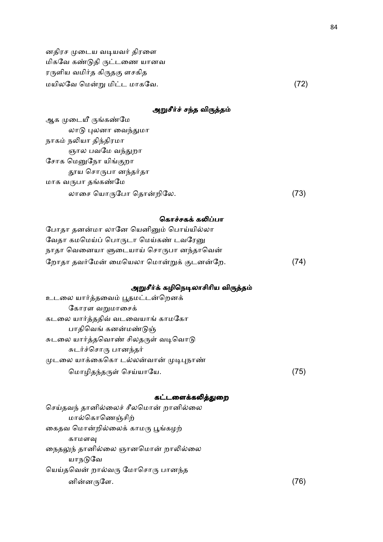னதிரச முடைய வடியவர் திரளை மிகவே கண்டுதி ருட்டணை யானவ ரருளிய வமிர்த கிருதகு ளசகித மயிலேவ ெம-8 மி:ட மாகேவ. (72)

# அறுசீர்ச் சந்த விருத்தம்

| ஆக முடையீ ருங்கண்மே   |      |
|-----------------------|------|
| லாடு புலனா வைந்துமா   |      |
| நாகம் நலியா திந்திரமா |      |
| ஞால பவமே வந்துறா      |      |
| சோக மெனுநோ யிங்குறா   |      |
| தூய சொருபா னந்தர்தா   |      |
| மாக வருபா தங்கண்மே    |      |
| லாசை யொருபோ தொன்றிலே. | (73) |
|                       |      |

### கொச்சகக் கலிப்பா

| போதா தனன்மா லானே யெனினும் பொய்யில்லா    |      |
|-----------------------------------------|------|
| வேதா கமமெய்ப் பொருடா மெய்கண் டவரேனு     |      |
| நாதா வெனையா ளுடையாய் சொருபா னந்தாவென்   |      |
| றோதா தவர்மேன் மையெலா மொன்றுக் குடனன்றே. | (74) |

# அறுசீர்க் கழிநெடிலாசிரிய விருத்தம்

| உடலை யார்த்தவைம் பூதமட்டன்றெனக்      |      |
|--------------------------------------|------|
| கோரள வறுமாசைக்                       |      |
| கடலை யார்த்ததிவ் வடவையாங் காமகோ      |      |
| பாதிவெங் கனன்மண்டுஞ்                 |      |
| சுடலை யார்த்தவொண் சிலதருள் வடிவொடு   |      |
| சுடர்ச்சொரு பானந்தர்                 |      |
| முடலை யாக்கைகொ டல்லன்வான் முடிபுநாண் |      |
| மொழிதந்தருள் செய்யாயே.               | (75) |

# கட்டளைக்கலித்துறை

| செய்தவந் தானில்லைச் சீலமொன் றானில்லை |     |
|--------------------------------------|-----|
| மால்கொணெஞ்சிற்                       |     |
| கைதவ மொன்றில்லைக் காமரு பூங்கழற்     |     |
| காமளவு                               |     |
| நைதலுந் தானில்லை ஞானமொன் றாலில்லை    |     |
| யாநடுவே                              |     |
| யெய்தவென் றால்வரு மோசொரு பானந்த      |     |
| னின்னருளே.                           | 76) |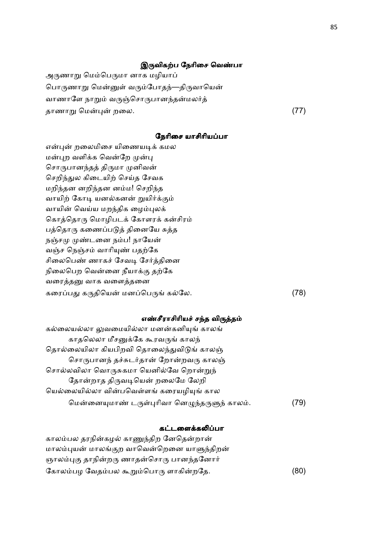### இருவிகற்ப நேரிசை வெண்பா

அருணாறு மெம்பெருமா னாக மழியாப் பொருணாறு மென்னுள் வரும்போதந்—திருவாயென் வாணாளே நாறும் வருஞ்சொருபானந்தன்மலர்த் தாணா8 ெம-#- றைல. (77)

நேரிசை யாசிரியப்பா

என்புன் றலைமிசை யிணையடிக் கமல மன்புற வளிக்க வென்றே முன்பு சொருபானந்தத் திருமா முனிவன் செறிந்துல கிடையிற் செய்த சேவக மறிந்தன னறிந்தன னம்ம! செறிந்த வாயிற் கோடி யனல்கனன் றுயிர்க்கும் வாயின் வெய்ய மறந்திக ழைம்புலக் கொத்தொரு மொழிபடக் கோளரக் கன்சிரம் பத்தொரு கணைப்படுத் தினையே சுத்த நஞ்சமு முண்டனை நம்ப! நாயேன் வஞ்ச நெஞ்சம் வாரியுண் பதற்கே சிலைபெண் ணாகச் சேவடி சேர்த்தினை நிலைபெற வென்னை நீயாக்கு தற்கே வரைத்தனு வாக வளைத்தனை கரைப்பது கருதியென் மனப்பெருங் கல்லே. (78)

### எண்சீராசிரியச் சந்த விருத்தம்

| கல்லையல்லா லுவமையில்லா மனன்கனியுங் காலங்      |     |
|-----------------------------------------------|-----|
| காதலெலா மீசனுக்கே கூரவருங் காலந்              |     |
| தொல்லையிலா கியபிறவி தொலைந்துவிடுங் காலஞ்      |     |
| சொருபானந் தச்சுடர்தான் றோன்றவரு காலஞ்         |     |
| சொல்லவிலா வொருசுகமா யெனில்வே றொன்றுந்         |     |
| தோன்றாத திருவடியென் றலைமே லேறி                |     |
| யெல்லையில்லா வின்பவெள்ளங் கரையழியுங் கால      |     |
| மென்னையுமாண் டருள்புரிவா னெழுந்தருளுந் காலம். | 79) |

### கட்டளைக்கலிப்பா

காலம்பல தரநின்கழல் காணுந்திற னேதென்றான் மாலம்புயன் மாலங்குற வாவென்றெனை யாளுந்திறன் ஞாலம்புகு தாநின்றரு ணாதன்சொரு பானந்தனோர் கோலம்பழ வேதம்பல கூறும்பொரு ளாகின்றதே. (80)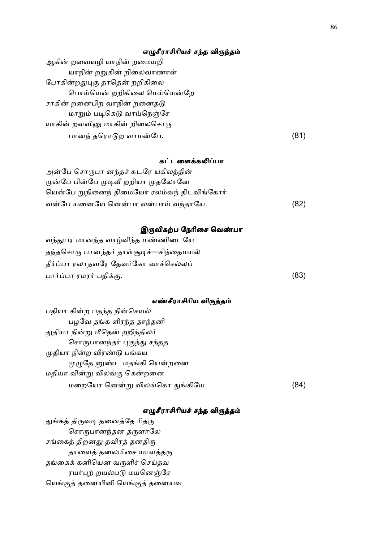# எழுசீராசிரியச் சந்த விருந்தம்

| ஆகின் றவையழி யாநின் றமையறி    |      |
|-------------------------------|------|
| யாநின் றறுகின் றிலைவாணாள்     |      |
| போகின்றதுபுகு தாதென் றறிகிலை  |      |
| பொய்யென் றறிகிலை மெய்யென்றே   |      |
| சாகின் றனைபிற வாநின் றனைதடு   |      |
| மாறும் படிகெடு வாய்நெஞ்சே     |      |
| யாகின் றளவினு மாகின் றிலைசொரு |      |
| பானந் தரொடுற வாமன்பே.         | (81) |

### கட்டளைக்கலிப்பா

| அன்பே சொருபா னந்தச் சுடரே யகிலத்தின்       |      |
|--------------------------------------------|------|
| முன்பே பின்பே முடிவீ றறியா முதலோனே         |      |
| யென்பே றுநினைந் திமையோ ரலம்வந் திடவிங்கோர் |      |
| வன்பே யனையே னென்பா லன்பாய் வந்தாயே.        | (82) |

# இருவிகற்ப நேரிசை வெண்பா

| வந்துபர மானந்த வாழ்விந்த மண்ணிடையே      |      |
|-----------------------------------------|------|
| தந்தசொரு பானந்தர் தாள்சூடிச்—சிந்தைமயல் |      |
| தீர்ப்பா ரலாதவரே தேவர்கோ வாச்செல்லப்    |      |
| பார்ப்பா ரமரர் பதிக்கு.                 | (83) |

# எண்சீராசிரிய விருத்தம்

| பதியா கின்ற பதந்த நின்செயல்     |     |
|---------------------------------|-----|
| பழவே தங்க ளிரந்த தாந்தனி        |     |
| துதியா நின்று மீதென் றறிந்திலர் |     |
| சொருபானந்தர் புகுந்து சந்தத     |     |
| முதியா நின்ற விரண்டு பங்கய      |     |
| முழுதே னுண்ட மதங்கி யென்றனை     |     |
| மதியா வின்று விலங்கு கென்றனை    |     |
| மறையோ னென்று விலங்கொ துங்கியே.  | 84) |

# எழுசீராசிரியச் சந்த விருத்தம்

துங்கத் திருவடி தனைத்தே ரிதரு சொருபானந்தன தருளாலே சங்கைத் திறனது தவிரத் தனதிரு தாளைத் தலைமிசை யாளத்தரு தங்கைக் கனியென வருளிச் செய்தவ ரயர்புற் றயல்படு மயனெஞ்சே யெங்குத் தனையினி யெங்குத் தனையவ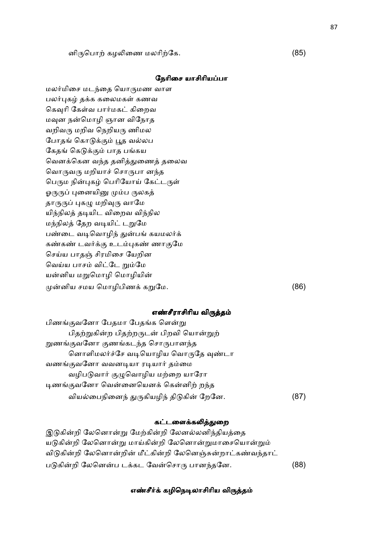னிருபொற் கழலிணை மலரிற்கே.  $(85)$ 

### நேரிசை யாசிரியப்பா

மலர்மிசை மடந்தை யொருமண வாள பலர்புகழ் தக்க கலைமகள் கணவ கெவுரி கேள்வ பார்மகட் கிறைவ மவுன நன்மொழி ஞான விநோத வறிவரு மறிவ நெறியரு ணிமல போதங் கொடுக்கும் பூத வல்லப கேதங் கெடுக்கும் பாத பங்கய வெனக்கென வந்த தனித்துணைத் தலைவ வொருவரு மறியாச் சொருபா னந்த பெரும நின்புகழ் பெரியோய் கேட்டருள் ஓருருப் புனையினு மும்ப ருலகத் தாருருப் புகழு மறிவுரு வாமே யிந்நிலத் தடியிட விறைவ விந்நில மந்நிலத் தேற வடியிட் டறுமே பண்டை வடிவொழிந் துன்பங் கயமலர்க் கண்கண் டவர்க்கு உடம்புகண் ணாகுமே செய்ய பாதஞ் சிரமிசை யேறின வெய்ய பாசம் விட்டே றும்மே யன்னிய மறுமொழி மொழியின் -னிய சமய ெமாழிபிண க8ேம. (86)

### எண்சீராசிரிய விருத்தம்

| பிணங்குவனோ பேதமா பேதங்க ளென்று           |     |
|------------------------------------------|-----|
| பிதற்றுகின்ற பிதற்றருடன் பிறவி யொன்றுற்  |     |
| றுணங்குவனோ குணங்கடந்த சொருபானந்த         |     |
| னொளிமலர்ச்சே வடியொழிய வொருதே வுண்டா      |     |
| வணங்குவனோ வவனடியா ரடியார் தம்மை          |     |
| வழிபடுவார் குழுவொழிய மற்றை யாரோ          |     |
| டிணங்குவனோ வென்னையெனக் கென்னிற் றந்த     |     |
| வியல்பைநினைந் துருகியழிந் திடுகின் றேனே. | 87) |

### கட்டளைக்கலித்துறை

இடுகின்றி லேனொன்று மேற்கின்றி லேனல்லனிந்தியத்தை யடுகின்றி லேனொன்று மாய்கின்றி லேனொன்றுமாசையொன்றும் விடுகின்றி லேனொன்றின் மீட்கின்றி லேனெஞ்சுன்றாட்கண்வந்தாட் படுகின்றி லேனென்ப டக்கட வேன்சொரு பானந்தனே. (88)

### எண்சீர்க் கழிநெடிலாசிரிய விருத்தம்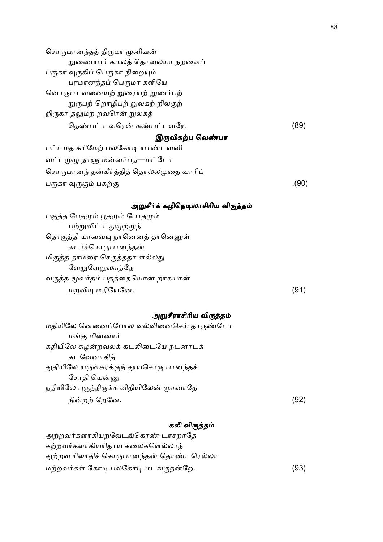சொருபானந்தத் திருமா முனிவன் றுணையார் கமலத் தொலையா நறவைப் பருகா வுருகிப் பெருகா நிறையும் பரமானந்தப் பெருமா களியே னொருபா வனையற் றுரையற் றுணர்பற் றுருபற் றொழிபற் றுலகற் றிலகுற் றிருகா தலுமற் றவரென் றுலகத் ெத.ப: டவெர- க.ப:டவேர. (89) இருவிகற்ப வெண்பா பட்டமத கரிமேற் பலகோடி யாண்டவனி வட்டமுழு தாளு மன்னர்பத—மட்டோ சொருபானந் தன்கீர்த்தித் தொல்லமுதை வாரிப் பருகா வுருகும் பகற்கு  $(90)$ அறுசீர்க் கழிநெடிலாசிரிய விருத்தம் பகுத்த பேதமும் பூதமும் போதமும் பற்றுவிட் டதுமுற்றுந் தொகுத்தி யாவையு நானெனத் தானெனுள் சுடர்ச்சொருபானந்தன் மிகுத்த தாமரை செகுத்ததா ளல்லது வேறுலகத்தே வகுத்த மூவர்தம் பதத்தையொன் றாகயான்  $\mu$ றவியு மதியேனே. (91) அறுசீராசிரிய விருத்தம் மதியிலே னெனைப்போல வல்வினைசெய் தாருண்டோ மங்கு மின்னார் கதியிலே சுழன்றவலக் கடலிடையே நடனாடக் கடவேனாகித் துதியிலே யருள்சுரக்குந் தூயசொரு பானந்தச் சோதி யென்னு நதியிலே புகுந்திருக்க விதியிலேன் முகவாதே

### கலி விருத்தம்

நி-ற ேறேன. (92)

| அற்றவர்களாகியறவேடங்கொண் டாசறாதே          |      |
|------------------------------------------|------|
| கற்றவர்களாகியரிதாய கலைகளெல்லாந்          |      |
| துற்றவ ரிலாதிச் சொருபானந்தன் தொண்டரெல்லா |      |
| மற்றவர்கள் கோடி பலகோடி மடங்குநன்றே.      | (93) |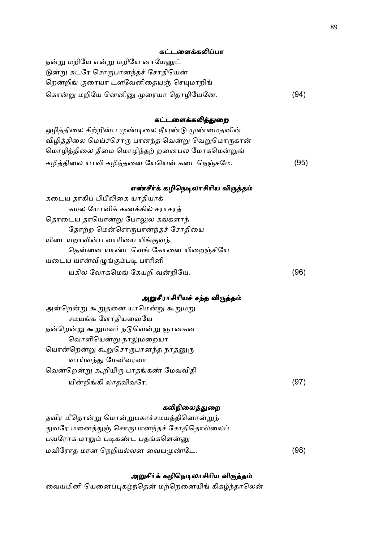### கட்டளைக்கலிப்பா

நன்று மறியே என்று மறியே னாயேனுட் டுன்று சுடரே சொருபானந்தச் சோதியென் றென்றிங் குரையா டளவேனிதையஞ் செயுமாறிங் கொன்று மறியே னெனினு முரையா தொழியேனே. (94)

### கட்டளைக்கலித்துறை

| ஒழித்திலை சிற்றின்ப முண்டிலை நீயுண்டு முண்மைதனின் |      |
|---------------------------------------------------|------|
| விழித்திலை மெய்ச்சொரு பானந்த வென்று வெறுமொருகான்  |      |
| மொழித்திலை தீமை மொழிந்தற் றனைபல மோகமென்றுங்       |      |
| கழித்திலை யாவி கழிந்தனை யேயென் கடைநெஞ்சமே.        | (95) |

### எண்சீர்க் கழிநெடிலாசிரிய விருத்தம்

| கடைய தாகிப் பிபீலிகை யாதியாக்    |      |
|----------------------------------|------|
| கமல யோனிக் கணக்கில் சராசரத்      |      |
| தொடைய தாயொன்று போலுல கங்களாந்    |      |
| தோற்ற மென்சொருபானந்தச் சோதியை    |      |
| யிடையறாவின்ப வாரியை யிங்குவந்    |      |
| தென்னை யாண்டவெங் கோனை யிறைஞ்சியே |      |
| யடைய யான்விழுங்கும்படி பாரினி    |      |
| யகில லோகமெங் கேயறி வன்றியே.      | '96) |

### அறுசீராசிரியச் சந்த விருத்தம்

| அன்றென்று கூறுதனை யாமென்று கூறுமறு   |      |
|--------------------------------------|------|
| சமயங்க ளோதியவையே                     |      |
| நன்றென்று கூறுமவர் நடுவென்று ஞானகன   |      |
| வொளியென்று நாலுமறையா                 |      |
| யொன்றென்று கூறுசொருபானந்த நாதனுரு    |      |
| வாய்வந்து மேவிவரவா                   |      |
| வென்றென்று கூறியிரு பாதங்கண் மேவவிதி |      |
| யின்றிங்கி லாதவிவரே.                 | 1971 |

### கலிநிலைத்துறை

| தவிர மீதொன்று மொன்றுபகாச்சமயத்தினொன்றுந்  |      |
|-------------------------------------------|------|
| துவரே மனைத்துஞ் சொருபானந்தச் சோதிதொல்லைப் |      |
| பவரோக மாறும் படிகண்ட பதங்களென்னு          |      |
| மவிரோத மான நெறியல்லன வையமுண்டே.           | (98) |

### அறுசீர்க் கழிநெடிலாசிரிய விருத்தம்

வையமினி யெனைப்புகழ்ந்தென் மற்றெனையிங் கிகழ்ந்தாலென்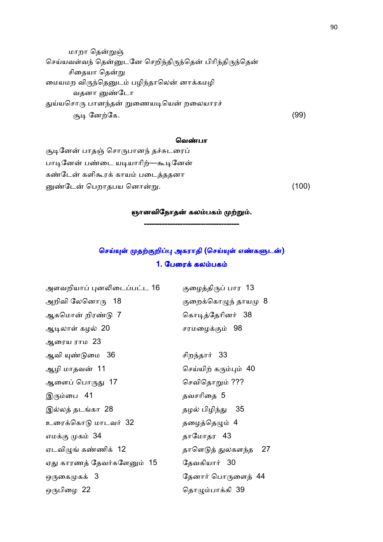மாறா தென்றுஞ் செய்யவள்வந் தென்னுடனே செறிந்திருந்தென் பிரிந்திருந்தென் சிதையா தென்று மையமற விருந்தெனுடம் பழிந்தாலென் னாக்கமழி வதனா வுண்டோ துய்யசொரு பானந்தன் றுணையடியென் றலையாரச் குடி னேற்கே. (99)

### வெண்பா

சூடினேன் பாதஞ் சொருபானந் தச்சுடரைப் பாடினேன் பண்டை யடியாரிற்—கூடினேன் கண்டேன் களிகூரக் காயம் படைத்ததனா னுண்டேன் பெறாதபய னொன்  $(100)$ 

# ஞானவிநோதன் கலம்பகம் முற்றும். ------------------------------------- -------------------------------------

# செய்யுள் முதற்குறிப்பு அகராதி (செய்யுள் எண்களுடன்) 1. பேரைக் கலம்பகம்

அளவறியாப் புனலிடைப்பட்ட 16 குழைத்திருப் பார 13 அறிவி லேனொரு  $\,$  18  $\,$  குறைக்கொழுந் தாயமு $\,$  8  $\,$ ஆகமொன் றிரண்டு 7 கொடித்தேரினர் 38 ஆ7லா கழ5 20 சரமைழ  98 ஆைரய ராம 23 ஆவி .0ைம 36 சிற%தா, 33 ஆழி மாதவன் 11 செய்யிற் கரும்பும்  $40$ ஆைள" ெபா& 17 ெசவிெதா8 ???  $\mathfrak{A}_{\mathfrak{g}}$ ரும்பை 41 கடைம்பை தவசரிதை 5 இல்லத் தடங்கா 28 கால முடில் பிழிந்து 35 உரைக்கொடு மாடவர் 32 கை தழைத்தெழும் 4 எம க 34 தாேமாதர 43 ஏடவிழுங் கண்ணிக் 12 கிரை தாளெடுத் துலகளந்த 27 ஏது காரணத் தேவர்களேனும் 15 கேவகியார் 30 ஒருகைமுகக் 3 ்கணார் பொருளைத் 44 ஒபிைழ 22 ெதாEபாகி 39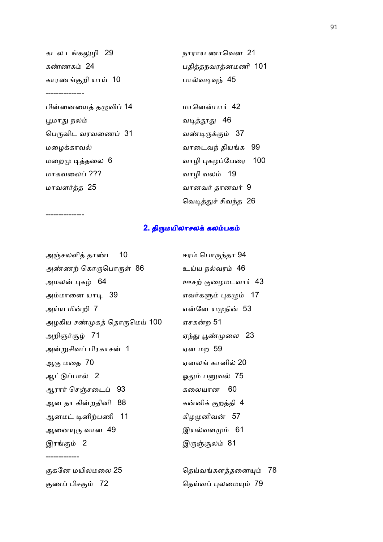| கடல டங்கலுழி 29       | நாராய ணாவென 21       |
|-----------------------|----------------------|
| கண்ணகம் 24            | பதித்தநவரத்னமணி 101  |
| காரணங்குறி யாய்  10   | பால்வடிவுந் 45       |
|                       |                      |
| பின்னையைத் தழுவிப் 14 | மானென்பார் 42        |
| பூமாது நலம்           | வடித்தூது 46         |
| பெருவிட வரவணைப்  31   | வண்டிருக்கும் 37     |
| மழைக்காவல்            | வாடைவந் தியங்க 99    |
| மறைமு டித்தலை 6       | வாழி புகழப்பேரை 100  |
| மாகவலைப் ???          | வாழி வலம் 19         |
| மாவளர்த்த 25          | வானவர் தானவர் 9      |
|                       | வெடித்துச் சிவந்த 26 |
|                       |                      |

# 2. திருமயிலாசலக் கலம்பகம்

| அஞ்சலளித் தாண்ட 10          | ஈரம் பொருந்தா 94     |
|-----------------------------|----------------------|
| அண்ணற் கொருபொருள் 86        | உய்ய நல்வரம் 46      |
| அமலன் புகழ் _64             | ஊசற் குழைமடவார் 43   |
| அம்மானை யாடி   39           | எவர்களும் புகழும் 17 |
| அய்ய மின்றி 7               | என்னே யமுநின் 53     |
| அழகிய சண்முகத் தொருமெய் 100 | ஏசகன்ற 51            |
| அறிஞர்சூழ் 71               | ஏந்து பூண்முலை   23  |
| அன்றுசிவப் பிரகாசன் 1       | ஏன மற 59             |
| ஆகு மதை 70                  | ஏனலங் கானில் 20      |
| ஆட்டுப்பால் 2               | ஓதும் பனுவல் 75      |
| ஆரார் செஞ்சடைப் 93          | கலையான 60            |
| ஆன தா கின்றதினி 88          | கன்னிக் குறத்தி  4   |
| ஆனமட் டினிற்பணி 11          | கிழமுனிவன் 57        |
| ஆனையுரு வான  49             | இயல்வளமும் 61        |
| இரங்கும் 2                  | இருஞ்சூலம் 81        |
|                             |                      |

-------------

---------------

குகனே மயிலமலை 25 குதிய விதய்வங்களத்தனையும் 78 ண" பிச  72 ெதவ" #லைம 79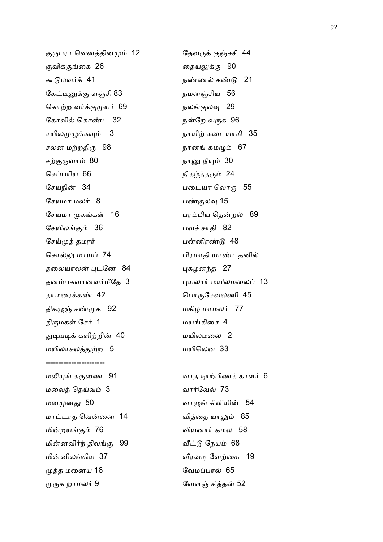குருபரா வெனத்தினமும் 12 கேவருக் குஞ்சசி 44 வி ைக 26 ைதய- 90 =0மவ, 41 ந.ண5 க.0 21 கேட்டினுக்கு ளஞ்சி 83 நமனஞ்சிய 56 கொற்ற வர்க்குமுயர் 69 நலங்குலவு 29 கோவில் கொண்ட  $32$ சயிலமுழுக்கவும் 3 குறை நாயிற்கடையாகி 35 சலன மற்றதிரு 98 கால நானங் கமழும் 67 சற்குருவாம் 80 நானு நீயும் 30 செப்பரிய 66 நிகழ்த்தரும் 24 சேயநின் 34 சேயமா மலர் 8 பண்குலவு 15 சேயமா $\mu$ கங்கள் 16 சேயிலங்கும் 36 பணி பவச் சாதி 82 சேய்முத் தமரர் சொல்லு மாயப் 74 பிரமாதி யாண்டதனில் தலையாலன் புடனே 84 தனபகவானவ,மீேத 3 #யலா, மயிலமைல" 13 தாமைரக. 42 ெபாேசவலணி 45 திகழுஞ் சண்முக 92 மகிழ மாமலர் 77 திருமகள் சேர் 1 மயங்கிசை 4 துடியடிக் களிற்றின் 40 மயிலாசலத்துற்ற 5 மயிலென 33 ----------------------- மலியுங் கருணை 91 பாய பின் காளர் 6 மலைத் தெய்வம் 3 வார்வேல் 73 மனன& 50 வாE கிளியி- 54 மாட்டாத வென்னை 14 மின்றயங்கும் 76 மின்னவிர்ந் திலங்கு 99 வீட்டு நேயம் 68 மின்னிலங்கிய 37 முத்த மனைய 18 முத்த மனைய 18 முருக றாமலர்  $9$ 

நன்றே வருக 96 படையா லொரு 55 பரம்பிய தென்றல் 89 பன்னிரண்டு 48 புகழனந்த 27 40 மயிலமைல 2

வித்தை யாலும் 85 வியனார் கமல 58 வீரவடி வேற்கை 19 வேளஞ் சித்தன் 52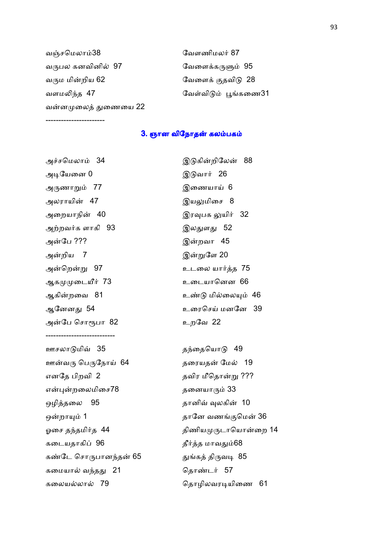| வஞ்சமெலாம்38         | வேளணிமலர் 87         |
|----------------------|----------------------|
| வருபல கனவினில்  97   | வேளைக்கருளும் 95     |
| வரும மின்றிய 62      | வேளைக் குதவிடு 28    |
| வளமலிந்த 47          | வேள்விடும் பூங்கணை31 |
| வன்னமுலைத் துணையை 22 |                      |

3. ஞான விநோதன் கலம்பகம்

அச்சமெலாம் 34 அடியேனை 0 கால் இடுவார் 26 அணா8 77 இைணயா 6 அலராயின் 47 அறையாநின் 40 அற்றவர்க ளாகி 93 குழை குழைவது 52 அ-ேப ??? இ-அ-றிய 7 இ-அன்றென் ஆகைடW, 73 உைடயாெனன 66 ஆகின்றவை 81 அ-ேப ெசா@பா 82 உறேவ 22 --------------------------- ஊசலாடுமிவ் 35 குழ்தையொடு 49 ஊ-வ ெபேநா 64 தைரயத-எனதே பிறவி 2 என்புன் ஒழி2தைல 95 தானி> \*லகி- 10 ஒன்றாயும் 1 ஓைச த%தமி,த 44 திணியடாெயா-ைற 14 கடையதாகிப் 96 கால தீர்த்த மாவதும்68 கண்டே சொருபானந்தன் 65 கமையால் வந்தது 21 காண்டர் 57

-----------------------

றிலேன் 88 இயலுமிசை 8 இரவுபக லுயிர் 32 றவா 45 இன்றுளே 20 உடலை யார்த்த 75 உண்டு மில்லையும் 46 ஆேனன& 54 உைரெச மனேன 39 தரையதன் மேல் 19 தவிர மீதொன்று ??? தனையாரும் 33 றா 1 தாேன வண ெம- 36

துங்கத் திருவடி 85

கைலய5லா5 79 ெதாழிலவர7யிைண 61